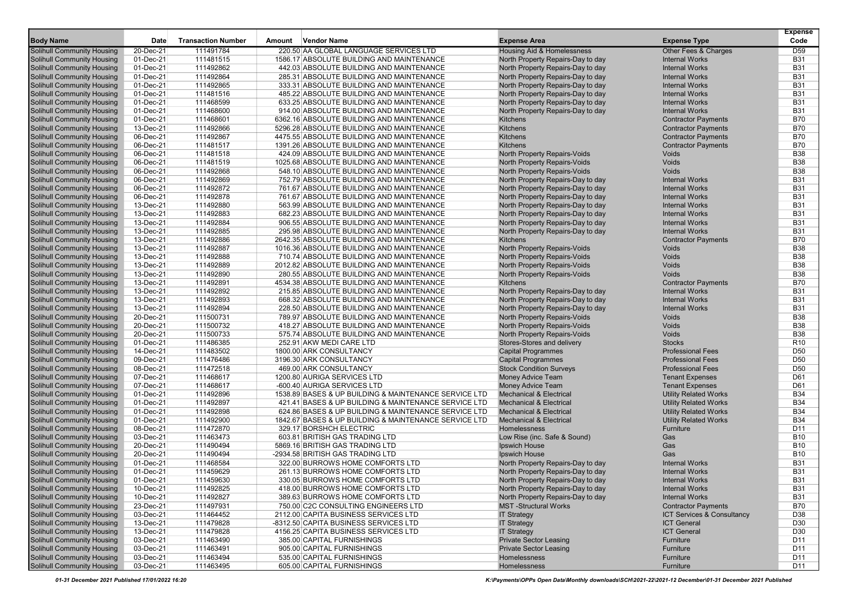|                                   |           |                           |        |                                                       |                                       |                              | <b>Expense</b>  |
|-----------------------------------|-----------|---------------------------|--------|-------------------------------------------------------|---------------------------------------|------------------------------|-----------------|
| <b>Body Name</b>                  | Date      | <b>Transaction Number</b> | Amount | <b>Vendor Name</b>                                    | <b>Expense Area</b>                   | <b>Expense Type</b>          | Code            |
| <b>Solihull Community Housing</b> | 20-Dec-21 | 111491784                 |        | 220.50 AA GLOBAL LANGUAGE SERVICES LTD                | <b>Housing Aid &amp; Homelessness</b> | Other Fees & Charges         | D <sub>59</sub> |
| <b>Solihull Community Housing</b> | 01-Dec-21 | 111481515                 |        | 1586.17 ABSOLUTE BUILDING AND MAINTENANCE             | North Property Repairs-Day to day     | <b>Internal Works</b>        | <b>B31</b>      |
| <b>Solihull Community Housing</b> | 01-Dec-21 | 111492862                 |        | 442.03 ABSOLUTE BUILDING AND MAINTENANCE              | North Property Repairs-Day to day     | <b>Internal Works</b>        | <b>B31</b>      |
| <b>Solihull Community Housing</b> | 01-Dec-21 | 111492864                 |        | 285.31 ABSOLUTE BUILDING AND MAINTENANCE              | North Property Repairs-Day to day     | <b>Internal Works</b>        | <b>B31</b>      |
| <b>Solihull Community Housing</b> | 01-Dec-21 | 111492865                 |        | 333.31 ABSOLUTE BUILDING AND MAINTENANCE              | North Property Repairs-Day to day     | <b>Internal Works</b>        | <b>B31</b>      |
| <b>Solihull Community Housing</b> | 01-Dec-21 | 111481516                 |        | 485.22 ABSOLUTE BUILDING AND MAINTENANCE              | North Property Repairs-Day to day     | <b>Internal Works</b>        | <b>B31</b>      |
| <b>Solihull Community Housing</b> | 01-Dec-21 | 111468599                 |        | 633.25 ABSOLUTE BUILDING AND MAINTENANCE              | North Property Repairs-Day to day     | <b>Internal Works</b>        | <b>B31</b>      |
| <b>Solihull Community Housing</b> | 01-Dec-21 | 111468600                 |        | 914.00 ABSOLUTE BUILDING AND MAINTENANCE              | North Property Repairs-Day to day     | <b>Internal Works</b>        | <b>B31</b>      |
| <b>Solihull Community Housing</b> | 01-Dec-21 | 111468601                 |        | 6362.16 ABSOLUTE BUILDING AND MAINTENANCE             | <b>Kitchens</b>                       | <b>Contractor Payments</b>   | <b>B70</b>      |
| <b>Solihull Community Housing</b> | 13-Dec-21 | 111492866                 |        | 5296.28 ABSOLUTE BUILDING AND MAINTENANCE             | <b>Kitchens</b>                       | <b>Contractor Payments</b>   | <b>B70</b>      |
| <b>Solihull Community Housing</b> | 06-Dec-21 | 111492867                 |        | 4475.55 ABSOLUTE BUILDING AND MAINTENANCE             | <b>Kitchens</b>                       | <b>Contractor Payments</b>   | <b>B70</b>      |
| <b>Solihull Community Housing</b> | 06-Dec-21 | 111481517                 |        | 1391.26 ABSOLUTE BUILDING AND MAINTENANCE             | Kitchens                              | <b>Contractor Payments</b>   | <b>B70</b>      |
| <b>Solihull Community Housing</b> | 06-Dec-21 | 111481518                 |        | 424.09 ABSOLUTE BUILDING AND MAINTENANCE              | North Property Repairs-Voids          | Voids                        | <b>B38</b>      |
| <b>Solihull Community Housing</b> | 06-Dec-21 | 111481519                 |        | 1025.68 ABSOLUTE BUILDING AND MAINTENANCE             | North Property Repairs-Voids          | Voids                        | <b>B38</b>      |
| <b>Solihull Community Housing</b> | 06-Dec-21 | 111492868                 |        | 548.10 ABSOLUTE BUILDING AND MAINTENANCE              | North Property Repairs-Voids          | Voids                        | <b>B38</b>      |
| <b>Solihull Community Housing</b> | 06-Dec-21 | 111492869                 |        | 752.79 ABSOLUTE BUILDING AND MAINTENANCE              | North Property Repairs-Day to day     | <b>Internal Works</b>        | <b>B31</b>      |
| <b>Solihull Community Housing</b> | 06-Dec-21 | 111492872                 |        | 761.67 ABSOLUTE BUILDING AND MAINTENANCE              | North Property Repairs-Day to day     | <b>Internal Works</b>        | <b>B31</b>      |
| <b>Solihull Community Housing</b> | 06-Dec-21 | 111492878                 |        | 761.67 ABSOLUTE BUILDING AND MAINTENANCE              | North Property Repairs-Day to day     | <b>Internal Works</b>        | <b>B31</b>      |
| <b>Solihull Community Housing</b> | 13-Dec-21 | 111492880                 |        | 563.99 ABSOLUTE BUILDING AND MAINTENANCE              | North Property Repairs-Day to day     | <b>Internal Works</b>        | <b>B31</b>      |
| <b>Solihull Community Housing</b> | 13-Dec-21 | 111492883                 |        | 682.23 ABSOLUTE BUILDING AND MAINTENANCE              | North Property Repairs-Day to day     | <b>Internal Works</b>        | <b>B31</b>      |
| <b>Solihull Community Housing</b> | 13-Dec-21 | 111492884                 |        | 906.55 ABSOLUTE BUILDING AND MAINTENANCE              | North Property Repairs-Day to day     | <b>Internal Works</b>        | <b>B31</b>      |
| <b>Solihull Community Housing</b> | 13-Dec-21 | 111492885                 |        | 295.98 ABSOLUTE BUILDING AND MAINTENANCE              | North Property Repairs-Day to day     | <b>Internal Works</b>        | <b>B31</b>      |
| <b>Solihull Community Housing</b> | 13-Dec-21 | 111492886                 |        | 2642.35 ABSOLUTE BUILDING AND MAINTENANCE             | <b>Kitchens</b>                       | <b>Contractor Payments</b>   | <b>B70</b>      |
| <b>Solihull Community Housing</b> | 13-Dec-21 | 111492887                 |        | 1016.36 ABSOLUTE BUILDING AND MAINTENANCE             | North Property Repairs-Voids          | Voids                        | <b>B38</b>      |
| <b>Solihull Community Housing</b> | 13-Dec-21 | 111492888                 |        | 710.74 ABSOLUTE BUILDING AND MAINTENANCE              | North Property Repairs-Voids          | Voids                        | <b>B38</b>      |
| <b>Solihull Community Housing</b> | 13-Dec-21 | 111492889                 |        | 2012.82 ABSOLUTE BUILDING AND MAINTENANCE             | North Property Repairs-Voids          | Voids                        | <b>B38</b>      |
| <b>Solihull Community Housing</b> | 13-Dec-21 | 111492890                 |        | 280.55 ABSOLUTE BUILDING AND MAINTENANCE              | North Property Repairs-Voids          | Voids                        | <b>B38</b>      |
| <b>Solihull Community Housing</b> | 13-Dec-21 | 111492891                 |        | 4534.38 ABSOLUTE BUILDING AND MAINTENANCE             | <b>Kitchens</b>                       | <b>Contractor Payments</b>   | <b>B70</b>      |
| <b>Solihull Community Housing</b> | 13-Dec-21 | 111492892                 |        | 215.85 ABSOLUTE BUILDING AND MAINTENANCE              | North Property Repairs-Day to day     | <b>Internal Works</b>        | <b>B31</b>      |
| <b>Solihull Community Housing</b> | 13-Dec-21 | 111492893                 |        | 668.32 ABSOLUTE BUILDING AND MAINTENANCE              | North Property Repairs-Day to day     | <b>Internal Works</b>        | <b>B31</b>      |
| <b>Solihull Community Housing</b> | 13-Dec-21 | 111492894                 |        | 228.50 ABSOLUTE BUILDING AND MAINTENANCE              | North Property Repairs-Day to day     | <b>Internal Works</b>        | <b>B31</b>      |
| <b>Solihull Community Housing</b> | 20-Dec-21 | 111500731                 |        | 789.97 ABSOLUTE BUILDING AND MAINTENANCE              | North Property Repairs-Voids          | Voids                        | <b>B38</b>      |
| <b>Solihull Community Housing</b> | 20-Dec-21 | 111500732                 |        | 418.27 ABSOLUTE BUILDING AND MAINTENANCE              | North Property Repairs-Voids          | Voids                        | <b>B38</b>      |
| <b>Solihull Community Housing</b> | 20-Dec-21 | 111500733                 |        | 575.74 ABSOLUTE BUILDING AND MAINTENANCE              | <b>North Property Repairs-Voids</b>   | Voids                        | <b>B38</b>      |
| <b>Solihull Community Housing</b> | 01-Dec-21 | 111486385                 |        | 252.91 AKW MEDI CARE LTD                              | Stores-Stores and delivery            | <b>Stocks</b>                | R <sub>10</sub> |
| <b>Solihull Community Housing</b> | 14-Dec-21 | 111483502                 |        | 1800.00 ARK CONSULTANCY                               | <b>Capital Programmes</b>             | <b>Professional Fees</b>     | D <sub>50</sub> |
| <b>Solihull Community Housing</b> | 09-Dec-21 | 111476486                 |        | 3196.30 ARK CONSULTANCY                               | <b>Capital Programmes</b>             | <b>Professional Fees</b>     | D <sub>50</sub> |
| <b>Solihull Community Housing</b> | 08-Dec-21 | 111472518                 |        | 469.00 ARK CONSULTANCY                                | <b>Stock Condition Surveys</b>        | <b>Professional Fees</b>     | D <sub>50</sub> |
| <b>Solihull Community Housing</b> | 07-Dec-21 | 111468617                 |        | 1200.80 AURIGA SERVICES LTD                           | Money Advice Team                     | <b>Tenant Expenses</b>       | D61             |
| <b>Solihull Community Housing</b> | 07-Dec-21 | 111468617                 |        | -600.40 AURIGA SERVICES LTD                           | Money Advice Team                     | <b>Tenant Expenses</b>       | D61             |
| <b>Solihull Community Housing</b> | 01-Dec-21 | 111492896                 |        | 1538.89 BASES & UP BUILDING & MAINTENANCE SERVICE LTD | <b>Mechanical &amp; Electrical</b>    | <b>Utility Related Works</b> | <b>B34</b>      |
| <b>Solihull Community Housing</b> | 01-Dec-21 | 111492897                 |        | 421.41 BASES & UP BUILDING & MAINTENANCE SERVICE LTD  | <b>Mechanical &amp; Electrical</b>    | <b>Utility Related Works</b> | <b>B34</b>      |
| <b>Solihull Community Housing</b> | 01-Dec-21 | 111492898                 |        | 624.86 BASES & UP BUILDING & MAINTENANCE SERVICE LTD  | <b>Mechanical &amp; Electrical</b>    | <b>Utility Related Works</b> | <b>B34</b>      |
| <b>Solihull Community Housing</b> | 01-Dec-21 | 111492900                 |        | 1842.67 BASES & UP BUILDING & MAINTENANCE SERVICE LTD | <b>Mechanical &amp; Electrical</b>    | <b>Utility Related Works</b> | <b>B34</b>      |
| Solihull Community Housing        | 08-Dec-21 | 111472870                 |        | 329.17 BORSHCH ELECTRIC                               | Homelessness                          | Furniture                    | D11             |
| <b>Solihull Community Housing</b> | 03-Dec-21 | 111463473                 |        | 603.81 BRITISH GAS TRADING LTD                        | Low Rise (inc. Safe & Sound)          | Gas                          | <b>B10</b>      |
| <b>Solihull Community Housing</b> | 20-Dec-21 | 111490494                 |        | 5869.16 BRITISH GAS TRADING LTD                       | <b>Ipswich House</b>                  | Gas                          | <b>B10</b>      |
| Solihull Community Housing        | 20-Dec-21 | 111490494                 |        | -2934.58 BRITISH GAS TRADING LTD                      | Ipswich House                         | Gas                          | <b>B10</b>      |
| <b>Solihull Community Housing</b> | 01-Dec-21 | 111468584                 |        | 322.00 BURROWS HOME COMFORTS LTD                      | North Property Repairs-Day to day     | <b>Internal Works</b>        | <b>B31</b>      |
| <b>Solihull Community Housing</b> | 01-Dec-21 | 111459629                 |        | 261.13 BURROWS HOME COMFORTS LTD                      | North Property Repairs-Day to day     | <b>Internal Works</b>        | <b>B31</b>      |
| Solihull Community Housing        | 01-Dec-21 | 111459630                 |        | 330.05 BURROWS HOME COMFORTS LTD                      | North Property Repairs-Day to day     | <b>Internal Works</b>        | <b>B31</b>      |
| <b>Solihull Community Housing</b> | 10-Dec-21 | 111492825                 |        | 418.00 BURROWS HOME COMFORTS LTD                      | North Property Repairs-Day to day     | <b>Internal Works</b>        | <b>B31</b>      |
| <b>Solihull Community Housing</b> | 10-Dec-21 | 111492827                 |        | 389.63 BURROWS HOME COMFORTS LTD                      | North Property Repairs-Day to day     | <b>Internal Works</b>        | <b>B31</b>      |
| <b>Solihull Community Housing</b> | 23-Dec-21 | 111497931                 |        | 750.00 C2C CONSULTING ENGINEERS LTD                   | <b>MST-Structural Works</b>           | <b>Contractor Payments</b>   | <b>B70</b>      |
| <b>Solihull Community Housing</b> | 03-Dec-21 | 111464452                 |        | 2112.00 CAPITA BUSINESS SERVICES LTD                  | <b>IT Strategy</b>                    | ICT Services & Consultancy   | D38             |
| <b>Solihull Community Housing</b> | 13-Dec-21 | 111479828                 |        | -8312.50 CAPITA BUSINESS SERVICES LTD                 | <b>IT Strategy</b>                    | <b>ICT General</b>           | D30             |
| <b>Solihull Community Housing</b> | 13-Dec-21 | 111479828                 |        | 4156.25 CAPITA BUSINESS SERVICES LTD                  | <b>IT Strategy</b>                    | <b>ICT General</b>           | D30             |
| <b>Solihull Community Housing</b> | 03-Dec-21 | 111463490                 |        | 385.00 CAPITAL FURNISHINGS                            | <b>Private Sector Leasing</b>         | Furniture                    | D11             |
| Solihull Community Housing        | 03-Dec-21 | 111463491                 |        | 905.00 CAPITAL FURNISHINGS                            | <b>Private Sector Leasing</b>         | Furniture                    | D11             |
| <b>Solihull Community Housing</b> | 03-Dec-21 | 111463494                 |        | 535.00 CAPITAL FURNISHINGS                            | Homelessness                          | Furniture                    | D <sub>11</sub> |
| <b>Solihull Community Housing</b> | 03-Dec-21 | 111463495                 |        | 605.00 CAPITAL FURNISHINGS                            | Homelessness                          | Furniture                    | D11             |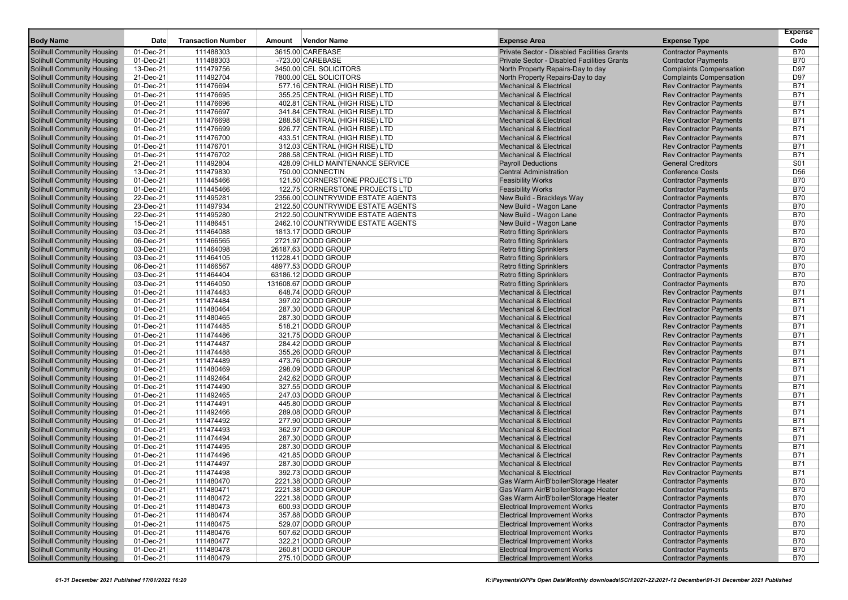| <b>Body Name</b>                                                       | Date                   | <b>Transaction Number</b> | Amount | <b>Vendor Name</b>                       | <b>Expense Area</b>                                                          | <b>Expense Type</b>                                      | <b>Expense</b><br>Code   |
|------------------------------------------------------------------------|------------------------|---------------------------|--------|------------------------------------------|------------------------------------------------------------------------------|----------------------------------------------------------|--------------------------|
| <b>Solihull Community Housing</b>                                      | 01-Dec-21              | 111488303                 |        | 3615.00 CAREBASE                         | Private Sector - Disabled Facilities Grants                                  | <b>Contractor Payments</b>                               | <b>B70</b>               |
| <b>Solihull Community Housing</b>                                      | 01-Dec-21              | 111488303                 |        | -723.00 CAREBASE                         | Private Sector - Disabled Facilities Grants                                  | <b>Contractor Payments</b>                               | <b>B70</b>               |
| <b>Solihull Community Housing</b>                                      | 13-Dec-21              | 111479756                 |        | 3450.00 CEL SOLICITORS                   | North Property Repairs-Day to day                                            | <b>Complaints Compensation</b>                           | D97                      |
| <b>Solihull Community Housing</b>                                      | 21-Dec-21              | 111492704                 |        | 7800.00 CEL SOLICITORS                   | North Property Repairs-Day to day                                            | <b>Complaints Compensation</b>                           | D97                      |
| <b>Solihull Community Housing</b>                                      | 01-Dec-21              | 111476694                 |        | 577.16 CENTRAL (HIGH RISE) LTD           | <b>Mechanical &amp; Electrical</b>                                           | <b>Rev Contractor Payments</b>                           | B71                      |
| <b>Solihull Community Housing</b>                                      | 01-Dec-21              | 111476695                 |        | 355.25 CENTRAL (HIGH RISE) LTD           | <b>Mechanical &amp; Electrical</b>                                           | <b>Rev Contractor Payments</b>                           | <b>B71</b>               |
| <b>Solihull Community Housing</b>                                      | 01-Dec-21              | 111476696                 |        | 402.81 CENTRAL (HIGH RISE) LTD           | <b>Mechanical &amp; Electrical</b>                                           | <b>Rev Contractor Payments</b>                           | <b>B71</b>               |
| <b>Solihull Community Housing</b>                                      | 01-Dec-21              | 111476697                 |        | 341.84 CENTRAL (HIGH RISE) LTD           | <b>Mechanical &amp; Electrical</b>                                           | <b>Rev Contractor Payments</b>                           | <b>B71</b>               |
| Solihull Community Housing                                             | 01-Dec-21              | 111476698                 |        | 288.58 CENTRAL (HIGH RISE) LTD           | <b>Mechanical &amp; Electrical</b>                                           | <b>Rev Contractor Payments</b>                           | <b>B71</b>               |
| <b>Solihull Community Housing</b>                                      | 01-Dec-21              | 111476699                 |        | 926.77 CENTRAL (HIGH RISE) LTD           | <b>Mechanical &amp; Electrical</b>                                           | <b>Rev Contractor Payments</b>                           | <b>B71</b>               |
| <b>Solihull Community Housing</b>                                      | 01-Dec-21              | 111476700                 |        | 433.51 CENTRAL (HIGH RISE) LTD           | <b>Mechanical &amp; Electrical</b>                                           | <b>Rev Contractor Payments</b>                           | <b>B71</b>               |
| <b>Solihull Community Housing</b>                                      | 01-Dec-21              | 111476701                 |        | 312.03 CENTRAL (HIGH RISE) LTD           | <b>Mechanical &amp; Electrical</b>                                           | <b>Rev Contractor Payments</b>                           | <b>B71</b>               |
| <b>Solihull Community Housing</b>                                      | 01-Dec-21              | 111476702                 |        | 288.58 CENTRAL (HIGH RISE) LTD           | <b>Mechanical &amp; Electrical</b>                                           | <b>Rev Contractor Payments</b>                           | <b>B71</b>               |
| <b>Solihull Community Housing</b>                                      | 21-Dec-21              | 111492804                 |        | 428.09 CHILD MAINTENANCE SERVICE         | <b>Payroll Deductions</b>                                                    | <b>General Creditors</b>                                 | S01                      |
| <b>Solihull Community Housing</b>                                      | 13-Dec-21              | 111479830                 |        | 750.00 CONNECTIN                         | <b>Central Administration</b>                                                | <b>Conference Costs</b>                                  | D <sub>56</sub>          |
| <b>Solihull Community Housing</b>                                      | 01-Dec-21              | 111445466                 |        | 121.50 CORNERSTONE PROJECTS LTD          | <b>Feasibility Works</b>                                                     | <b>Contractor Payments</b>                               | <b>B70</b>               |
| <b>Solihull Community Housing</b>                                      | 01-Dec-21              | 111445466                 |        | 122.75 CORNERSTONE PROJECTS LTD          | <b>Feasibility Works</b>                                                     | <b>Contractor Payments</b>                               | <b>B70</b>               |
| <b>Solihull Community Housing</b>                                      | 22-Dec-21              | 111495281                 |        | 2356.00 COUNTRYWIDE ESTATE AGENTS        | New Build - Brackleys Way                                                    | <b>Contractor Payments</b>                               | <b>B70</b>               |
| <b>Solihull Community Housing</b>                                      | 23-Dec-21              | 111497934                 |        | 2122.50 COUNTRYWIDE ESTATE AGENTS        | New Build - Wagon Lane                                                       | <b>Contractor Payments</b>                               | <b>B70</b>               |
| <b>Solihull Community Housing</b>                                      | 22-Dec-21              | 111495280                 |        | 2122.50 COUNTRYWIDE ESTATE AGENTS        | New Build - Wagon Lane                                                       | <b>Contractor Payments</b>                               | <b>B70</b>               |
| <b>Solihull Community Housing</b>                                      | 15-Dec-21              | 111486451                 |        | 2462.10 COUNTRYWIDE ESTATE AGENTS        | New Build - Wagon Lane                                                       | <b>Contractor Payments</b>                               | <b>B70</b>               |
| Solihull Community Housing                                             | 03-Dec-21              | 111464088                 |        | 1813.17 DODD GROUP                       | <b>Retro fitting Sprinklers</b>                                              | <b>Contractor Payments</b>                               | <b>B70</b>               |
| <b>Solihull Community Housing</b>                                      | 06-Dec-21              | 111466565                 |        | 2721.97 DODD GROUP                       | <b>Retro fitting Sprinklers</b>                                              | <b>Contractor Payments</b>                               | <b>B70</b>               |
| <b>Solihull Community Housing</b>                                      | 03-Dec-21              | 111464098                 |        | 26187.63 DODD GROUP                      | <b>Retro fitting Sprinklers</b>                                              | <b>Contractor Payments</b>                               | <b>B70</b>               |
| <b>Solihull Community Housing</b>                                      | 03-Dec-21              | 111464105                 |        | 11228.41 DODD GROUP                      | <b>Retro fitting Sprinklers</b>                                              | <b>Contractor Payments</b>                               | <b>B70</b>               |
| <b>Solihull Community Housing</b>                                      | 06-Dec-21              | 111466567                 |        | 48977.53 DODD GROUP                      | <b>Retro fitting Sprinklers</b>                                              | <b>Contractor Payments</b>                               | <b>B70</b>               |
| <b>Solihull Community Housing</b>                                      | 03-Dec-21              | 111464404                 |        | 63186.12 DODD GROUP                      | <b>Retro fitting Sprinklers</b>                                              | <b>Contractor Payments</b>                               | <b>B70</b>               |
| Solihull Community Housing                                             | 03-Dec-21              | 111464050                 |        | 131608.67 DODD GROUP                     | <b>Retro fitting Sprinklers</b>                                              | <b>Contractor Payments</b>                               | <b>B70</b>               |
| <b>Solihull Community Housing</b>                                      | 01-Dec-21              | 111474483                 |        | 648.74 DODD GROUP                        | <b>Mechanical &amp; Electrical</b>                                           | <b>Rev Contractor Payments</b>                           | B71                      |
| <b>Solihull Community Housing</b>                                      | 01-Dec-21              | 111474484                 |        | 397.02 DODD GROUP                        | <b>Mechanical &amp; Electrical</b>                                           | <b>Rev Contractor Payments</b>                           | <b>B71</b>               |
| <b>Solihull Community Housing</b>                                      | 01-Dec-21              | 111480464                 |        | 287.30 DODD GROUP                        | <b>Mechanical &amp; Electrical</b>                                           | <b>Rev Contractor Payments</b>                           | <b>B71</b>               |
| <b>Solihull Community Housing</b>                                      | 01-Dec-21              | 111480465                 |        | 287.30 DODD GROUP                        | <b>Mechanical &amp; Electrical</b>                                           | <b>Rev Contractor Payments</b>                           | <b>B71</b>               |
| <b>Solihull Community Housing</b>                                      | 01-Dec-21              | 111474485                 |        | 518.21 DODD GROUP                        | <b>Mechanical &amp; Electrical</b>                                           | <b>Rev Contractor Payments</b>                           | <b>B71</b>               |
| <b>Solihull Community Housing</b>                                      | 01-Dec-21              | 111474486                 |        | 321.75 DODD GROUP                        | <b>Mechanical &amp; Electrical</b>                                           | <b>Rev Contractor Payments</b>                           | <b>B71</b>               |
| <b>Solihull Community Housing</b>                                      | 01-Dec-21              | 111474487                 |        | 284.42 DODD GROUP                        | <b>Mechanical &amp; Electrical</b>                                           | <b>Rev Contractor Payments</b>                           | <b>B71</b>               |
| <b>Solihull Community Housing</b>                                      | 01-Dec-21              | 111474488                 |        | 355.26 DODD GROUP                        | <b>Mechanical &amp; Electrical</b>                                           | <b>Rev Contractor Payments</b>                           | B71                      |
| <b>Solihull Community Housing</b>                                      | 01-Dec-21              | 111474489                 |        | 473.76 DODD GROUP                        | <b>Mechanical &amp; Electrical</b>                                           | <b>Rev Contractor Payments</b>                           | <b>B71</b>               |
| <b>Solihull Community Housing</b>                                      | 01-Dec-21              | 111480469                 |        | 298.09 DODD GROUP                        | <b>Mechanical &amp; Electrical</b>                                           | <b>Rev Contractor Payments</b>                           | <b>B71</b>               |
| <b>Solihull Community Housing</b>                                      | 01-Dec-21              | 111492464                 |        | 242.62 DODD GROUP                        | <b>Mechanical &amp; Electrical</b>                                           | <b>Rev Contractor Payments</b>                           | <b>B71</b>               |
| Solihull Community Housing                                             | 01-Dec-21              | 111474490                 |        | 327.55 DODD GROUP                        | <b>Mechanical &amp; Electrical</b>                                           | <b>Rev Contractor Payments</b>                           | <b>B71</b>               |
| <b>Solihull Community Housing</b>                                      | 01-Dec-21              | 111492465                 |        | 247.03 DODD GROUP                        | <b>Mechanical &amp; Electrical</b>                                           | <b>Rev Contractor Payments</b>                           | <b>B71</b>               |
| <b>Solihull Community Housing</b>                                      | 01-Dec-21              | 111474491                 |        | 445.80 DODD GROUP                        | <b>Mechanical &amp; Electrical</b>                                           | <b>Rev Contractor Payments</b>                           | <b>B71</b>               |
| <b>Solihull Community Housing</b>                                      | 01-Dec-21              | 111492466                 |        | 289.08 DODD GROUP                        | <b>Mechanical &amp; Electrical</b>                                           | <b>Rev Contractor Payments</b>                           | B71                      |
| <b>Solihull Community Housing</b>                                      | 01-Dec-21              | 111474492                 |        | 277.90 DODD GROUP                        | <b>Mechanical &amp; Electrical</b>                                           | <b>Rev Contractor Payments</b>                           | <b>B71</b>               |
| <b>Solihull Community Housing</b>                                      | 01-Dec-21              | 111474493                 |        | 362.97 DODD GROUP                        | <b>Mechanical &amp; Electrical</b>                                           | <b>Rev Contractor Payments</b>                           | <b>B71</b>               |
| <b>Solihull Community Housing</b>                                      | 01-Dec-21              | 111474494                 |        | 287.30 DODD GROUP                        | <b>Mechanical &amp; Electrical</b>                                           | <b>Rev Contractor Payments</b>                           | <b>B71</b>               |
| <b>Solihull Community Housing</b>                                      | 01-Dec-21<br>01-Dec-21 | 111474495                 |        | 287.30 DODD GROUP                        | <b>Mechanical &amp; Electrical</b><br><b>Mechanical &amp; Electrical</b>     | <b>Rev Contractor Payments</b>                           | <b>B71</b>               |
| <b>Solihull Community Housing</b>                                      |                        | 111474496                 |        | 421.85 DODD GROUP                        |                                                                              | <b>Rev Contractor Payments</b>                           | B71                      |
| Solihull Community Housing<br>Solihull Community Housing               | 01-Dec-21              | 111474497                 |        | 287.30 DODD GROUP<br>392.73 DODD GROUP   | <b>Mechanical &amp; Electrical</b>                                           | <b>Rev Contractor Payments</b>                           | <b>B71</b><br>B71        |
|                                                                        | 01-Dec-21              | 111474498                 |        |                                          | <b>Mechanical &amp; Electrical</b>                                           | <b>Rev Contractor Payments</b>                           | <b>B70</b>               |
| Solihull Community Housing<br><b>Solihull Community Housing</b>        | 01-Dec-21              | 111480470                 |        | 2221.38 DODD GROUP<br>2221.38 DODD GROUP | Gas Warm Air/B'boiler/Storage Heater<br>Gas Warm Air/B'boiler/Storage Heater | <b>Contractor Payments</b>                               | <b>B70</b>               |
|                                                                        | 01-Dec-21              | 111480471                 |        | 2221.38 DODD GROUP                       | Gas Warm Air/B'boiler/Storage Heater                                         | <b>Contractor Payments</b>                               |                          |
| <b>Solihull Community Housing</b>                                      | 01-Dec-21              | 111480472                 |        | 600.93 DODD GROUP                        |                                                                              | <b>Contractor Payments</b>                               | <b>B70</b>               |
| <b>Solihull Community Housing</b><br><b>Solihull Community Housing</b> | 01-Dec-21<br>01-Dec-21 | 111480473<br>111480474    |        | 357.88 DODD GROUP                        | <b>Electrical Improvement Works</b><br><b>Electrical Improvement Works</b>   | <b>Contractor Payments</b><br><b>Contractor Payments</b> | <b>B70</b><br><b>B70</b> |
| <b>Solihull Community Housing</b>                                      | 01-Dec-21              | 111480475                 |        | 529.07 DODD GROUP                        | <b>Electrical Improvement Works</b>                                          | <b>Contractor Payments</b>                               | <b>B70</b>               |
| <b>Solihull Community Housing</b>                                      | 01-Dec-21              | 111480476                 |        | 507.62 DODD GROUP                        | <b>Electrical Improvement Works</b>                                          | <b>Contractor Payments</b>                               | <b>B70</b>               |
| <b>Solihull Community Housing</b>                                      | 01-Dec-21              | 111480477                 |        | 322.21 DODD GROUP                        | <b>Electrical Improvement Works</b>                                          | <b>Contractor Payments</b>                               | B70                      |
| <b>Solihull Community Housing</b>                                      | 01-Dec-21              | 111480478                 |        | 260.81 DODD GROUP                        | <b>Electrical Improvement Works</b>                                          | <b>Contractor Payments</b>                               | <b>B70</b>               |
| <b>Solihull Community Housing</b>                                      | 01-Dec-21              | 111480479                 |        | 275.10 DODD GROUP                        | <b>Electrical Improvement Works</b>                                          | <b>Contractor Payments</b>                               | <b>B70</b>               |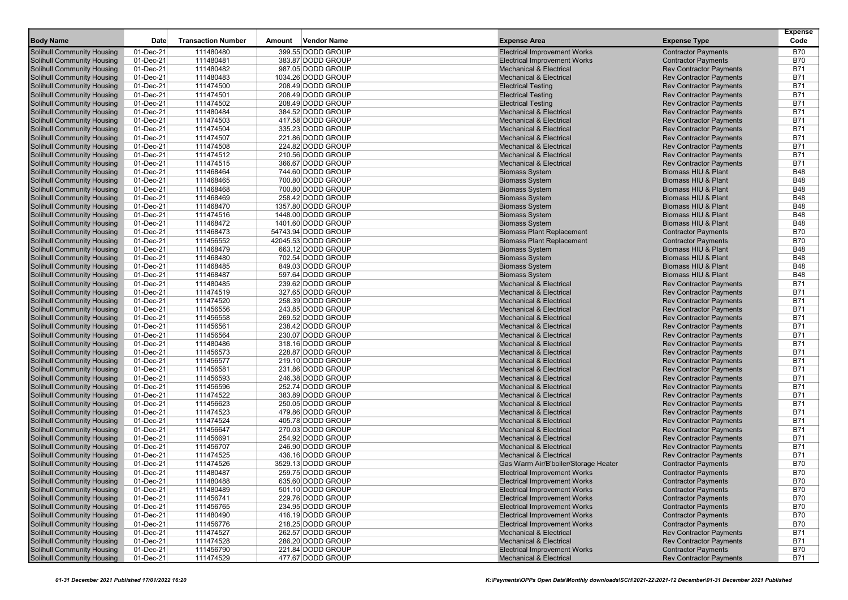|                                   |             |                           |                       |                                      |                                | <b>Expense</b> |
|-----------------------------------|-------------|---------------------------|-----------------------|--------------------------------------|--------------------------------|----------------|
| <b>Body Name</b>                  | <b>Date</b> | <b>Transaction Number</b> | Vendor Name<br>Amount | <b>Expense Area</b>                  | <b>Expense Type</b>            | Code           |
| Solihull Community Housing        | 01-Dec-21   | 111480480                 | 399.55 DODD GROUP     | <b>Electrical Improvement Works</b>  | <b>Contractor Payments</b>     | <b>B70</b>     |
| <b>Solihull Community Housing</b> | 01-Dec-21   | 111480481                 | 383.87 DODD GROUP     | <b>Electrical Improvement Works</b>  | <b>Contractor Payments</b>     | <b>B70</b>     |
| Solihull Community Housing        | 01-Dec-21   | 111480482                 | 987.05 DODD GROUP     | <b>Mechanical &amp; Electrical</b>   | <b>Rev Contractor Payments</b> | <b>B71</b>     |
| Solihull Community Housing        | 01-Dec-21   | 111480483                 | 1034.26 DODD GROUP    | <b>Mechanical &amp; Electrical</b>   | <b>Rev Contractor Payments</b> | <b>B71</b>     |
| Solihull Community Housing        | 01-Dec-21   | 111474500                 | 208.49 DODD GROUP     | <b>Electrical Testing</b>            | <b>Rev Contractor Payments</b> | <b>B71</b>     |
| Solihull Community Housing        | 01-Dec-21   | 111474501                 | 208.49 DODD GROUP     | <b>Electrical Testing</b>            | <b>Rev Contractor Payments</b> | <b>B71</b>     |
| Solihull Community Housing        | 01-Dec-21   | 111474502                 | 208.49 DODD GROUP     | <b>Electrical Testing</b>            | <b>Rev Contractor Payments</b> | <b>B71</b>     |
| <b>Solihull Community Housing</b> | 01-Dec-21   | 111480484                 | 384.52 DODD GROUP     | <b>Mechanical &amp; Electrical</b>   | <b>Rev Contractor Payments</b> | <b>B71</b>     |
| Solihull Community Housing        | 01-Dec-21   | 111474503                 | 417.58 DODD GROUP     | <b>Mechanical &amp; Electrical</b>   | <b>Rev Contractor Payments</b> | <b>B71</b>     |
| <b>Solihull Community Housing</b> | 01-Dec-21   | 111474504                 | 335.23 DODD GROUP     | <b>Mechanical &amp; Electrical</b>   | <b>Rev Contractor Payments</b> | <b>B71</b>     |
| Solihull Community Housing        | 01-Dec-21   | 111474507                 | 221.86 DODD GROUP     | <b>Mechanical &amp; Electrical</b>   | <b>Rev Contractor Payments</b> | <b>B71</b>     |
| Solihull Community Housing        | 01-Dec-21   | 111474508                 | 224.82 DODD GROUP     | <b>Mechanical &amp; Electrical</b>   | <b>Rev Contractor Payments</b> | <b>B71</b>     |
| Solihull Community Housing        | 01-Dec-21   | 111474512                 | 210.56 DODD GROUP     | <b>Mechanical &amp; Electrical</b>   | <b>Rev Contractor Payments</b> | <b>B71</b>     |
| <b>Solihull Community Housing</b> | 01-Dec-21   | 111474515                 | 366.67 DODD GROUP     | <b>Mechanical &amp; Electrical</b>   | <b>Rev Contractor Payments</b> | <b>B71</b>     |
| Solihull Community Housing        | 01-Dec-21   | 111468464                 | 744.60 DODD GROUP     | <b>Biomass System</b>                | Biomass HIU & Plant            | <b>B48</b>     |
| Solihull Community Housing        | 01-Dec-21   | 111468465                 | 700.80 DODD GROUP     | <b>Biomass System</b>                | Biomass HIU & Plant            | <b>B48</b>     |
| Solihull Community Housing        | 01-Dec-21   | 111468468                 | 700.80 DODD GROUP     | <b>Biomass System</b>                | Biomass HIU & Plant            | <b>B48</b>     |
| Solihull Community Housing        | 01-Dec-21   | 111468469                 | 258.42 DODD GROUP     | <b>Biomass System</b>                | Biomass HIU & Plant            | <b>B48</b>     |
| Solihull Community Housing        | 01-Dec-21   | 111468470                 | 1357.80 DODD GROUP    | <b>Biomass System</b>                | <b>Biomass HIU &amp; Plant</b> | <b>B48</b>     |
| Solihull Community Housing        | 01-Dec-21   | 111474516                 | 1448.00 DODD GROUP    | <b>Biomass System</b>                | Biomass HIU & Plant            | <b>B48</b>     |
| <b>Solihull Community Housing</b> | 01-Dec-21   | 111468472                 | 1401.60 DODD GROUP    | <b>Biomass System</b>                | <b>Biomass HIU &amp; Plant</b> | <b>B48</b>     |
| Solihull Community Housing        | 01-Dec-21   | 111468473                 | 54743.94 DODD GROUP   | <b>Biomass Plant Replacement</b>     | <b>Contractor Payments</b>     | <b>B70</b>     |
| Solihull Community Housing        | 01-Dec-21   | 111456552                 | 42045.53 DODD GROUP   | <b>Biomass Plant Replacement</b>     | <b>Contractor Payments</b>     | <b>B70</b>     |
| Solihull Community Housing        | 01-Dec-21   | 111468479                 | 663.12 DODD GROUP     | <b>Biomass System</b>                | Biomass HIU & Plant            | <b>B48</b>     |
| Solihull Community Housing        | 01-Dec-21   | 111468480                 | 702.54 DODD GROUP     | <b>Biomass System</b>                | Biomass HIU & Plant            | <b>B48</b>     |
| Solihull Community Housing        | 01-Dec-21   | 111468485                 | 849.03 DODD GROUP     | <b>Biomass System</b>                | Biomass HIU & Plant            | <b>B48</b>     |
| <b>Solihull Community Housing</b> | 01-Dec-21   | 111468487                 | 597.64 DODD GROUP     | <b>Biomass System</b>                | Biomass HIU & Plant            | <b>B48</b>     |
| Solihull Community Housing        | 01-Dec-21   | 111480485                 | 239.62 DODD GROUP     | <b>Mechanical &amp; Electrical</b>   | <b>Rev Contractor Payments</b> | <b>B71</b>     |
| Solihull Community Housing        | 01-Dec-21   | 111474519                 | 327.65 DODD GROUP     | <b>Mechanical &amp; Electrical</b>   | <b>Rev Contractor Payments</b> | <b>B71</b>     |
| Solihull Community Housing        | 01-Dec-21   | 111474520                 | 258.39 DODD GROUP     | <b>Mechanical &amp; Electrical</b>   | <b>Rev Contractor Payments</b> | <b>B71</b>     |
| Solihull Community Housing        | 01-Dec-21   | 111456556                 | 243.85 DODD GROUP     | <b>Mechanical &amp; Electrical</b>   | <b>Rev Contractor Payments</b> | <b>B71</b>     |
| Solihull Community Housing        | 01-Dec-21   | 111456558                 | 269.52 DODD GROUP     | <b>Mechanical &amp; Electrical</b>   | <b>Rev Contractor Payments</b> | <b>B71</b>     |
| <b>Solihull Community Housing</b> | 01-Dec-21   | 111456561                 | 238.42 DODD GROUP     | <b>Mechanical &amp; Electrical</b>   | <b>Rev Contractor Payments</b> | <b>B71</b>     |
| Solihull Community Housing        | 01-Dec-21   | 111456564                 | 230.07 DODD GROUP     | <b>Mechanical &amp; Electrical</b>   | <b>Rev Contractor Payments</b> | <b>B71</b>     |
| <b>Solihull Community Housing</b> | 01-Dec-21   | 111480486                 | 318.16 DODD GROUP     | <b>Mechanical &amp; Electrical</b>   | <b>Rev Contractor Payments</b> | <b>B71</b>     |
| Solihull Community Housing        | 01-Dec-21   | 111456573                 | 228.87 DODD GROUP     | <b>Mechanical &amp; Electrical</b>   | <b>Rev Contractor Payments</b> | <b>B71</b>     |
| Solihull Community Housing        | 01-Dec-21   | 111456577                 | 219.10 DODD GROUP     | <b>Mechanical &amp; Electrical</b>   | <b>Rev Contractor Payments</b> | <b>B71</b>     |
| Solihull Community Housing        | 01-Dec-21   | 111456581                 | 231.86 DODD GROUP     | <b>Mechanical &amp; Electrical</b>   | <b>Rev Contractor Payments</b> | <b>B71</b>     |
| <b>Solihull Community Housing</b> | 01-Dec-21   | 111456593                 | 246.38 DODD GROUP     | <b>Mechanical &amp; Electrical</b>   | <b>Rev Contractor Payments</b> | <b>B71</b>     |
| Solihull Community Housing        | 01-Dec-21   | 111456596                 | 252.74 DODD GROUP     | <b>Mechanical &amp; Electrical</b>   | <b>Rev Contractor Payments</b> | <b>B71</b>     |
| Solihull Community Housing        | 01-Dec-21   | 111474522                 | 383.89 DODD GROUP     | <b>Mechanical &amp; Electrical</b>   | <b>Rev Contractor Payments</b> | <b>B71</b>     |
| Solihull Community Housing        | 01-Dec-21   | 111456623                 | 250.05 DODD GROUP     | <b>Mechanical &amp; Electrical</b>   | <b>Rev Contractor Payments</b> | <b>B71</b>     |
| Solihull Community Housing        | 01-Dec-21   | 111474523                 | 479.86 DODD GROUP     | <b>Mechanical &amp; Electrical</b>   | <b>Rev Contractor Payments</b> | <b>B71</b>     |
| Solihull Community Housing        | 01-Dec-21   | 111474524                 | 405.78 DODD GROUP     | <b>Mechanical &amp; Electrical</b>   | <b>Rev Contractor Payments</b> | <b>B71</b>     |
| Solihull Community Housing        | 01-Dec-21   | 111456647                 | 270.03 DODD GROUP     | <b>Mechanical &amp; Electrical</b>   | <b>Rev Contractor Payments</b> | <b>B71</b>     |
| <b>Solihull Community Housing</b> | 01-Dec-21   | 111456691                 | 254.92 DODD GROUP     | <b>Mechanical &amp; Electrical</b>   | <b>Rev Contractor Payments</b> | <b>B71</b>     |
| Solihull Community Housing        | 01-Dec-21   | 111456707                 | 246.90 DODD GROUP     | <b>Mechanical &amp; Electrical</b>   | <b>Rev Contractor Payments</b> | <b>B71</b>     |
| Solihull Community Housing        | 01-Dec-21   | 111474525                 | 436.16 DODD GROUP     | <b>Mechanical &amp; Electrical</b>   | <b>Rev Contractor Payments</b> | <b>B71</b>     |
| <b>Solihull Community Housing</b> | 01-Dec-21   | 111474526                 | 3529.13 DODD GROUP    | Gas Warm Air/B'boiler/Storage Heater | <b>Contractor Payments</b>     | <b>B70</b>     |
| Solihull Community Housing        | 01-Dec-21   | 111480487                 | 259.75 DODD GROUP     | <b>Electrical Improvement Works</b>  | <b>Contractor Payments</b>     | <b>B70</b>     |
| <b>Solihull Community Housing</b> | 01-Dec-21   | 111480488                 | 635.60 DODD GROUP     | <b>Electrical Improvement Works</b>  | <b>Contractor Payments</b>     | <b>B70</b>     |
| Solihull Community Housing        | 01-Dec-21   | 111480489                 | 501.10 DODD GROUP     | <b>Electrical Improvement Works</b>  | <b>Contractor Payments</b>     | <b>B70</b>     |
| <b>Solihull Community Housing</b> | 01-Dec-21   | 111456741                 | 229.76 DODD GROUP     | <b>Electrical Improvement Works</b>  | <b>Contractor Payments</b>     | B70            |
| <b>Solihull Community Housing</b> | 01-Dec-21   | 111456765                 | 234.95 DODD GROUP     | <b>Electrical Improvement Works</b>  | <b>Contractor Payments</b>     | B70            |
| <b>Solihull Community Housing</b> | 01-Dec-21   | 111480490                 | 416.19 DODD GROUP     | <b>Electrical Improvement Works</b>  | <b>Contractor Payments</b>     | <b>B70</b>     |
| Solihull Community Housing        | 01-Dec-21   | 111456776                 | 218.25 DODD GROUP     | <b>Electrical Improvement Works</b>  | <b>Contractor Payments</b>     | <b>B70</b>     |
| Solihull Community Housing        | 01-Dec-21   | 111474527                 | 262.57 DODD GROUP     | <b>Mechanical &amp; Electrical</b>   | <b>Rev Contractor Payments</b> | B71            |
| Solihull Community Housing        | 01-Dec-21   | 111474528                 | 286.20 DODD GROUP     | <b>Mechanical &amp; Electrical</b>   | <b>Rev Contractor Payments</b> | <b>B71</b>     |
| Solihull Community Housing        | 01-Dec-21   | 111456790                 | 221.84 DODD GROUP     | <b>Electrical Improvement Works</b>  | <b>Contractor Payments</b>     | <b>B70</b>     |
| <b>Solihull Community Housing</b> | 01-Dec-21   | 111474529                 | 477.67 DODD GROUP     | <b>Mechanical &amp; Electrical</b>   | <b>Rev Contractor Payments</b> | B71            |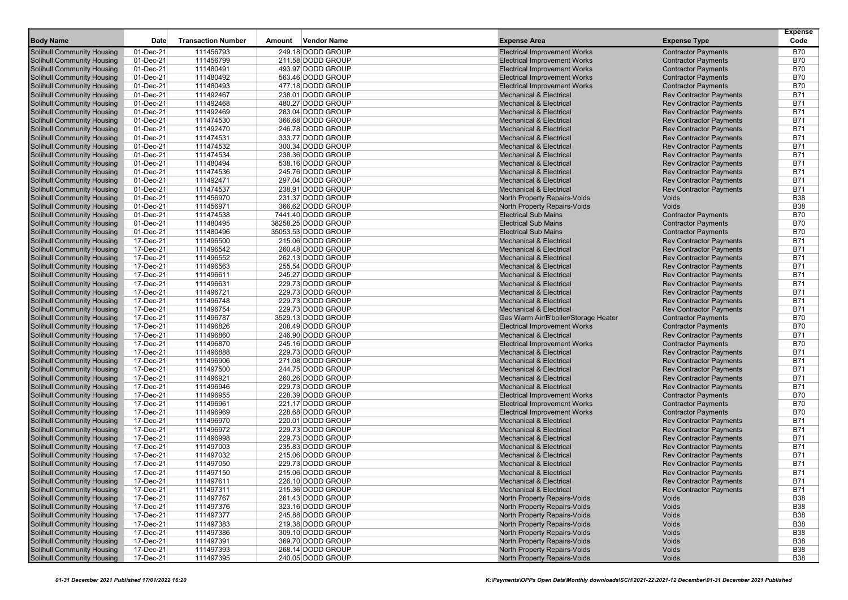|                                                                        |                        |                           |        |                                        |                                                                           |                                                              | <b>Expense</b>           |
|------------------------------------------------------------------------|------------------------|---------------------------|--------|----------------------------------------|---------------------------------------------------------------------------|--------------------------------------------------------------|--------------------------|
| <b>Body Name</b>                                                       | <b>Date</b>            | <b>Transaction Number</b> | Amount | <b>Vendor Name</b>                     | <b>Expense Area</b>                                                       | <b>Expense Type</b>                                          | Code                     |
| <b>Solihull Community Housing</b>                                      | 01-Dec-21              | 111456793                 |        | 249.18 DODD GROUP                      | <b>Electrical Improvement Works</b>                                       | <b>Contractor Payments</b>                                   | <b>B70</b>               |
| Solihull Community Housing                                             | 01-Dec-21              | 111456799                 |        | 211.58 DODD GROUP                      | <b>Electrical Improvement Works</b>                                       | <b>Contractor Payments</b>                                   | <b>B70</b>               |
| Solihull Community Housing                                             | 01-Dec-21              | 111480491                 |        | 493.97 DODD GROUP                      | <b>Electrical Improvement Works</b>                                       | <b>Contractor Payments</b>                                   | B70                      |
| Solihull Community Housing                                             | 01-Dec-21              | 111480492                 |        | 563.46 DODD GROUP                      | <b>Electrical Improvement Works</b>                                       | <b>Contractor Payments</b>                                   | B70                      |
| Solihull Community Housing                                             | 01-Dec-21              | 111480493                 |        | 477.18 DODD GROUP                      | <b>Electrical Improvement Works</b>                                       | <b>Contractor Payments</b>                                   | <b>B70</b>               |
| <b>Solihull Community Housing</b>                                      | 01-Dec-21              | 111492467                 |        | 238.01 DODD GROUP                      | <b>Mechanical &amp; Electrical</b>                                        | <b>Rev Contractor Payments</b>                               | B71                      |
| Solihull Community Housing                                             | 01-Dec-21              | 111492468                 |        | 480.27 DODD GROUP                      | <b>Mechanical &amp; Electrical</b>                                        | <b>Rev Contractor Payments</b>                               | B71                      |
| Solihull Community Housing                                             | 01-Dec-21              | 111492469                 |        | 283.04 DODD GROUP                      | <b>Mechanical &amp; Electrical</b>                                        | <b>Rev Contractor Payments</b>                               | B71                      |
| Solihull Community Housing                                             | 01-Dec-21              | 111474530                 |        | 366.68 DODD GROUP                      | <b>Mechanical &amp; Electrical</b>                                        | <b>Rev Contractor Payments</b>                               | B71                      |
| Solihull Community Housing                                             | 01-Dec-21              | 111492470                 |        | 246.78 DODD GROUP                      | <b>Mechanical &amp; Electrical</b>                                        | <b>Rev Contractor Payments</b>                               | B71                      |
| Solihull Community Housing                                             | 01-Dec-21              | 111474531                 |        | 333.77 DODD GROUP                      | <b>Mechanical &amp; Electrical</b>                                        | <b>Rev Contractor Payments</b>                               | <b>B71</b>               |
| Solihull Community Housing                                             | 01-Dec-21              | 111474532                 |        | 300.34 DODD GROUP                      | <b>Mechanical &amp; Electrical</b>                                        | <b>Rev Contractor Payments</b>                               | B71                      |
| Solihull Community Housing                                             | 01-Dec-21              | 111474534                 |        | 238.36 DODD GROUP                      | <b>Mechanical &amp; Electrical</b>                                        | <b>Rev Contractor Payments</b>                               | B71                      |
| Solihull Community Housing                                             | 01-Dec-21              | 111480494                 |        | 538.16 DODD GROUP                      | <b>Mechanical &amp; Electrical</b>                                        | <b>Rev Contractor Payments</b>                               | B71                      |
| <b>Solihull Community Housing</b>                                      | 01-Dec-21              | 111474536                 |        | 245.76 DODD GROUP                      | <b>Mechanical &amp; Electrical</b>                                        | <b>Rev Contractor Payments</b>                               | B71                      |
| Solihull Community Housing                                             | 01-Dec-21              | 111492471                 |        | 297.04 DODD GROUP                      | <b>Mechanical &amp; Electrical</b>                                        | <b>Rev Contractor Payments</b>                               | <b>B71</b>               |
| <b>Solihull Community Housing</b>                                      | 01-Dec-21              | 111474537                 |        | 238.91 DODD GROUP                      | <b>Mechanical &amp; Electrical</b>                                        | <b>Rev Contractor Payments</b>                               | B71                      |
| Solihull Community Housing                                             | 01-Dec-21              | 111456970                 |        | 231.37 DODD GROUP                      | North Property Repairs-Voids                                              | Voids                                                        | <b>B38</b>               |
| Solihull Community Housing                                             | 01-Dec-21              | 111456971                 |        | 366.62 DODD GROUP                      | North Property Repairs-Voids                                              | Voids                                                        | <b>B38</b>               |
| Solihull Community Housing                                             | 01-Dec-21              | 111474538                 |        | 7441.40 DODD GROUP                     | <b>Electrical Sub Mains</b>                                               | <b>Contractor Payments</b>                                   | B70                      |
| Solihull Community Housing                                             | 01-Dec-21              | 111480495                 |        | 38258.25 DODD GROUP                    | <b>Electrical Sub Mains</b>                                               | <b>Contractor Payments</b>                                   | <b>B70</b>               |
| Solihull Community Housing                                             | 01-Dec-21              | 111480496                 |        | 35053.53 DODD GROUP                    | <b>Electrical Sub Mains</b>                                               | <b>Contractor Payments</b>                                   | <b>B70</b>               |
| <b>Solihull Community Housing</b>                                      | 17-Dec-21              | 111496500                 |        | 215.06 DODD GROUP                      | <b>Mechanical &amp; Electrical</b>                                        | <b>Rev Contractor Payments</b>                               | <b>B71</b>               |
| Solihull Community Housing                                             | 17-Dec-21              | 111496542                 |        | 260.48 DODD GROUP                      | <b>Mechanical &amp; Electrical</b>                                        | <b>Rev Contractor Payments</b>                               | B71                      |
| Solihull Community Housing                                             | 17-Dec-21              | 111496552                 |        | 262.13 DODD GROUP                      | <b>Mechanical &amp; Electrical</b>                                        | <b>Rev Contractor Payments</b>                               | B71                      |
| Solihull Community Housing                                             | 17-Dec-21              | 111496563                 |        | 255.54 DODD GROUP                      | <b>Mechanical &amp; Electrical</b>                                        | <b>Rev Contractor Payments</b>                               | B71                      |
| Solihull Community Housing                                             | 17-Dec-21              | 111496611                 |        | 245.27 DODD GROUP                      | <b>Mechanical &amp; Electrical</b>                                        | <b>Rev Contractor Payments</b>                               | <b>B71</b>               |
| <b>Solihull Community Housing</b>                                      | 17-Dec-21              | 111496631                 |        | 229.73 DODD GROUP                      | <b>Mechanical &amp; Electrical</b>                                        | <b>Rev Contractor Payments</b>                               | B71                      |
| Solihull Community Housing                                             | 17-Dec-21              | 111496721                 |        | 229.73 DODD GROUP                      | <b>Mechanical &amp; Electrical</b>                                        | <b>Rev Contractor Payments</b>                               | B71                      |
| Solihull Community Housing                                             | 17-Dec-21              | 111496748                 |        | 229.73 DODD GROUP                      | <b>Mechanical &amp; Electrical</b>                                        | <b>Rev Contractor Payments</b>                               | <b>B71</b>               |
| Solihull Community Housing                                             | 17-Dec-21              | 111496754                 |        | 229.73 DODD GROUP                      | <b>Mechanical &amp; Electrical</b>                                        | <b>Rev Contractor Payments</b>                               | B71                      |
| Solihull Community Housing                                             | 17-Dec-21              | 111496787                 |        | 3529.13 DODD GROUP                     | Gas Warm Air/B'boiler/Storage Heater                                      | <b>Contractor Payments</b>                                   | <b>B70</b><br><b>B70</b> |
| Solihull Community Housing                                             | 17-Dec-21<br>17-Dec-21 | 111496826<br>111496860    |        | 208.49 DODD GROUP<br>246.90 DODD GROUP | <b>Electrical Improvement Works</b><br><b>Mechanical &amp; Electrical</b> | <b>Contractor Payments</b>                                   | B71                      |
| <b>Solihull Community Housing</b><br><b>Solihull Community Housing</b> | 17-Dec-21              | 111496870                 |        | 245.16 DODD GROUP                      | <b>Electrical Improvement Works</b>                                       | <b>Rev Contractor Payments</b><br><b>Contractor Payments</b> | <b>B70</b>               |
| Solihull Community Housing                                             | 17-Dec-21              | 111496888                 |        | 229.73 DODD GROUP                      | <b>Mechanical &amp; Electrical</b>                                        | <b>Rev Contractor Payments</b>                               | B71                      |
| Solihull Community Housing                                             | 17-Dec-21              | 111496906                 |        | 271.08 DODD GROUP                      | <b>Mechanical &amp; Electrical</b>                                        | <b>Rev Contractor Payments</b>                               | B71                      |
| Solihull Community Housing                                             | 17-Dec-21              | 111497500                 |        | 244.75 DODD GROUP                      | <b>Mechanical &amp; Electrical</b>                                        | <b>Rev Contractor Payments</b>                               | B71                      |
| Solihull Community Housing                                             | 17-Dec-21              | 111496921                 |        | 260.26 DODD GROUP                      | <b>Mechanical &amp; Electrical</b>                                        | <b>Rev Contractor Payments</b>                               | B71                      |
| <b>Solihull Community Housing</b>                                      | 17-Dec-21              | 111496946                 |        | 229.73 DODD GROUP                      | <b>Mechanical &amp; Electrical</b>                                        | <b>Rev Contractor Payments</b>                               | B71                      |
| Solihull Community Housing                                             | 17-Dec-21              | 111496955                 |        | 228.39 DODD GROUP                      | <b>Electrical Improvement Works</b>                                       | <b>Contractor Payments</b>                                   | <b>B70</b>               |
| <b>Solihull Community Housing</b>                                      | 17-Dec-21              | 111496961                 |        | 221.17 DODD GROUP                      | <b>Electrical Improvement Works</b>                                       | <b>Contractor Payments</b>                                   | B70                      |
| Solihull Community Housing                                             | 17-Dec-21              | 111496969                 |        | 228.68 DODD GROUP                      | <b>Electrical Improvement Works</b>                                       | <b>Contractor Payments</b>                                   | <b>B70</b>               |
| Solihull Community Housing                                             | 17-Dec-21              | 111496970                 |        | 220.01 DODD GROUP                      | <b>Mechanical &amp; Electrical</b>                                        | <b>Rev Contractor Payments</b>                               | B71                      |
| Solihull Community Housing                                             | 17-Dec-21              | 111496972                 |        | 229.73 DODD GROUP                      | <b>Mechanical &amp; Electrical</b>                                        | <b>Rev Contractor Payments</b>                               | B71                      |
| Solihull Community Housing                                             | 17-Dec-21              | 111496998                 |        | 229.73 DODD GROUP                      | <b>Mechanical &amp; Electrical</b>                                        | <b>Rev Contractor Payments</b>                               | <b>B71</b>               |
| Solihull Community Housing                                             | 17-Dec-21              | 111497003                 |        | 235.83 DODD GROUP                      | <b>Mechanical &amp; Electrical</b>                                        | <b>Rev Contractor Payments</b>                               | <b>B71</b>               |
| Solihull Community Housing                                             | 17-Dec-21              | 111497032                 |        | 215.06 DODD GROUP                      | <b>Mechanical &amp; Electrical</b>                                        | <b>Rev Contractor Payments</b>                               | B71                      |
| Solihull Community Housing                                             | 17-Dec-21              | 111497050                 |        | 229.73 DODD GROUP                      | <b>Mechanical &amp; Electrical</b>                                        | <b>Rev Contractor Payments</b>                               | B71                      |
| Solihull Community Housing                                             | 17-Dec-21              | 111497150                 |        | 215.06 DODD GROUP                      | <b>Mechanical &amp; Electrical</b>                                        | <b>Rev Contractor Payments</b>                               | <b>B71</b>               |
| Solihull Community Housing                                             | 17-Dec-21              | 11149/611                 |        | 226.10 DODD GROUP                      | Mechanical & Electrical                                                   | Rev Contractor Payments                                      | B71                      |
| Solihull Community Housing                                             | 17-Dec-21              | 111497311                 |        | 215.36 DODD GROUP                      | <b>Mechanical &amp; Electrical</b>                                        | <b>Rev Contractor Payments</b>                               | <b>B71</b>               |
| Solihull Community Housing                                             | 17-Dec-21              | 111497767                 |        | 261.43 DODD GROUP                      | North Property Repairs-Voids                                              | Voids                                                        | B38                      |
| Solihull Community Housing                                             | 17-Dec-21              | 111497376                 |        | 323.16 DODD GROUP                      | North Property Repairs-Voids                                              | Voids                                                        | B38                      |
| <b>Solihull Community Housing</b>                                      | 17-Dec-21              | 111497377                 |        | 245.88 DODD GROUP                      | North Property Repairs-Voids                                              | Voids                                                        | B38                      |
| Solihull Community Housing                                             | 17-Dec-21              | 111497383                 |        | 219.38 DODD GROUP                      | North Property Repairs-Voids                                              | Voids                                                        | <b>B38</b>               |
| <b>Solihull Community Housing</b>                                      | 17-Dec-21              | 111497386                 |        | 309.10 DODD GROUP                      | North Property Repairs-Voids                                              | Voids                                                        | <b>B38</b>               |
| Solihull Community Housing                                             | 17-Dec-21              | 111497391                 |        | 369.70 DODD GROUP                      | North Property Repairs-Voids                                              | Voids                                                        | <b>B38</b>               |
| Solihull Community Housing                                             | 17-Dec-21              | 111497393                 |        | 268.14 DODD GROUP                      | North Property Repairs-Voids                                              | Voids                                                        | <b>B38</b>               |
| <b>Solihull Community Housing</b>                                      | 17-Dec-21              | 111497395                 |        | 240.05 DODD GROUP                      | North Property Repairs-Voids                                              | Voids                                                        | B38                      |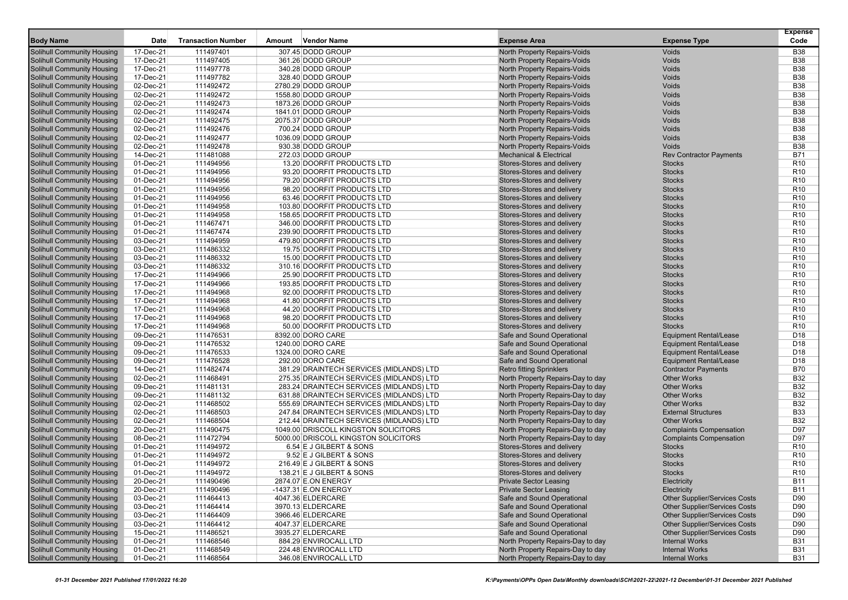|                                                                        |                        |                           |                                          |                                                              |                                      | <b>Expense</b>           |
|------------------------------------------------------------------------|------------------------|---------------------------|------------------------------------------|--------------------------------------------------------------|--------------------------------------|--------------------------|
| <b>Body Name</b>                                                       | Date                   | <b>Transaction Number</b> | <b>Vendor Name</b><br>Amount             | <b>Expense Area</b>                                          | <b>Expense Type</b>                  | Code                     |
| <b>Solihull Community Housing</b>                                      | 17-Dec-21              | 111497401                 | 307.45 DODD GROUP                        | North Property Repairs-Voids                                 | Voids                                | <b>B38</b>               |
| <b>Solihull Community Housing</b>                                      | 17-Dec-21              | 111497405                 | 361.26 DODD GROUP                        | <b>North Property Repairs-Voids</b>                          | Voids                                | <b>B38</b>               |
| <b>Solihull Community Housing</b>                                      | 17-Dec-21              | 111497778                 | 340.28 DODD GROUP                        | North Property Repairs-Voids                                 | Voids                                | <b>B38</b>               |
| <b>Solihull Community Housing</b>                                      | 17-Dec-21              | 111497782                 | 328.40 DODD GROUP                        | North Property Repairs-Voids                                 | Voids                                | <b>B38</b>               |
| <b>Solihull Community Housing</b>                                      | 02-Dec-21              | 111492472                 | 2780.29 DODD GROUP                       | North Property Repairs-Voids                                 | Voids                                | <b>B38</b>               |
| <b>Solihull Community Housing</b>                                      | 02-Dec-21              | 111492472                 | 1558.80 DODD GROUP                       | North Property Repairs-Voids                                 | Voids                                | <b>B38</b>               |
| <b>Solihull Community Housing</b>                                      | 02-Dec-21              | 111492473                 | 1873.26 DODD GROUP                       | North Property Repairs-Voids                                 | Voids<br>Voids                       | <b>B38</b>               |
| <b>Solihull Community Housing</b>                                      | 02-Dec-21              | 111492474                 | 1841.01 DODD GROUP<br>2075.37 DODD GROUP | North Property Repairs-Voids<br>North Property Repairs-Voids | Voids                                | <b>B38</b><br><b>B38</b> |
| <b>Solihull Community Housing</b><br><b>Solihull Community Housing</b> | 02-Dec-21<br>02-Dec-21 | 111492475<br>111492476    | 700.24 DODD GROUP                        | <b>North Property Repairs-Voids</b>                          | Voids                                | <b>B38</b>               |
| <b>Solihull Community Housing</b>                                      | 02-Dec-21              | 111492477                 | 1036.09 DODD GROUP                       | North Property Repairs-Voids                                 | Voids                                | <b>B38</b>               |
| <b>Solihull Community Housing</b>                                      | 02-Dec-21              | 111492478                 | 930.38 DODD GROUP                        | North Property Repairs-Voids                                 | Voids                                | <b>B38</b>               |
| <b>Solihull Community Housing</b>                                      | 14-Dec-21              | 111481088                 | 272.03 DODD GROUP                        | <b>Mechanical &amp; Electrical</b>                           | <b>Rev Contractor Payments</b>       | B71                      |
| <b>Solihull Community Housing</b>                                      | 01-Dec-21              | 111494956                 | 13.20 DOORFIT PRODUCTS LTD               | Stores-Stores and delivery                                   | <b>Stocks</b>                        | R <sub>10</sub>          |
| <b>Solihull Community Housing</b>                                      | 01-Dec-21              | 111494956                 | 93.20 DOORFIT PRODUCTS LTD               | Stores-Stores and delivery                                   | <b>Stocks</b>                        | R <sub>10</sub>          |
| <b>Solihull Community Housing</b>                                      | 01-Dec-21              | 111494956                 | 79.20 DOORFIT PRODUCTS LTD               | Stores-Stores and delivery                                   | <b>Stocks</b>                        | R <sub>10</sub>          |
| <b>Solihull Community Housing</b>                                      | 01-Dec-21              | 111494956                 | 98.20 DOORFIT PRODUCTS LTD               | Stores-Stores and delivery                                   | <b>Stocks</b>                        | R <sub>10</sub>          |
| <b>Solihull Community Housing</b>                                      | 01-Dec-21              | 111494956                 | 63.46 DOORFIT PRODUCTS LTD               | Stores-Stores and delivery                                   | <b>Stocks</b>                        | R <sub>10</sub>          |
| <b>Solihull Community Housing</b>                                      | 01-Dec-21              | 111494958                 | 103.80 DOORFIT PRODUCTS LTD              | Stores-Stores and delivery                                   | <b>Stocks</b>                        | R <sub>10</sub>          |
| <b>Solihull Community Housing</b>                                      | 01-Dec-21              | 111494958                 | 158.65 DOORFIT PRODUCTS LTD              | Stores-Stores and delivery                                   | <b>Stocks</b>                        | R <sub>10</sub>          |
| <b>Solihull Community Housing</b>                                      | 01-Dec-21              | 111467471                 | 346.00 DOORFIT PRODUCTS LTD              | Stores-Stores and delivery                                   | <b>Stocks</b>                        | R <sub>10</sub>          |
| <b>Solihull Community Housing</b>                                      | 01-Dec-21              | 111467474                 | 239.90 DOORFIT PRODUCTS LTD              | Stores-Stores and delivery                                   | <b>Stocks</b>                        | R <sub>10</sub>          |
| <b>Solihull Community Housing</b>                                      | 03-Dec-21              | 111494959                 | 479.80 DOORFIT PRODUCTS LTD              | Stores-Stores and delivery                                   | <b>Stocks</b>                        | R <sub>10</sub>          |
| <b>Solihull Community Housing</b>                                      | 03-Dec-21              | 111486332                 | 19.75 DOORFIT PRODUCTS LTD               | Stores-Stores and delivery                                   | <b>Stocks</b>                        | R <sub>10</sub>          |
| <b>Solihull Community Housing</b>                                      | 03-Dec-21              | 111486332                 | 15.00 DOORFIT PRODUCTS LTD               | Stores-Stores and delivery                                   | <b>Stocks</b>                        | R <sub>10</sub>          |
| <b>Solihull Community Housing</b>                                      | 03-Dec-21              | 111486332                 | 310.16 DOORFIT PRODUCTS LTD              | Stores-Stores and delivery                                   | <b>Stocks</b>                        | R <sub>10</sub>          |
| <b>Solihull Community Housing</b>                                      | 17-Dec-21              | 111494966                 | 25.90 DOORFIT PRODUCTS LTD               | Stores-Stores and delivery                                   | <b>Stocks</b>                        | R <sub>10</sub>          |
| Solihull Community Housing                                             | 17-Dec-21              | 111494966                 | 193.85 DOORFIT PRODUCTS LTD              | Stores-Stores and delivery                                   | <b>Stocks</b>                        | R <sub>10</sub>          |
| <b>Solihull Community Housing</b>                                      | 17-Dec-21              | 111494968                 | 92.00 DOORFIT PRODUCTS LTD               | Stores-Stores and delivery                                   | <b>Stocks</b>                        | R <sub>10</sub>          |
| <b>Solihull Community Housing</b>                                      | 17-Dec-21              | 111494968                 | 41.80 DOORFIT PRODUCTS LTD               | Stores-Stores and delivery                                   | <b>Stocks</b>                        | R <sub>10</sub>          |
| <b>Solihull Community Housing</b>                                      | 17-Dec-21              | 111494968                 | 44.20 DOORFIT PRODUCTS LTD               | Stores-Stores and delivery                                   | <b>Stocks</b>                        | R <sub>10</sub>          |
| <b>Solihull Community Housing</b>                                      | 17-Dec-21              | 111494968                 | 98.20 DOORFIT PRODUCTS LTD               | Stores-Stores and delivery                                   | <b>Stocks</b>                        | R <sub>10</sub>          |
| <b>Solihull Community Housing</b>                                      | 17-Dec-21              | 111494968                 | 50.00 DOORFIT PRODUCTS LTD               | Stores-Stores and delivery                                   | <b>Stocks</b>                        | R <sub>10</sub>          |
| <b>Solihull Community Housing</b>                                      | 09-Dec-21              | 111476531                 | 8392.00 DORO CARE                        | Safe and Sound Operational                                   | <b>Equipment Rental/Lease</b>        | D <sub>18</sub>          |
| <b>Solihull Community Housing</b>                                      | 09-Dec-21              | 111476532                 | 1240.00 DORO CARE                        | Safe and Sound Operational                                   | <b>Equipment Rental/Lease</b>        | D <sub>18</sub>          |
| <b>Solihull Community Housing</b>                                      | 09-Dec-21              | 111476533                 | 1324.00 DORO CARE                        | Safe and Sound Operational                                   | <b>Equipment Rental/Lease</b>        | D <sub>18</sub>          |
| <b>Solihull Community Housing</b>                                      | 09-Dec-21              | 111476528                 | 292.00 DORO CARE                         | Safe and Sound Operational                                   | <b>Equipment Rental/Lease</b>        | D <sub>18</sub>          |
| <b>Solihull Community Housing</b>                                      | 14-Dec-21              | 111482474                 | 381.29 DRAINTECH SERVICES (MIDLANDS) LTD | <b>Retro fitting Sprinklers</b>                              | <b>Contractor Payments</b>           | <b>B70</b>               |
| <b>Solihull Community Housing</b>                                      | 02-Dec-21              | 111468491                 | 275.35 DRAINTECH SERVICES (MIDLANDS) LTD | North Property Repairs-Day to day                            | <b>Other Works</b>                   | <b>B32</b>               |
| <b>Solihull Community Housing</b>                                      | 09-Dec-21              | 111481131                 | 283.24 DRAINTECH SERVICES (MIDLANDS) LTD | North Property Repairs-Day to day                            | <b>Other Works</b>                   | <b>B32</b>               |
| <b>Solihull Community Housing</b>                                      | 09-Dec-21              | 111481132                 | 631.88 DRAINTECH SERVICES (MIDLANDS) LTD | North Property Repairs-Day to day                            | <b>Other Works</b>                   | <b>B32</b>               |
| <b>Solihull Community Housing</b>                                      | 02-Dec-21              | 111468502                 | 555.69 DRAINTECH SERVICES (MIDLANDS) LTD | North Property Repairs-Day to day                            | <b>Other Works</b>                   | <b>B32</b>               |
| <b>Solihull Community Housing</b>                                      | 02-Dec-21              | 111468503                 | 247.84 DRAINTECH SERVICES (MIDLANDS) LTD | North Property Repairs-Day to day                            | <b>External Structures</b>           | <b>B33</b>               |
| <b>Solihull Community Housing</b>                                      | 02-Dec-21              | 111468504                 | 212.44 DRAINTECH SERVICES (MIDLANDS) LTD | North Property Repairs-Day to day                            | <b>Other Works</b>                   | B32                      |
| <b>Solihull Community Housing</b>                                      | 20-Dec-21              | 111490475                 | 1049.00 DRISCOLL KINGSTON SOLICITORS     | North Property Repairs-Day to day                            | <b>Complaints Compensation</b>       | D97                      |
| <b>Solihull Community Housing</b>                                      | 08-Dec-21              | 111472794                 | 5000.00 DRISCOLL KINGSTON SOLICITORS     | North Property Repairs-Day to day                            | <b>Complaints Compensation</b>       | D97                      |
| <b>Solihull Community Housing</b>                                      | 01-Dec-21              | 111494972                 | 6.54 E J GILBERT & SONS                  | Stores-Stores and delivery                                   | <b>Stocks</b>                        | R <sub>10</sub>          |
| <b>Solihull Community Housing</b>                                      | 01-Dec-21              | 111494972                 | 9.52 E J GILBERT & SONS                  | Stores-Stores and delivery                                   | <b>Stocks</b>                        | R <sub>10</sub>          |
| Solihull Community Housing                                             | 01-Dec-21              | 111494972                 | 216.49 E J GILBERT & SONS                | Stores-Stores and delivery                                   | <b>Stocks</b>                        | R <sub>10</sub>          |
| <b>Solihull Community Housing</b>                                      | 01-Dec-21              | 111494972                 | 138.21 E J GILBERT & SONS                | Stores-Stores and delivery                                   | <b>Stocks</b>                        | R <sub>10</sub>          |
| <b>Solihull Community Housing</b>                                      | 20-Dec-21              | 111490496                 | 2874.07 E.ON ENERGY                      | <b>Private Sector Leasing</b>                                | Electricity                          | B11                      |
| <b>Solihull Community Housing</b>                                      | 20-Dec-21              | 111490496                 | $-1437.31$ E.ON ENERGY                   | <b>Private Sector Leasing</b>                                | Electricity                          | <b>B11</b>               |
| <b>Solihull Community Housing</b>                                      | 03-Dec-21              | 111464413                 | 4047.36 ELDERCARE                        | Safe and Sound Operational                                   | <b>Other Supplier/Services Costs</b> | D90                      |
| <b>Solihull Community Housing</b>                                      | 03-Dec-21              | 111464414                 | 3970.13 ELDERCARE                        | Safe and Sound Operational                                   | <b>Other Supplier/Services Costs</b> | D90                      |
| <b>Solihull Community Housing</b>                                      | 03-Dec-21              | 111464409                 | 3966.46 ELDERCARE                        | Safe and Sound Operational                                   | <b>Other Supplier/Services Costs</b> | D90                      |
| <b>Solihull Community Housing</b>                                      | 03-Dec-21              | 111464412                 | 4047.37 ELDERCARE                        | Safe and Sound Operational                                   | <b>Other Supplier/Services Costs</b> | D90                      |
| <b>Solihull Community Housing</b>                                      | 15-Dec-21              | 111486521                 | 3935.27 ELDERCARE                        | Safe and Sound Operational                                   | <b>Other Supplier/Services Costs</b> | D90                      |
| <b>Solihull Community Housing</b>                                      | 01-Dec-21              | 111468546                 | 884.29 ENVIROCALL LTD                    | North Property Repairs-Day to day                            | <b>Internal Works</b>                | <b>B31</b>               |
| <b>Solihull Community Housing</b>                                      | 01-Dec-21              | 111468549                 | 224.48 ENVIROCALL LTD                    | North Property Repairs-Day to day                            | <b>Internal Works</b>                | <b>B31</b>               |
| <b>Solihull Community Housing</b>                                      | $01$ -Dec-21           | 111468564                 | 346.08 ENVIROCALL LTD                    | North Property Repairs-Day to day                            | <b>Internal Works</b>                | B31                      |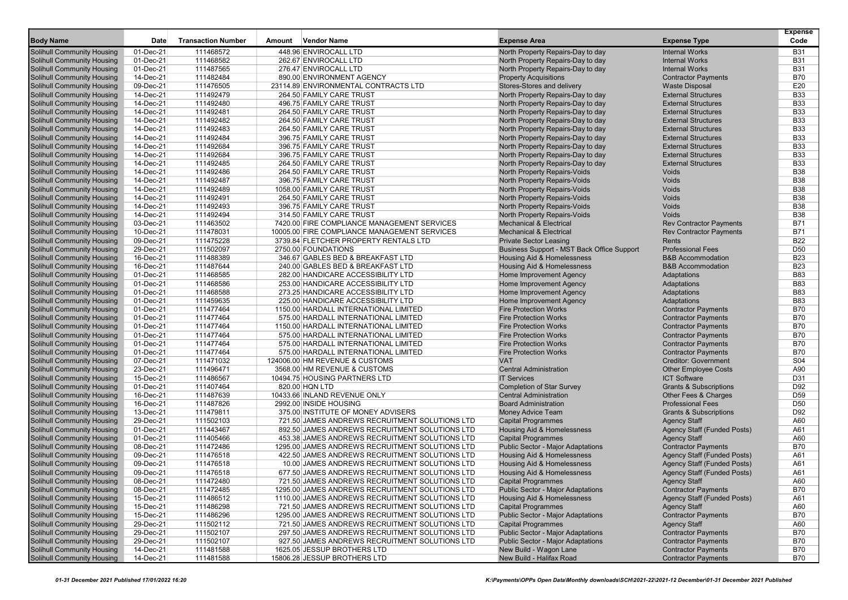|                                   |           |                           |        |                                                 |                                            |                                    | <b>Expense</b>  |
|-----------------------------------|-----------|---------------------------|--------|-------------------------------------------------|--------------------------------------------|------------------------------------|-----------------|
| <b>Body Name</b>                  | Date      | <b>Transaction Number</b> | Amount | Vendor Name                                     | <b>Expense Area</b>                        | <b>Expense Type</b>                | Code            |
| Solihull Community Housing        | 01-Dec-21 | 111468572                 |        | 448.96 ENVIROCALL LTD                           | North Property Repairs-Day to day          | <b>Internal Works</b>              | <b>B31</b>      |
| Solihull Community Housing        | 01-Dec-21 | 111468582                 |        | 262.67 ENVIROCALL LTD                           | North Property Repairs-Day to day          | <b>Internal Works</b>              | <b>B31</b>      |
| Solihull Community Housing        | 01-Dec-21 | 111487565                 |        | 276.47 ENVIROCALL LTD                           | North Property Repairs-Day to day          | <b>Internal Works</b>              | <b>B31</b>      |
| Solihull Community Housing        | 14-Dec-21 | 111482484                 |        | 890.00 ENVIRONMENT AGENCY                       | <b>Property Acquisitions</b>               | <b>Contractor Payments</b>         | <b>B70</b>      |
| Solihull Community Housing        | 09-Dec-21 | 111476505                 |        | 23114.89 ENVIRONMENTAL CONTRACTS LTD            | Stores-Stores and delivery                 | <b>Waste Disposal</b>              | E20             |
| Solihull Community Housing        | 14-Dec-21 | 111492479                 |        | 264.50 FAMILY CARE TRUST                        | North Property Repairs-Day to day          | <b>External Structures</b>         | <b>B33</b>      |
| Solihull Community Housing        | 14-Dec-21 | 111492480                 |        | 496.75 FAMILY CARE TRUST                        | North Property Repairs-Day to day          | <b>External Structures</b>         | <b>B33</b>      |
| <b>Solihull Community Housing</b> | 14-Dec-21 | 111492481                 |        | 264.50 FAMILY CARE TRUST                        | North Property Repairs-Day to day          | <b>External Structures</b>         | <b>B33</b>      |
| Solihull Community Housing        | 14-Dec-21 | 111492482                 |        | 264.50 FAMILY CARE TRUST                        | North Property Repairs-Day to day          | <b>External Structures</b>         | <b>B33</b>      |
| <b>Solihull Community Housing</b> | 14-Dec-21 | 111492483                 |        | 264.50 FAMILY CARE TRUST                        | North Property Repairs-Day to day          | <b>External Structures</b>         | <b>B33</b>      |
| Solihull Community Housing        | 14-Dec-21 | 111492484                 |        | 396.75 FAMILY CARE TRUST                        | North Property Repairs-Day to day          | <b>External Structures</b>         | <b>B33</b>      |
| Solihull Community Housing        | 14-Dec-21 | 111492684                 |        | 396.75 FAMILY CARE TRUST                        | North Property Repairs-Day to day          | <b>External Structures</b>         | <b>B33</b>      |
| Solihull Community Housing        | 14-Dec-21 | 111492684                 |        | 396.75 FAMILY CARE TRUST                        | North Property Repairs-Day to day          | <b>External Structures</b>         | <b>B33</b>      |
| <b>Solihull Community Housing</b> | 14-Dec-21 | 111492485                 |        | 264.50 FAMILY CARE TRUST                        | North Property Repairs-Day to day          | <b>External Structures</b>         | <b>B33</b>      |
| Solihull Community Housing        | 14-Dec-21 | 111492486                 |        | 264.50 FAMILY CARE TRUST                        | North Property Repairs-Voids               | Voids                              | <b>B38</b>      |
| <b>Solihull Community Housing</b> | 14-Dec-21 | 111492487                 |        | 396.75 FAMILY CARE TRUST                        | North Property Repairs-Voids               | Voids                              | <b>B38</b>      |
| Solihull Community Housing        | 14-Dec-21 | 111492489                 |        | 1058.00 FAMILY CARE TRUST                       | North Property Repairs-Voids               | Voids                              | <b>B38</b>      |
| Solihull Community Housing        | 14-Dec-21 | 111492491                 |        | 264.50 FAMILY CARE TRUST                        | North Property Repairs-Voids               | Voids                              | <b>B38</b>      |
| Solihull Community Housing        | 14-Dec-21 | 111492493                 |        | 396.75 FAMILY CARE TRUST                        | North Property Repairs-Voids               | Voids                              | <b>B38</b>      |
| Solihull Community Housing        | 14-Dec-21 | 111492494                 |        | 314.50 FAMILY CARE TRUST                        | North Property Repairs-Voids               | Voids                              | <b>B38</b>      |
| <b>Solihull Community Housing</b> | 03-Dec-21 | 111463502                 |        | 7420.00 FIRE COMPLIANCE MANAGEMENT SERVICES     | <b>Mechanical &amp; Electrical</b>         | <b>Rev Contractor Payments</b>     | <b>B71</b>      |
| Solihull Community Housing        | 10-Dec-21 | 111478031                 |        | 10005.00 FIRE COMPLIANCE MANAGEMENT SERVICES    | <b>Mechanical &amp; Electrical</b>         | <b>Rev Contractor Payments</b>     | <b>B71</b>      |
| Solihull Community Housing        | 09-Dec-21 | 111475228                 |        | 3739.84 FLETCHER PROPERTY RENTALS LTD           | <b>Private Sector Leasing</b>              | Rents                              | <b>B22</b>      |
| Solihull Community Housing        | 29-Dec-21 | 111502097                 |        | 2750.00 FOUNDATIONS                             | Business Support - MST Back Office Support | <b>Professional Fees</b>           | D <sub>50</sub> |
| Solihull Community Housing        | 16-Dec-21 | 111488389                 |        | 346.67 GABLES BED & BREAKFAST LTD               | Housing Aid & Homelessness                 | <b>B&amp;B Accommodation</b>       | <b>B23</b>      |
| Solihull Community Housing        | 16-Dec-21 | 111487644                 |        | 240.00 GABLES BED & BREAKFAST LTD               | <b>Housing Aid &amp; Homelessness</b>      | <b>B&amp;B Accommodation</b>       | <b>B23</b>      |
| <b>Solihull Community Housing</b> | 01-Dec-21 | 111468585                 |        | 282.00 HANDICARE ACCESSIBILITY LTD              | Home Improvement Agency                    | Adaptations                        | <b>B83</b>      |
| Solihull Community Housing        | 01-Dec-21 | 111468586                 |        | 253.00 HANDICARE ACCESSIBILITY LTD              | Home Improvement Agency                    | Adaptations                        | <b>B83</b>      |
| Solihull Community Housing        | 01-Dec-21 | 111468588                 |        | 273.25 HANDICARE ACCESSIBILITY LTD              | Home Improvement Agency                    | Adaptations                        | <b>B83</b>      |
| Solihull Community Housing        | 01-Dec-21 | 111459635                 |        | 225.00 HANDICARE ACCESSIBILITY LTD              | Home Improvement Agency                    | Adaptations                        | <b>B83</b>      |
| Solihull Community Housing        | 01-Dec-21 | 111477464                 |        | 1150.00 HARDALL INTERNATIONAL LIMITED           | <b>Fire Protection Works</b>               | <b>Contractor Payments</b>         | <b>B70</b>      |
| Solihull Community Housing        | 01-Dec-21 | 111477464                 |        | 575.00 HARDALL INTERNATIONAL LIMITED            | <b>Fire Protection Works</b>               | <b>Contractor Payments</b>         | <b>B70</b>      |
| <b>Solihull Community Housing</b> | 01-Dec-21 | 111477464                 |        | 1150.00 HARDALL INTERNATIONAL LIMITED           | <b>Fire Protection Works</b>               | <b>Contractor Payments</b>         | <b>B70</b>      |
| Solihull Community Housing        | 01-Dec-21 | 111477464                 |        | 575.00 HARDALL INTERNATIONAL LIMITED            | <b>Fire Protection Works</b>               | <b>Contractor Payments</b>         | <b>B70</b>      |
| <b>Solihull Community Housing</b> | 01-Dec-21 | 111477464                 |        | 575.00 HARDALL INTERNATIONAL LIMITED            | <b>Fire Protection Works</b>               | <b>Contractor Payments</b>         | <b>B70</b>      |
| Solihull Community Housing        | 01-Dec-21 | 111477464                 |        | 575.00 HARDALL INTERNATIONAL LIMITED            | <b>Fire Protection Works</b>               | <b>Contractor Payments</b>         | <b>B70</b>      |
| Solihull Community Housing        | 07-Dec-21 | 111471032                 |        | 124006.00 HM REVENUE & CUSTOMS                  | <b>VAT</b>                                 | <b>Creditor: Government</b>        | S04             |
| Solihull Community Housing        | 23-Dec-21 | 111496471                 |        | 3568.00 HM REVENUE & CUSTOMS                    | <b>Central Administration</b>              | <b>Other Employee Costs</b>        | A90             |
| Solihull Community Housing        | 15-Dec-21 | 111486567                 |        | 10494.75 HOUSING PARTNERS LTD                   | <b>IT Services</b>                         | <b>ICT Software</b>                | D31             |
| Solihull Community Housing        | 01-Dec-21 | 111407464                 |        | 820.00 HQN LTD                                  | <b>Completion of Star Survey</b>           | <b>Grants &amp; Subscriptions</b>  | D92             |
| Solihull Community Housing        | 16-Dec-21 | 111487639                 |        | 10433.66 INLAND REVENUE ONLY                    | <b>Central Administration</b>              | Other Fees & Charges               | D <sub>59</sub> |
| Solihull Community Housing        | 16-Dec-21 | 111487826                 |        | 2992.00 INSIDE HOUSING                          | <b>Board Administration</b>                | <b>Professional Fees</b>           | D <sub>50</sub> |
| Solihull Community Housing        | 13-Dec-21 | 111479811                 |        | 375.00 INSTITUTE OF MONEY ADVISERS              | <b>Money Advice Team</b>                   | <b>Grants &amp; Subscriptions</b>  | D92             |
| Solihull Community Housing        | 29-Dec-21 | 111502103                 |        | 721.50 JAMES ANDREWS RECRUITMENT SOLUTIONS LTD  | <b>Capital Programmes</b>                  | <b>Agency Staff</b>                | A60             |
| Solihull Community Housing        | 01-Dec-21 | 111443467                 |        | 892.50 JAMES ANDREWS RECRUITMENT SOLUTIONS LTD  | <b>Housing Aid &amp; Homelessness</b>      | Agency Staff (Funded Posts)        | A61             |
| <b>Solihull Community Housing</b> | 01-Dec-21 | 111405466                 |        | 453.38 JAMES ANDREWS RECRUITMENT SOLUTIONS LTD  | <b>Capital Programmes</b>                  | <b>Agency Staff</b>                | A60             |
| Solihull Community Housing        | 08-Dec-21 | 111472486                 |        | 1295.00 JAMES ANDREWS RECRUITMENT SOLUTIONS LTD | <b>Public Sector - Major Adaptations</b>   | <b>Contractor Payments</b>         | <b>B70</b>      |
| Solihull Community Housing        | 09-Dec-21 | 111476518                 |        | 422.50 JAMES ANDREWS RECRUITMENT SOLUTIONS LTD  | Housing Aid & Homelessness                 | Agency Staff (Funded Posts)        | A61             |
| <b>Solihull Community Housing</b> | 09-Dec-21 | 111476518                 |        | 10.00 JAMES ANDREWS RECRUITMENT SOLUTIONS LTD   | Housing Aid & Homelessness                 | Agency Staff (Funded Posts)        | A61             |
| Solihull Community Housing        | 09-Dec-21 | 111476518                 |        | 677.50 JAMES ANDREWS RECRUITMENT SOLUTIONS LTD  | <b>Housing Aid &amp; Homelessness</b>      | <b>Agency Staff (Funded Posts)</b> | A61             |
| <b>Solihull Community Housing</b> | 08-Dec-21 | 111472480                 |        | 721.50 JAMES ANDREWS RECRUITMENT SOLUTIONS LTD  | <b>Capital Programmes</b>                  | Agency Staff                       | A60             |
| <b>Solihull Community Housing</b> | 08-Dec-21 | 111472485                 |        | 1295.00 JAMES ANDREWS RECRUITMENT SOLUTIONS LTD | <b>Public Sector - Major Adaptations</b>   | <b>Contractor Payments</b>         | <b>B70</b>      |
| Solihull Community Housing        | 15-Dec-21 | 111486512                 |        | 1110.00 JAMES ANDREWS RECRUITMENT SOLUTIONS LTD | <b>Housing Aid &amp; Homelessness</b>      | Agency Staff (Funded Posts)        | A61             |
| Solihull Community Housing        | 15-Dec-21 | 111486298                 |        | 721.50 JAMES ANDREWS RECRUITMENT SOLUTIONS LTD  | <b>Capital Programmes</b>                  | <b>Agency Staff</b>                | A60             |
| Solihull Community Housing        | 15-Dec-21 | 111486296                 |        | 1295.00 JAMES ANDREWS RECRUITMENT SOLUTIONS LTD | Public Sector - Major Adaptations          | <b>Contractor Payments</b>         | <b>B70</b>      |
| Solihull Community Housing        | 29-Dec-21 | 111502112                 |        | 721.50 JAMES ANDREWS RECRUITMENT SOLUTIONS LTD  | <b>Capital Programmes</b>                  | <b>Agency Staff</b>                | A60             |
| Solihull Community Housing        | 29-Dec-21 | 111502107                 |        | 297.50 JAMES ANDREWS RECRUITMENT SOLUTIONS LTD  | Public Sector - Major Adaptations          | <b>Contractor Payments</b>         | <b>B70</b>      |
| <b>Solihull Community Housing</b> | 29-Dec-21 | 111502107                 |        | 927.50 JAMES ANDREWS RECRUITMENT SOLUTIONS LTD  | Public Sector - Major Adaptations          | <b>Contractor Payments</b>         | <b>B70</b>      |
| Solihull Community Housing        | 14-Dec-21 | 111481588                 |        | 1625.05 JESSUP BROTHERS LTD                     | New Build - Wagon Lane                     | <b>Contractor Payments</b>         | <b>B70</b>      |
| <b>Solihull Community Housing</b> | 14-Dec-21 | 111481588                 |        | 15806.28 JESSUP BROTHERS LTD                    | New Build - Halifax Road                   | <b>Contractor Payments</b>         | <b>B70</b>      |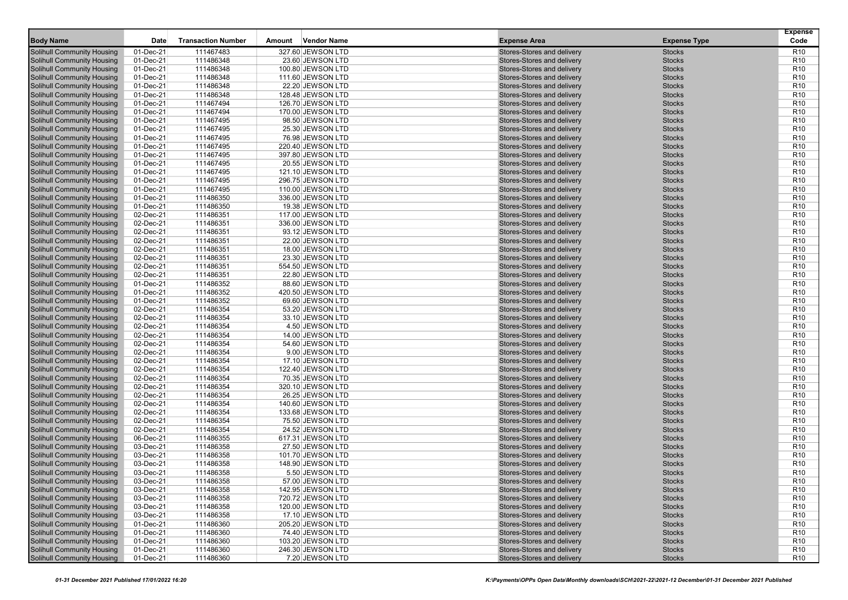|                                                                        |                        |                           |        |                                       |                                                          |                                | <b>Expense</b>                     |
|------------------------------------------------------------------------|------------------------|---------------------------|--------|---------------------------------------|----------------------------------------------------------|--------------------------------|------------------------------------|
| <b>Body Name</b>                                                       | <b>Date</b>            | <b>Transaction Number</b> | Amount | <b>Vendor Name</b>                    | <b>Expense Area</b>                                      | <b>Expense Type</b>            | Code                               |
| <b>Solihull Community Housing</b>                                      | 01-Dec-21              | 111467483                 |        | 327.60 JEWSON LTD                     | Stores-Stores and delivery                               | <b>Stocks</b>                  | R <sub>10</sub>                    |
| <b>Solihull Community Housing</b>                                      | 01-Dec-21              | 111486348                 |        | 23.60 JEWSON LTD                      | Stores-Stores and delivery                               | <b>Stocks</b>                  | R <sub>10</sub>                    |
| <b>Solihull Community Housing</b>                                      | 01-Dec-21              | 111486348                 |        | 100.80 JEWSON LTD                     | Stores-Stores and delivery                               | <b>Stocks</b>                  | R <sub>10</sub>                    |
| <b>Solihull Community Housing</b>                                      | 01-Dec-21              | 111486348                 |        | 111.60 JEWSON LTD                     | Stores-Stores and delivery                               | <b>Stocks</b>                  | R <sub>10</sub>                    |
| <b>Solihull Community Housing</b>                                      | 01-Dec-21              | 111486348                 |        | 22.20 JEWSON LTD                      | Stores-Stores and delivery                               | <b>Stocks</b>                  | R <sub>10</sub>                    |
| <b>Solihull Community Housing</b>                                      | 01-Dec-21              | 111486348                 |        | 128.48 JEWSON LTD                     | Stores-Stores and delivery                               | <b>Stocks</b>                  | R <sub>10</sub>                    |
| <b>Solihull Community Housing</b>                                      | 01-Dec-21              | 111467494                 |        | 126.70 JEWSON LTD                     | Stores-Stores and delivery                               | <b>Stocks</b>                  | R <sub>10</sub>                    |
| <b>Solihull Community Housing</b>                                      | 01-Dec-21              | 111467494                 |        | 170.00 JEWSON LTD                     | Stores-Stores and delivery                               | <b>Stocks</b>                  | R <sub>10</sub>                    |
| <b>Solihull Community Housing</b>                                      | 01-Dec-21              | 111467495                 |        | 98.50 JEWSON LTD                      | Stores-Stores and delivery                               | <b>Stocks</b>                  | R <sub>10</sub>                    |
| <b>Solihull Community Housing</b>                                      | 01-Dec-21              | 111467495                 |        | 25.30 JEWSON LTD                      | Stores-Stores and delivery                               | <b>Stocks</b>                  | R <sub>10</sub>                    |
| <b>Solihull Community Housing</b>                                      | 01-Dec-21              | 111467495                 |        | 76.98 JEWSON LTD                      | Stores-Stores and delivery                               | <b>Stocks</b>                  | R <sub>10</sub>                    |
| <b>Solihull Community Housing</b>                                      | 01-Dec-21              | 111467495                 |        | 220.40 JEWSON LTD                     | Stores-Stores and delivery                               | <b>Stocks</b>                  | R <sub>10</sub>                    |
| <b>Solihull Community Housing</b>                                      | 01-Dec-21              | 111467495                 |        | 397.80 JEWSON LTD                     | Stores-Stores and delivery                               | <b>Stocks</b>                  | R <sub>10</sub>                    |
| <b>Solihull Community Housing</b>                                      | 01-Dec-21              | 111467495                 |        | 20.55 JEWSON LTD                      | Stores-Stores and delivery                               | <b>Stocks</b>                  | R <sub>10</sub>                    |
| <b>Solihull Community Housing</b>                                      | 01-Dec-21              | 111467495                 |        | 121.10 JEWSON LTD                     | Stores-Stores and delivery                               | <b>Stocks</b>                  | R <sub>10</sub>                    |
| <b>Solihull Community Housing</b>                                      | 01-Dec-21              | 111467495                 |        | 296.75 JEWSON LTD                     | Stores-Stores and delivery                               | <b>Stocks</b>                  | R <sub>10</sub>                    |
| <b>Solihull Community Housing</b>                                      | 01-Dec-21              | 111467495                 |        | 110.00 JEWSON LTD                     | Stores-Stores and delivery                               | <b>Stocks</b>                  | R <sub>10</sub>                    |
| <b>Solihull Community Housing</b>                                      | 01-Dec-21              | 111486350                 |        | 336.00 JEWSON LTD                     | Stores-Stores and delivery                               | <b>Stocks</b>                  | R <sub>10</sub>                    |
| <b>Solihull Community Housing</b>                                      | 01-Dec-21              | 111486350                 |        | 19.38 JEWSON LTD                      | Stores-Stores and delivery                               | <b>Stocks</b>                  | R <sub>10</sub>                    |
| <b>Solihull Community Housing</b>                                      | 02-Dec-21              | 111486351                 |        | 117.00 JEWSON LTD                     | Stores-Stores and delivery                               | <b>Stocks</b>                  | R <sub>10</sub>                    |
| <b>Solihull Community Housing</b>                                      | 02-Dec-21              | 111486351                 |        | 336.00 JEWSON LTD                     | Stores-Stores and delivery                               | <b>Stocks</b>                  | R <sub>10</sub>                    |
| <b>Solihull Community Housing</b>                                      | 02-Dec-21              | 111486351                 |        | 93.12 JEWSON LTD                      | Stores-Stores and delivery                               | <b>Stocks</b>                  | R <sub>10</sub>                    |
| <b>Solihull Community Housing</b>                                      | 02-Dec-21              | 111486351                 |        | 22.00 JEWSON LTD                      | Stores-Stores and delivery                               | <b>Stocks</b>                  | R <sub>10</sub>                    |
| <b>Solihull Community Housing</b>                                      | 02-Dec-21              | 111486351                 |        | 18.00 JEWSON LTD                      | Stores-Stores and delivery                               | <b>Stocks</b>                  | R <sub>10</sub>                    |
| <b>Solihull Community Housing</b>                                      | 02-Dec-21              | 111486351                 |        | 23.30 JEWSON LTD                      | Stores-Stores and delivery                               | <b>Stocks</b>                  | R <sub>10</sub>                    |
| <b>Solihull Community Housing</b>                                      | 02-Dec-21              | 111486351                 |        | 554.50 JEWSON LTD                     | Stores-Stores and delivery                               | <b>Stocks</b>                  | R <sub>10</sub>                    |
| <b>Solihull Community Housing</b>                                      | 02-Dec-21              | 111486351                 |        | 22.80 JEWSON LTD                      | Stores-Stores and delivery                               | <b>Stocks</b>                  | R <sub>10</sub>                    |
| <b>Solihull Community Housing</b>                                      | 01-Dec-21              | 111486352                 |        | 88.60 JEWSON LTD                      | Stores-Stores and delivery                               | <b>Stocks</b>                  | R <sub>10</sub>                    |
| <b>Solihull Community Housing</b>                                      | 01-Dec-21              | 111486352                 |        | 420.50 JEWSON LTD                     | Stores-Stores and delivery                               | <b>Stocks</b>                  | R <sub>10</sub>                    |
| <b>Solihull Community Housing</b>                                      | 01-Dec-21              | 111486352                 |        | 69.60 JEWSON LTD                      | Stores-Stores and delivery                               | <b>Stocks</b>                  | R <sub>10</sub>                    |
| <b>Solihull Community Housing</b>                                      | 02-Dec-21              | 111486354                 |        | 53.20 JEWSON LTD                      | Stores-Stores and delivery                               | <b>Stocks</b>                  | R <sub>10</sub>                    |
| <b>Solihull Community Housing</b>                                      | 02-Dec-21              | 111486354                 |        | 33.10 JEWSON LTD                      | Stores-Stores and delivery                               | <b>Stocks</b>                  | R <sub>10</sub>                    |
| <b>Solihull Community Housing</b>                                      | 02-Dec-21              | 111486354                 |        | 4.50 JEWSON LTD                       | Stores-Stores and delivery                               | <b>Stocks</b>                  | R <sub>10</sub>                    |
| <b>Solihull Community Housing</b>                                      | 02-Dec-21              | 111486354                 |        | 14.00 JEWSON LTD                      | Stores-Stores and delivery                               | <b>Stocks</b>                  | R <sub>10</sub>                    |
| <b>Solihull Community Housing</b>                                      | 02-Dec-21              | 111486354                 |        | 54.60 JEWSON LTD                      | Stores-Stores and delivery                               | <b>Stocks</b>                  | R <sub>10</sub>                    |
| <b>Solihull Community Housing</b>                                      | 02-Dec-21              | 111486354                 |        | 9.00 JEWSON LTD                       | Stores-Stores and delivery                               | <b>Stocks</b><br><b>Stocks</b> | R <sub>10</sub><br>R <sub>10</sub> |
| <b>Solihull Community Housing</b>                                      | 02-Dec-21<br>02-Dec-21 | 111486354<br>111486354    |        | 17.10 JEWSON LTD<br>122.40 JEWSON LTD | Stores-Stores and delivery<br>Stores-Stores and delivery | <b>Stocks</b>                  | R <sub>10</sub>                    |
| <b>Solihull Community Housing</b><br><b>Solihull Community Housing</b> | 02-Dec-21              | 111486354                 |        | 70.35 JEWSON LTD                      | Stores-Stores and delivery                               | <b>Stocks</b>                  | R <sub>10</sub>                    |
| <b>Solihull Community Housing</b>                                      | 02-Dec-21              | 111486354                 |        | 320.10 JEWSON LTD                     | Stores-Stores and delivery                               | <b>Stocks</b>                  | R <sub>10</sub>                    |
| <b>Solihull Community Housing</b>                                      | 02-Dec-21              | 111486354                 |        | 26.25 JEWSON LTD                      | Stores-Stores and delivery                               | <b>Stocks</b>                  | R <sub>10</sub>                    |
| <b>Solihull Community Housing</b>                                      | 02-Dec-21              | 111486354                 |        | 140.60 JEWSON LTD                     | Stores-Stores and delivery                               | <b>Stocks</b>                  | R <sub>10</sub>                    |
| <b>Solihull Community Housing</b>                                      | 02-Dec-21              | 111486354                 |        | 133.68 JEWSON LTD                     | Stores-Stores and delivery                               | <b>Stocks</b>                  | R <sub>10</sub>                    |
| <b>Solihull Community Housing</b>                                      | 02-Dec-21              | 111486354                 |        | 75.50 JEWSON LTD                      | Stores-Stores and delivery                               | <b>Stocks</b>                  | R <sub>10</sub>                    |
| <b>Solihull Community Housing</b>                                      | 02-Dec-21              | 111486354                 |        | 24.52 JEWSON LTD                      | Stores-Stores and delivery                               | <b>Stocks</b>                  | R <sub>10</sub>                    |
| <b>Solihull Community Housing</b>                                      | 06-Dec-21              | 111486355                 |        | 617.31 JEWSON LTD                     | Stores-Stores and delivery                               | <b>Stocks</b>                  | R <sub>10</sub>                    |
| <b>Solihull Community Housing</b>                                      | 03-Dec-21              | 111486358                 |        | 27.50 JEWSON LTD                      | Stores-Stores and delivery                               | <b>Stocks</b>                  | R <sub>10</sub>                    |
| <b>Solihull Community Housing</b>                                      | 03-Dec-21              | 111486358                 |        | 101.70 JEWSON LTD                     | Stores-Stores and delivery                               | <b>Stocks</b>                  | R <sub>10</sub>                    |
| <b>Solihull Community Housing</b>                                      | 03-Dec-21              | 111486358                 |        | 148.90 JEWSON LTD                     | Stores-Stores and delivery                               | <b>Stocks</b>                  | R <sub>10</sub>                    |
| <b>Solihull Community Housing</b>                                      | 03-Dec-21              | 111486358                 |        | 5.50 JEWSON LTD                       | Stores-Stores and delivery                               | <b>Stocks</b>                  | R <sub>10</sub>                    |
| <b>Solihull Community Housing</b>                                      | 03-Dec-21              | 111486358                 |        | 57.00 JEWSON LTD                      | Stores-Stores and delivery                               | <b>Stocks</b>                  | R <sub>10</sub>                    |
| <b>Solihull Community Housing</b>                                      | 03-Dec-21              | 111486358                 |        | 142.95 JEWSON LTD                     | Stores-Stores and delivery                               | <b>Stocks</b>                  | R <sub>10</sub>                    |
| <b>Solihull Community Housing</b>                                      | 03-Dec-21              | 111486358                 |        | 720.72 JEWSON LTD                     | Stores-Stores and delivery                               | <b>Stocks</b>                  | R <sub>10</sub>                    |
| <b>Solihull Community Housing</b>                                      | 03-Dec-21              | 111486358                 |        | 120.00 JEWSON LTD                     | Stores-Stores and delivery                               | <b>Stocks</b>                  | R <sub>10</sub>                    |
| <b>Solihull Community Housing</b>                                      | 03-Dec-21              | 111486358                 |        | 17.10 JEWSON LTD                      | Stores-Stores and delivery                               | <b>Stocks</b>                  | R <sub>10</sub>                    |
| <b>Solihull Community Housing</b>                                      | 01-Dec-21              | 111486360                 |        | 205.20 JEWSON LTD                     | Stores-Stores and delivery                               | <b>Stocks</b>                  | R <sub>10</sub>                    |
| <b>Solihull Community Housing</b>                                      | 01-Dec-21              | 111486360                 |        | 74.40 JEWSON LTD                      | Stores-Stores and delivery                               | <b>Stocks</b>                  | R <sub>10</sub>                    |
| <b>Solihull Community Housing</b>                                      | 01-Dec-21              | 111486360                 |        | 103.20 JEWSON LTD                     | Stores-Stores and delivery                               | <b>Stocks</b>                  | R <sub>10</sub>                    |
| <b>Solihull Community Housing</b>                                      | 01-Dec-21              | 111486360                 |        | 246.30 JEWSON LTD                     | Stores-Stores and delivery                               | <b>Stocks</b>                  | R <sub>10</sub>                    |
| <b>Solihull Community Housing</b>                                      | $01$ -Dec-21           | 111486360                 |        | 7.20 JEWSON LTD                       | Stores-Stores and delivery                               | <b>Stocks</b>                  | R <sub>10</sub>                    |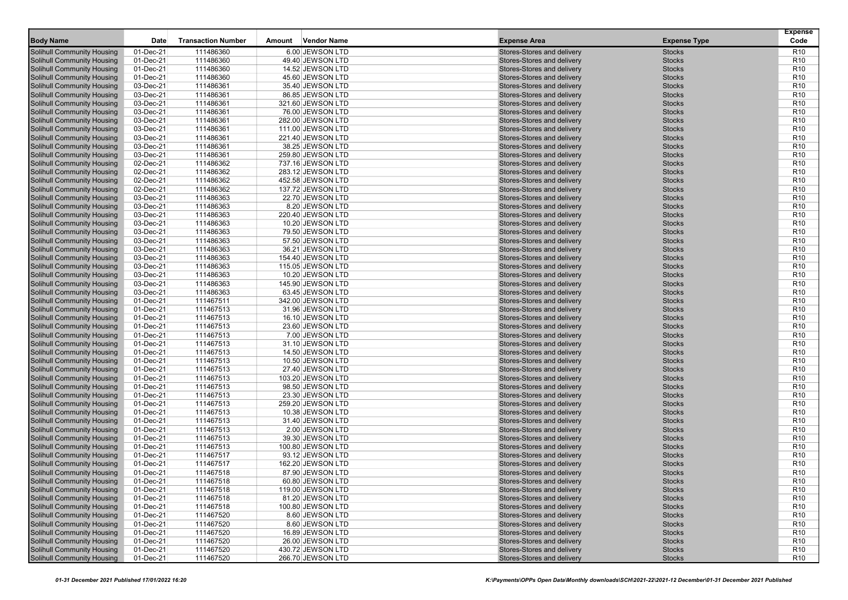|                                                                        |                        |                           |        |                                       |                                                          |                                | <b>Expense</b>                     |
|------------------------------------------------------------------------|------------------------|---------------------------|--------|---------------------------------------|----------------------------------------------------------|--------------------------------|------------------------------------|
| <b>Body Name</b>                                                       | <b>Date</b>            | <b>Transaction Number</b> | Amount | <b>Vendor Name</b>                    | <b>Expense Area</b>                                      | <b>Expense Type</b>            | Code                               |
| <b>Solihull Community Housing</b>                                      | 01-Dec-21              | 111486360                 |        | 6.00 JEWSON LTD                       | Stores-Stores and delivery                               | <b>Stocks</b>                  | R <sub>10</sub>                    |
| <b>Solihull Community Housing</b>                                      | 01-Dec-21              | 111486360                 |        | 49.40 JEWSON LTD                      | Stores-Stores and delivery                               | <b>Stocks</b>                  | R <sub>10</sub>                    |
| <b>Solihull Community Housing</b>                                      | 01-Dec-21              | 111486360                 |        | 14.52 JEWSON LTD                      | Stores-Stores and delivery                               | <b>Stocks</b>                  | R <sub>10</sub>                    |
| <b>Solihull Community Housing</b>                                      | 01-Dec-21              | 111486360                 |        | 45.60 JEWSON LTD                      | Stores-Stores and delivery                               | <b>Stocks</b>                  | R <sub>10</sub>                    |
| <b>Solihull Community Housing</b>                                      | 03-Dec-21              | 111486361                 |        | 35.40 JEWSON LTD                      | Stores-Stores and delivery                               | <b>Stocks</b>                  | R <sub>10</sub>                    |
| <b>Solihull Community Housing</b>                                      | 03-Dec-21              | 111486361                 |        | 86.85 JEWSON LTD                      | Stores-Stores and delivery                               | <b>Stocks</b>                  | R <sub>10</sub>                    |
| <b>Solihull Community Housing</b>                                      | 03-Dec-21              | 111486361                 |        | 321.60 JEWSON LTD                     | Stores-Stores and delivery                               | <b>Stocks</b>                  | R <sub>10</sub>                    |
| <b>Solihull Community Housing</b>                                      | 03-Dec-21              | 111486361                 |        | 76.00 JEWSON LTD                      | Stores-Stores and delivery                               | <b>Stocks</b>                  | R <sub>10</sub>                    |
| <b>Solihull Community Housing</b>                                      | 03-Dec-21              | 111486361                 |        | 282.00 JEWSON LTD                     | Stores-Stores and delivery                               | <b>Stocks</b>                  | R <sub>10</sub>                    |
| <b>Solihull Community Housing</b>                                      | 03-Dec-21              | 111486361                 |        | 111.00 JEWSON LTD                     | Stores-Stores and delivery                               | <b>Stocks</b>                  | R <sub>10</sub>                    |
| <b>Solihull Community Housing</b>                                      | 03-Dec-21              | 111486361                 |        | 221.40 JEWSON LTD                     | Stores-Stores and delivery                               | <b>Stocks</b>                  | R <sub>10</sub>                    |
| <b>Solihull Community Housing</b>                                      | 03-Dec-21              | 111486361                 |        | 38.25 JEWSON LTD                      | Stores-Stores and delivery                               | <b>Stocks</b>                  | R <sub>10</sub>                    |
| <b>Solihull Community Housing</b>                                      | 03-Dec-21              | 111486361                 |        | 259.80 JEWSON LTD                     | Stores-Stores and delivery                               | <b>Stocks</b>                  | R <sub>10</sub>                    |
| <b>Solihull Community Housing</b>                                      | 02-Dec-21              | 111486362                 |        | 737.16 JEWSON LTD                     | Stores-Stores and delivery                               | <b>Stocks</b>                  | R <sub>10</sub>                    |
| <b>Solihull Community Housing</b>                                      | 02-Dec-21              | 111486362                 |        | 283.12 JEWSON LTD                     | Stores-Stores and delivery                               | <b>Stocks</b>                  | R <sub>10</sub>                    |
| <b>Solihull Community Housing</b>                                      | 02-Dec-21              | 111486362                 |        | 452.58 JEWSON LTD                     | Stores-Stores and delivery                               | <b>Stocks</b>                  | R <sub>10</sub>                    |
| <b>Solihull Community Housing</b>                                      | 02-Dec-21              | 111486362                 |        | 137.72 JEWSON LTD                     | Stores-Stores and delivery                               | <b>Stocks</b>                  | R <sub>10</sub>                    |
| <b>Solihull Community Housing</b>                                      | 03-Dec-21              | 111486363                 |        | 22.70 JEWSON LTD                      | Stores-Stores and delivery                               | <b>Stocks</b>                  | R <sub>10</sub>                    |
| <b>Solihull Community Housing</b>                                      | 03-Dec-21              | 111486363                 |        | 8.20 JEWSON LTD                       | Stores-Stores and delivery                               | <b>Stocks</b>                  | R <sub>10</sub>                    |
| <b>Solihull Community Housing</b>                                      | 03-Dec-21              | 111486363                 |        | 220.40 JEWSON LTD                     | Stores-Stores and delivery                               | <b>Stocks</b>                  | R <sub>10</sub>                    |
| <b>Solihull Community Housing</b>                                      | 03-Dec-21              | 111486363                 |        | 10.20 JEWSON LTD                      | Stores-Stores and delivery                               | <b>Stocks</b>                  | R <sub>10</sub>                    |
| <b>Solihull Community Housing</b>                                      | 03-Dec-21              | 111486363                 |        | 79.50 JEWSON LTD                      | Stores-Stores and delivery                               | <b>Stocks</b>                  | R <sub>10</sub>                    |
| <b>Solihull Community Housing</b>                                      | 03-Dec-21              | 111486363                 |        | 57.50 JEWSON LTD                      | Stores-Stores and delivery                               | <b>Stocks</b>                  | R <sub>10</sub>                    |
| <b>Solihull Community Housing</b>                                      | 03-Dec-21              | 111486363                 |        | 36.21 JEWSON LTD                      | Stores-Stores and delivery                               | <b>Stocks</b>                  | R <sub>10</sub>                    |
| <b>Solihull Community Housing</b>                                      | 03-Dec-21              | 111486363                 |        | 154.40 JEWSON LTD                     | Stores-Stores and delivery                               | <b>Stocks</b>                  | R <sub>10</sub>                    |
| <b>Solihull Community Housing</b>                                      | 03-Dec-21              | 111486363                 |        | 115.05 JEWSON LTD                     | Stores-Stores and delivery                               | <b>Stocks</b>                  | R <sub>10</sub>                    |
| <b>Solihull Community Housing</b>                                      | 03-Dec-21              | 111486363                 |        | 10.20 JEWSON LTD                      | Stores-Stores and delivery                               | <b>Stocks</b>                  | R <sub>10</sub>                    |
| <b>Solihull Community Housing</b>                                      | 03-Dec-21              | 111486363                 |        | 145.90 JEWSON LTD                     | Stores-Stores and delivery                               | <b>Stocks</b>                  | R <sub>10</sub>                    |
| <b>Solihull Community Housing</b>                                      | 03-Dec-21              | 111486363                 |        | 63.45 JEWSON LTD                      | Stores-Stores and delivery                               | <b>Stocks</b>                  | R <sub>10</sub>                    |
| <b>Solihull Community Housing</b>                                      | 01-Dec-21              | 111467511                 |        | 342.00 JEWSON LTD                     | Stores-Stores and delivery                               | <b>Stocks</b>                  | R <sub>10</sub>                    |
| <b>Solihull Community Housing</b>                                      | 01-Dec-21              | 111467513                 |        | 31.96 JEWSON LTD                      | Stores-Stores and delivery                               | <b>Stocks</b>                  | R <sub>10</sub>                    |
| <b>Solihull Community Housing</b>                                      | 01-Dec-21              | 111467513                 |        | 16.10 JEWSON LTD                      | Stores-Stores and delivery                               | <b>Stocks</b>                  | R <sub>10</sub>                    |
| <b>Solihull Community Housing</b>                                      | 01-Dec-21              | 111467513                 |        | 23.60 JEWSON LTD                      | Stores-Stores and delivery                               | <b>Stocks</b>                  | R <sub>10</sub>                    |
| <b>Solihull Community Housing</b>                                      | 01-Dec-21              | 111467513                 |        | 7.00 JEWSON LTD                       | Stores-Stores and delivery                               | <b>Stocks</b>                  | R <sub>10</sub>                    |
| <b>Solihull Community Housing</b>                                      | 01-Dec-21              | 111467513                 |        | 31.10 JEWSON LTD                      | Stores-Stores and delivery                               | <b>Stocks</b>                  | R <sub>10</sub>                    |
| <b>Solihull Community Housing</b>                                      | 01-Dec-21              | 111467513<br>111467513    |        | 14.50 JEWSON LTD                      | Stores-Stores and delivery                               | <b>Stocks</b><br><b>Stocks</b> | R <sub>10</sub><br>R <sub>10</sub> |
| <b>Solihull Community Housing</b>                                      | 01-Dec-21<br>01-Dec-21 | 111467513                 |        | 10.50 JEWSON LTD<br>27.40 JEWSON LTD  | Stores-Stores and delivery<br>Stores-Stores and delivery | <b>Stocks</b>                  | R <sub>10</sub>                    |
| <b>Solihull Community Housing</b><br><b>Solihull Community Housing</b> | 01-Dec-21              | 111467513                 |        |                                       | Stores-Stores and delivery                               | <b>Stocks</b>                  | R <sub>10</sub>                    |
| <b>Solihull Community Housing</b>                                      | 01-Dec-21              | 111467513                 |        | 103.20 JEWSON LTD<br>98.50 JEWSON LTD | Stores-Stores and delivery                               | <b>Stocks</b>                  | R <sub>10</sub>                    |
| <b>Solihull Community Housing</b>                                      | 01-Dec-21              | 111467513                 |        | 23.30 JEWSON LTD                      | Stores-Stores and delivery                               | <b>Stocks</b>                  | R <sub>10</sub>                    |
| <b>Solihull Community Housing</b>                                      | 01-Dec-21              | 111467513                 |        | 259.20 JEWSON LTD                     | Stores-Stores and delivery                               | <b>Stocks</b>                  | R <sub>10</sub>                    |
| <b>Solihull Community Housing</b>                                      | 01-Dec-21              | 111467513                 |        | 10.38 JEWSON LTD                      | Stores-Stores and delivery                               | <b>Stocks</b>                  | R <sub>10</sub>                    |
| <b>Solihull Community Housing</b>                                      | 01-Dec-21              | 111467513                 |        | 31.40 JEWSON LTD                      | Stores-Stores and delivery                               | <b>Stocks</b>                  | R <sub>10</sub>                    |
| <b>Solihull Community Housing</b>                                      | 01-Dec-21              | 111467513                 |        | 2.00 JEWSON LTD                       | Stores-Stores and delivery                               | <b>Stocks</b>                  | R <sub>10</sub>                    |
| <b>Solihull Community Housing</b>                                      | 01-Dec-21              | 111467513                 |        | 39.30 JEWSON LTD                      | Stores-Stores and delivery                               | <b>Stocks</b>                  | R <sub>10</sub>                    |
| <b>Solihull Community Housing</b>                                      | 01-Dec-21              | 111467513                 |        | 100.80 JEWSON LTD                     | Stores-Stores and delivery                               | <b>Stocks</b>                  | R <sub>10</sub>                    |
| <b>Solihull Community Housing</b>                                      | 01-Dec-21              | 111467517                 |        | 93.12 JEWSON LTD                      | Stores-Stores and delivery                               | <b>Stocks</b>                  | R <sub>10</sub>                    |
| <b>Solihull Community Housing</b>                                      | 01-Dec-21              | 111467517                 |        | 162.20 JEWSON LTD                     | Stores-Stores and delivery                               | <b>Stocks</b>                  | R <sub>10</sub>                    |
| <b>Solihull Community Housing</b>                                      | 01-Dec-21              | 111467518                 |        | 87.90 JEWSON LTD                      | Stores-Stores and delivery                               | <b>Stocks</b>                  | R <sub>10</sub>                    |
| <b>Solihull Community Housing</b>                                      | 01-Dec-21              | 11146/518                 |        | 60.80 JEWSON LTD                      | Stores-Stores and delivery                               | <b>Stocks</b>                  | R <sub>10</sub>                    |
| <b>Solihull Community Housing</b>                                      | 01-Dec-21              | 111467518                 |        | 119.00 JEWSON LTD                     | Stores-Stores and delivery                               | <b>Stocks</b>                  | R <sub>10</sub>                    |
| <b>Solihull Community Housing</b>                                      | 01-Dec-21              | 111467518                 |        | 81.20 JEWSON LTD                      | Stores-Stores and delivery                               | <b>Stocks</b>                  | R <sub>10</sub>                    |
| <b>Solihull Community Housing</b>                                      | 01-Dec-21              | 111467518                 |        | 100.80 JEWSON LTD                     | Stores-Stores and delivery                               | <b>Stocks</b>                  | R <sub>10</sub>                    |
| <b>Solihull Community Housing</b>                                      | 01-Dec-21              | 111467520                 |        | 8.60 JEWSON LTD                       | Stores-Stores and delivery                               | <b>Stocks</b>                  | R <sub>10</sub>                    |
| <b>Solihull Community Housing</b>                                      | 01-Dec-21              | 111467520                 |        | 8.60 JEWSON LTD                       | Stores-Stores and delivery                               | <b>Stocks</b>                  | R <sub>10</sub>                    |
| <b>Solihull Community Housing</b>                                      | 01-Dec-21              | 111467520                 |        | 16.89 JEWSON LTD                      | Stores-Stores and delivery                               | <b>Stocks</b>                  | R <sub>10</sub>                    |
| <b>Solihull Community Housing</b>                                      | 01-Dec-21              | 111467520                 |        | 26.00 JEWSON LTD                      | Stores-Stores and delivery                               | <b>Stocks</b>                  | R <sub>10</sub>                    |
| <b>Solihull Community Housing</b>                                      | 01-Dec-21              | 111467520                 |        | 430.72 JEWSON LTD                     | Stores-Stores and delivery                               | <b>Stocks</b>                  | R <sub>10</sub>                    |
| <b>Solihull Community Housing</b>                                      | $01$ -Dec-21           | 111467520                 |        | 266.70 JEWSON LTD                     | Stores-Stores and delivery                               | <b>Stocks</b>                  | R <sub>10</sub>                    |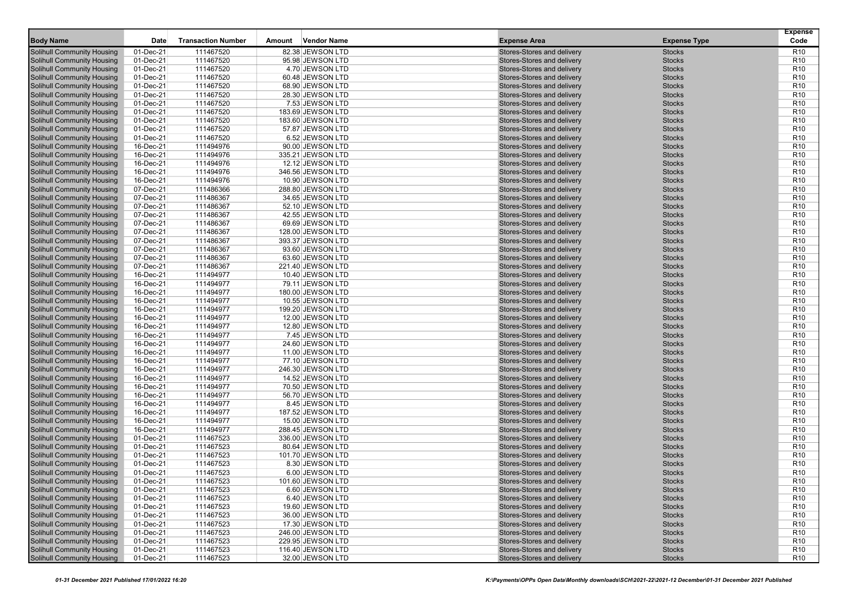|                                                                        |                        |                           |        |                                       |                                                          |                                | <b>Expense</b>                     |
|------------------------------------------------------------------------|------------------------|---------------------------|--------|---------------------------------------|----------------------------------------------------------|--------------------------------|------------------------------------|
| <b>Body Name</b>                                                       | <b>Date</b>            | <b>Transaction Number</b> | Amount | <b>Vendor Name</b>                    | <b>Expense Area</b>                                      | <b>Expense Type</b>            | Code                               |
| <b>Solihull Community Housing</b>                                      | 01-Dec-21              | 111467520                 |        | 82.38 JEWSON LTD                      | Stores-Stores and delivery                               | <b>Stocks</b>                  | R <sub>10</sub>                    |
| <b>Solihull Community Housing</b>                                      | 01-Dec-21              | 111467520                 |        | 95.98 JEWSON LTD                      | Stores-Stores and delivery                               | <b>Stocks</b>                  | R <sub>10</sub>                    |
| <b>Solihull Community Housing</b>                                      | 01-Dec-21              | 111467520                 |        | 4.70 JEWSON LTD                       | Stores-Stores and delivery                               | <b>Stocks</b>                  | R <sub>10</sub>                    |
| <b>Solihull Community Housing</b>                                      | 01-Dec-21              | 111467520                 |        | 60.48 JEWSON LTD                      | Stores-Stores and delivery                               | <b>Stocks</b>                  | R <sub>10</sub>                    |
| <b>Solihull Community Housing</b>                                      | 01-Dec-21              | 111467520                 |        | 68.90 JEWSON LTD                      | Stores-Stores and delivery                               | <b>Stocks</b>                  | R <sub>10</sub>                    |
| <b>Solihull Community Housing</b>                                      | 01-Dec-21              | 111467520                 |        | 28.30 JEWSON LTD                      | Stores-Stores and delivery                               | <b>Stocks</b>                  | R <sub>10</sub>                    |
| <b>Solihull Community Housing</b>                                      | 01-Dec-21              | 111467520                 |        | 7.53 JEWSON LTD                       | Stores-Stores and delivery                               | <b>Stocks</b>                  | R <sub>10</sub>                    |
| <b>Solihull Community Housing</b>                                      | 01-Dec-21              | 111467520                 |        | 183.69 JEWSON LTD                     | Stores-Stores and delivery                               | <b>Stocks</b>                  | R <sub>10</sub>                    |
| <b>Solihull Community Housing</b>                                      | 01-Dec-21              | 111467520                 |        | 183.60 JEWSON LTD                     | Stores-Stores and delivery                               | <b>Stocks</b>                  | R <sub>10</sub>                    |
| <b>Solihull Community Housing</b>                                      | 01-Dec-21              | 111467520                 |        | 57.87 JEWSON LTD                      | Stores-Stores and delivery                               | <b>Stocks</b>                  | R <sub>10</sub>                    |
| <b>Solihull Community Housing</b>                                      | 01-Dec-21              | 111467520                 |        | 6.52 JEWSON LTD                       | Stores-Stores and delivery                               | <b>Stocks</b>                  | R <sub>10</sub>                    |
| <b>Solihull Community Housing</b>                                      | 16-Dec-21              | 111494976                 |        | 90.00 JEWSON LTD                      | Stores-Stores and delivery                               | <b>Stocks</b>                  | R <sub>10</sub>                    |
| <b>Solihull Community Housing</b>                                      | 16-Dec-21              | 111494976                 |        | 335.21 JEWSON LTD                     | Stores-Stores and delivery                               | <b>Stocks</b>                  | R <sub>10</sub>                    |
| <b>Solihull Community Housing</b>                                      | 16-Dec-21              | 111494976                 |        | 12.12 JEWSON LTD                      | Stores-Stores and delivery                               | <b>Stocks</b>                  | R <sub>10</sub>                    |
| <b>Solihull Community Housing</b>                                      | 16-Dec-21              | 111494976                 |        | 346.56 JEWSON LTD                     | Stores-Stores and delivery                               | <b>Stocks</b>                  | R <sub>10</sub>                    |
| <b>Solihull Community Housing</b>                                      | 16-Dec-21              | 111494976                 |        | 10.90 JEWSON LTD                      | Stores-Stores and delivery                               | <b>Stocks</b>                  | R <sub>10</sub>                    |
| <b>Solihull Community Housing</b>                                      | 07-Dec-21              | 111486366                 |        | 288.80 JEWSON LTD                     | Stores-Stores and delivery                               | <b>Stocks</b>                  | R <sub>10</sub>                    |
| <b>Solihull Community Housing</b>                                      | 07-Dec-21              | 111486367                 |        | 34.65 JEWSON LTD                      | Stores-Stores and delivery                               | <b>Stocks</b>                  | R <sub>10</sub>                    |
| <b>Solihull Community Housing</b>                                      | 07-Dec-21              | 111486367                 |        | 52.10 JEWSON LTD                      | Stores-Stores and delivery                               | <b>Stocks</b>                  | R <sub>10</sub>                    |
| <b>Solihull Community Housing</b>                                      | 07-Dec-21              | 111486367                 |        | 42.55 JEWSON LTD                      | Stores-Stores and delivery                               | <b>Stocks</b>                  | R <sub>10</sub>                    |
| <b>Solihull Community Housing</b>                                      | 07-Dec-21              | 111486367                 |        | 69.69 JEWSON LTD                      | Stores-Stores and delivery                               | <b>Stocks</b>                  | R <sub>10</sub>                    |
| <b>Solihull Community Housing</b>                                      | 07-Dec-21              | 111486367                 |        | 128.00 JEWSON LTD                     | Stores-Stores and delivery                               | <b>Stocks</b>                  | R <sub>10</sub>                    |
| <b>Solihull Community Housing</b>                                      | 07-Dec-21              | 111486367                 |        | 393.37 JEWSON LTD                     | Stores-Stores and delivery                               | <b>Stocks</b>                  | R <sub>10</sub>                    |
| <b>Solihull Community Housing</b>                                      | 07-Dec-21              | 111486367                 |        | 93.60 JEWSON LTD                      | Stores-Stores and delivery                               | <b>Stocks</b>                  | R <sub>10</sub>                    |
| <b>Solihull Community Housing</b>                                      | 07-Dec-21              | 111486367                 |        | 63.60 JEWSON LTD                      | Stores-Stores and delivery                               | <b>Stocks</b>                  | R <sub>10</sub>                    |
| <b>Solihull Community Housing</b>                                      | 07-Dec-21              | 111486367                 |        | 221.40 JEWSON LTD                     | Stores-Stores and delivery                               | <b>Stocks</b>                  | R <sub>10</sub>                    |
| <b>Solihull Community Housing</b>                                      | 16-Dec-21              | 111494977                 |        | 10.40 JEWSON LTD                      | Stores-Stores and delivery                               | <b>Stocks</b>                  | R <sub>10</sub>                    |
| <b>Solihull Community Housing</b>                                      | 16-Dec-21              | 111494977                 |        | 79.11 JEWSON LTD                      | Stores-Stores and delivery                               | <b>Stocks</b>                  | R <sub>10</sub>                    |
| <b>Solihull Community Housing</b>                                      | 16-Dec-21              | 111494977                 |        | 180.00 JEWSON LTD                     | Stores-Stores and delivery                               | <b>Stocks</b>                  | R <sub>10</sub>                    |
| <b>Solihull Community Housing</b>                                      | 16-Dec-21              | 111494977                 |        | 10.55 JEWSON LTD                      | Stores-Stores and delivery                               | <b>Stocks</b>                  | R <sub>10</sub>                    |
| <b>Solihull Community Housing</b>                                      | 16-Dec-21              | 111494977                 |        | 199.20 JEWSON LTD                     | Stores-Stores and delivery                               | <b>Stocks</b>                  | R <sub>10</sub>                    |
| <b>Solihull Community Housing</b>                                      | 16-Dec-21              | 111494977                 |        | 12.00 JEWSON LTD                      | Stores-Stores and delivery                               | <b>Stocks</b>                  | R <sub>10</sub>                    |
| <b>Solihull Community Housing</b>                                      | 16-Dec-21              | 111494977                 |        | 12.80 JEWSON LTD                      | Stores-Stores and delivery                               | <b>Stocks</b>                  | R <sub>10</sub>                    |
| <b>Solihull Community Housing</b>                                      | 16-Dec-21              | 111494977                 |        | 7.45 JEWSON LTD                       | Stores-Stores and delivery                               | <b>Stocks</b>                  | R <sub>10</sub>                    |
| <b>Solihull Community Housing</b>                                      | 16-Dec-21              | 111494977                 |        | 24.60 JEWSON LTD                      | Stores-Stores and delivery                               | <b>Stocks</b><br><b>Stocks</b> | R <sub>10</sub>                    |
| <b>Solihull Community Housing</b>                                      | 16-Dec-21              | 111494977                 |        | 11.00 JEWSON LTD                      | Stores-Stores and delivery                               | <b>Stocks</b>                  | R <sub>10</sub><br>R <sub>10</sub> |
| <b>Solihull Community Housing</b><br><b>Solihull Community Housing</b> | 16-Dec-21<br>16-Dec-21 | 111494977<br>111494977    |        | 77.10 JEWSON LTD<br>246.30 JEWSON LTD | Stores-Stores and delivery<br>Stores-Stores and delivery | <b>Stocks</b>                  | R <sub>10</sub>                    |
| <b>Solihull Community Housing</b>                                      | 16-Dec-21              | 111494977                 |        | 14.52 JEWSON LTD                      | Stores-Stores and delivery                               | <b>Stocks</b>                  | R <sub>10</sub>                    |
| <b>Solihull Community Housing</b>                                      | 16-Dec-21              | 111494977                 |        | 70.50 JEWSON LTD                      | Stores-Stores and delivery                               | <b>Stocks</b>                  | R <sub>10</sub>                    |
| <b>Solihull Community Housing</b>                                      | 16-Dec-21              | 111494977                 |        | 56.70 JEWSON LTD                      | Stores-Stores and delivery                               | <b>Stocks</b>                  | R <sub>10</sub>                    |
| <b>Solihull Community Housing</b>                                      | 16-Dec-21              | 111494977                 |        | 8.45 JEWSON LTD                       | Stores-Stores and delivery                               | <b>Stocks</b>                  | R <sub>10</sub>                    |
| <b>Solihull Community Housing</b>                                      | 16-Dec-21              | 111494977                 |        | 187.52 JEWSON LTD                     | Stores-Stores and delivery                               | <b>Stocks</b>                  | R <sub>10</sub>                    |
| <b>Solihull Community Housing</b>                                      | 16-Dec-21              | 111494977                 |        | 15.00 JEWSON LTD                      | Stores-Stores and delivery                               | <b>Stocks</b>                  | R <sub>10</sub>                    |
| <b>Solihull Community Housing</b>                                      | 16-Dec-21              | 111494977                 |        | 288.45 JEWSON LTD                     | Stores-Stores and delivery                               | <b>Stocks</b>                  | R <sub>10</sub>                    |
| <b>Solihull Community Housing</b>                                      | 01-Dec-21              | 111467523                 |        | 336.00 JEWSON LTD                     | Stores-Stores and delivery                               | <b>Stocks</b>                  | R <sub>10</sub>                    |
| <b>Solihull Community Housing</b>                                      | 01-Dec-21              | 111467523                 |        | 80.64 JEWSON LTD                      | Stores-Stores and delivery                               | <b>Stocks</b>                  | R <sub>10</sub>                    |
| <b>Solihull Community Housing</b>                                      | 01-Dec-21              | 111467523                 |        | 101.70 JEWSON LTD                     | Stores-Stores and delivery                               | <b>Stocks</b>                  | R <sub>10</sub>                    |
| <b>Solihull Community Housing</b>                                      | 01-Dec-21              | 111467523                 |        | 8.30 JEWSON LTD                       | Stores-Stores and delivery                               | <b>Stocks</b>                  | R <sub>10</sub>                    |
| <b>Solihull Community Housing</b>                                      | 01-Dec-21              | 111467523                 |        | 6.00 JEWSON LTD                       | Stores-Stores and delivery                               | <b>Stocks</b>                  | R <sub>10</sub>                    |
| <b>Solihull Community Housing</b>                                      | 01-Dec-21              | 11146/523                 |        | 101.60 JEWSON LTD                     | Stores-Stores and delivery                               | <b>Stocks</b>                  | R <sub>10</sub>                    |
| <b>Solihull Community Housing</b>                                      | 01-Dec-21              | 111467523                 |        | 6.60 JEWSON LTD                       | Stores-Stores and delivery                               | <b>Stocks</b>                  | R <sub>10</sub>                    |
| <b>Solihull Community Housing</b>                                      | 01-Dec-21              | 111467523                 |        | 6.40 JEWSON LTD                       | Stores-Stores and delivery                               | <b>Stocks</b>                  | R <sub>10</sub>                    |
| <b>Solihull Community Housing</b>                                      | 01-Dec-21              | 111467523                 |        | 19.60 JEWSON LTD                      | Stores-Stores and delivery                               | <b>Stocks</b>                  | R <sub>10</sub>                    |
| <b>Solihull Community Housing</b>                                      | 01-Dec-21              | 111467523                 |        | 36.00 JEWSON LTD                      | Stores-Stores and delivery                               | <b>Stocks</b>                  | R <sub>10</sub>                    |
| <b>Solihull Community Housing</b>                                      | 01-Dec-21              | 111467523                 |        | 17.30 JEWSON LTD                      | Stores-Stores and delivery                               | <b>Stocks</b>                  | R <sub>10</sub>                    |
| <b>Solihull Community Housing</b>                                      | 01-Dec-21              | 111467523                 |        | 246.00 JEWSON LTD                     | Stores-Stores and delivery                               | <b>Stocks</b>                  | R <sub>10</sub>                    |
| <b>Solihull Community Housing</b>                                      | 01-Dec-21              | 111467523                 |        | 229.95 JEWSON LTD                     | Stores-Stores and delivery                               | <b>Stocks</b>                  | R <sub>10</sub>                    |
| <b>Solihull Community Housing</b>                                      | 01-Dec-21              | 111467523                 |        | 116.40 JEWSON LTD                     | Stores-Stores and delivery                               | <b>Stocks</b>                  | R <sub>10</sub>                    |
| <b>Solihull Community Housing</b>                                      | $01$ -Dec-21           | 111467523                 |        | 32.00 JEWSON LTD                      | Stores-Stores and delivery                               | <b>Stocks</b>                  | R <sub>10</sub>                    |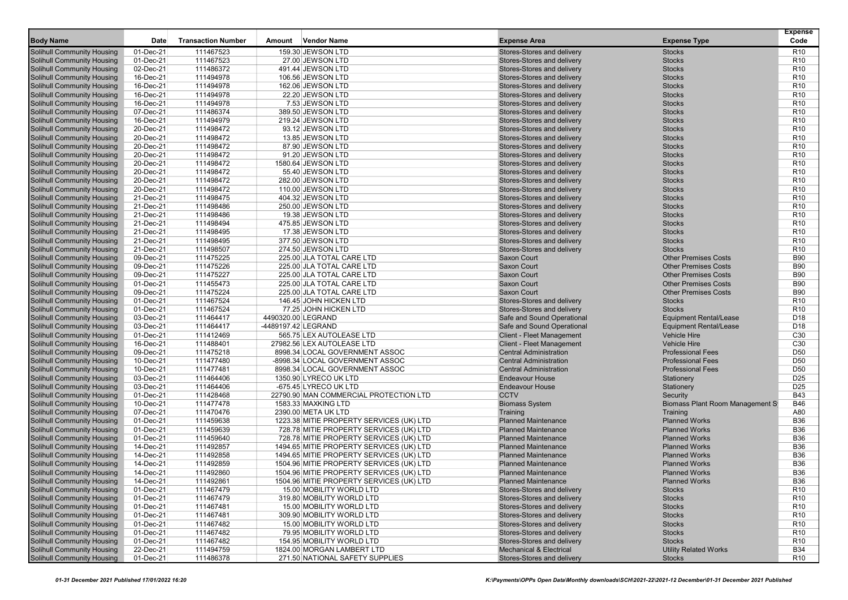|                                                                        |                        |                           |        |                                                                                      |                                                          |                                              | <b>Expense</b>                     |
|------------------------------------------------------------------------|------------------------|---------------------------|--------|--------------------------------------------------------------------------------------|----------------------------------------------------------|----------------------------------------------|------------------------------------|
| <b>Body Name</b>                                                       | Date                   | <b>Transaction Number</b> | Amount | <b>Vendor Name</b>                                                                   | <b>Expense Area</b>                                      | <b>Expense Type</b>                          | Code                               |
| <b>Solihull Community Housing</b>                                      | 01-Dec-21              | 111467523                 |        | 159.30 JEWSON LTD                                                                    | Stores-Stores and delivery                               | <b>Stocks</b>                                | R <sub>10</sub>                    |
| <b>Solihull Community Housing</b>                                      | 01-Dec-21              | 111467523                 |        | 27.00 JEWSON LTD                                                                     | Stores-Stores and delivery                               | <b>Stocks</b>                                | R <sub>10</sub>                    |
| <b>Solihull Community Housing</b>                                      | 02-Dec-21              | 111486372                 |        | 491.44 JEWSON LTD                                                                    | Stores-Stores and delivery                               | <b>Stocks</b>                                | R <sub>10</sub>                    |
| <b>Solihull Community Housing</b>                                      | 16-Dec-21              | 111494978                 |        | 106.56 JEWSON LTD                                                                    | Stores-Stores and delivery                               | <b>Stocks</b>                                | R <sub>10</sub>                    |
| <b>Solihull Community Housing</b>                                      | 16-Dec-21              | 111494978                 |        | 162.06 JEWSON LTD                                                                    | Stores-Stores and delivery                               | <b>Stocks</b>                                | R <sub>10</sub>                    |
| <b>Solihull Community Housing</b>                                      | 16-Dec-21              | 111494978                 |        | 22.20 JEWSON LTD                                                                     | Stores-Stores and delivery                               | <b>Stocks</b>                                | R <sub>10</sub>                    |
| <b>Solihull Community Housing</b>                                      | 16-Dec-21              | 111494978                 |        | 7.53 JEWSON LTD                                                                      | Stores-Stores and delivery                               | <b>Stocks</b>                                | R <sub>10</sub>                    |
| <b>Solihull Community Housing</b>                                      | 07-Dec-21              | 111486374                 |        | 389.50 JEWSON LTD                                                                    | Stores-Stores and delivery                               | <b>Stocks</b>                                | R <sub>10</sub>                    |
| <b>Solihull Community Housing</b>                                      | 16-Dec-21              | 111494979                 |        | 219.24 JEWSON LTD                                                                    | Stores-Stores and delivery                               | <b>Stocks</b>                                | R <sub>10</sub>                    |
| <b>Solihull Community Housing</b>                                      | 20-Dec-21              | 111498472                 |        | 93.12 JEWSON LTD                                                                     | Stores-Stores and delivery                               | <b>Stocks</b>                                | R <sub>10</sub>                    |
| <b>Solihull Community Housing</b>                                      | 20-Dec-21              | 111498472                 |        | 13.85 JEWSON LTD                                                                     | Stores-Stores and delivery                               | <b>Stocks</b><br><b>Stocks</b>               | R <sub>10</sub>                    |
| <b>Solihull Community Housing</b>                                      | 20-Dec-21<br>20-Dec-21 | 111498472<br>111498472    |        | 87.90 JEWSON LTD                                                                     | Stores-Stores and delivery<br>Stores-Stores and delivery | <b>Stocks</b>                                | R <sub>10</sub><br>R <sub>10</sub> |
| <b>Solihull Community Housing</b><br><b>Solihull Community Housing</b> | 20-Dec-21              | 111498472                 |        | 91.20 JEWSON LTD<br>1580.64 JEWSON LTD                                               | Stores-Stores and delivery                               | <b>Stocks</b>                                | R <sub>10</sub>                    |
| <b>Solihull Community Housing</b>                                      | 20-Dec-21              | 111498472                 |        | 55.40 JEWSON LTD                                                                     | Stores-Stores and delivery                               | <b>Stocks</b>                                | R <sub>10</sub>                    |
| <b>Solihull Community Housing</b>                                      | 20-Dec-21              | 111498472                 |        | 282.00 JEWSON LTD                                                                    | Stores-Stores and delivery                               | <b>Stocks</b>                                | R <sub>10</sub>                    |
| <b>Solihull Community Housing</b>                                      | 20-Dec-21              | 111498472                 |        | 110.00 JEWSON LTD                                                                    | Stores-Stores and delivery                               | <b>Stocks</b>                                | R <sub>10</sub>                    |
| <b>Solihull Community Housing</b>                                      | 21-Dec-21              | 111498475                 |        | 404.32 JEWSON LTD                                                                    | Stores-Stores and delivery                               | <b>Stocks</b>                                | R <sub>10</sub>                    |
| <b>Solihull Community Housing</b>                                      | 21-Dec-21              | 111498486                 |        | 250.00 JEWSON LTD                                                                    | Stores-Stores and delivery                               | <b>Stocks</b>                                | R <sub>10</sub>                    |
| <b>Solihull Community Housing</b>                                      | 21-Dec-21              | 111498486                 |        | 19.38 JEWSON LTD                                                                     | Stores-Stores and delivery                               | <b>Stocks</b>                                | R <sub>10</sub>                    |
| <b>Solihull Community Housing</b>                                      | 21-Dec-21              | 111498494                 |        | 475.85 JEWSON LTD                                                                    | Stores-Stores and delivery                               | <b>Stocks</b>                                | R <sub>10</sub>                    |
| <b>Solihull Community Housing</b>                                      | 21-Dec-21              | 111498495                 |        | 17.38 JEWSON LTD                                                                     | Stores-Stores and delivery                               | <b>Stocks</b>                                | R <sub>10</sub>                    |
| <b>Solihull Community Housing</b>                                      | 21-Dec-21              | 111498495                 |        | 377.50 JEWSON LTD                                                                    | Stores-Stores and delivery                               | <b>Stocks</b>                                | R <sub>10</sub>                    |
| <b>Solihull Community Housing</b>                                      | 21-Dec-21              | 111498507                 |        | 274.50 JEWSON LTD                                                                    | Stores-Stores and delivery                               | <b>Stocks</b>                                | R <sub>10</sub>                    |
| <b>Solihull Community Housing</b>                                      | 09-Dec-21              | 111475225                 |        | 225.00 JLA TOTAL CARE LTD                                                            | Saxon Court                                              | <b>Other Premises Costs</b>                  | <b>B90</b>                         |
| <b>Solihull Community Housing</b>                                      | 09-Dec-21              | 111475226                 |        | 225.00 JLA TOTAL CARE LTD                                                            | Saxon Court                                              | <b>Other Premises Costs</b>                  | <b>B90</b>                         |
| <b>Solihull Community Housing</b>                                      | 09-Dec-21              | 111475227                 |        | 225.00 JLA TOTAL CARE LTD                                                            | Saxon Court                                              | <b>Other Premises Costs</b>                  | <b>B90</b>                         |
| <b>Solihull Community Housing</b>                                      | 01-Dec-21              | 111455473                 |        | 225.00 JLA TOTAL CARE LTD                                                            | Saxon Court                                              | <b>Other Premises Costs</b>                  | <b>B90</b>                         |
| <b>Solihull Community Housing</b>                                      | 09-Dec-21              | 111475224                 |        | 225.00 JLA TOTAL CARE LTD                                                            | Saxon Court                                              | <b>Other Premises Costs</b>                  | <b>B90</b>                         |
| <b>Solihull Community Housing</b>                                      | 01-Dec-21              | 111467524                 |        | 146.45 JOHN HICKEN LTD                                                               | Stores-Stores and delivery                               | <b>Stocks</b>                                | R <sub>10</sub>                    |
| <b>Solihull Community Housing</b>                                      | 01-Dec-21              | 111467524                 |        | 77.25 JOHN HICKEN LTD                                                                | Stores-Stores and delivery                               | <b>Stocks</b>                                | R <sub>10</sub>                    |
| <b>Solihull Community Housing</b>                                      | 03-Dec-21              | 111464417                 |        | 4490320.00 LEGRAND                                                                   | Safe and Sound Operational                               | <b>Equipment Rental/Lease</b>                | D <sub>18</sub>                    |
| <b>Solihull Community Housing</b>                                      | 03-Dec-21              | 111464417                 |        | -4489197.42 LEGRAND                                                                  | Safe and Sound Operational                               | <b>Equipment Rental/Lease</b>                | D <sub>18</sub>                    |
| <b>Solihull Community Housing</b>                                      | 01-Dec-21              | 111412469                 |        | 565.75 LEX AUTOLEASE LTD                                                             | <b>Client - Fleet Management</b>                         | <b>Vehicle Hire</b>                          | C30                                |
| <b>Solihull Community Housing</b>                                      | 16-Dec-21              | 111488401                 |        | 27982.56 LEX AUTOLEASE LTD                                                           | <b>Client - Fleet Management</b>                         | <b>Vehicle Hire</b>                          | C <sub>30</sub>                    |
| <b>Solihull Community Housing</b>                                      | 09-Dec-21              | 111475218                 |        | 8998.34 LOCAL GOVERNMENT ASSOC                                                       | <b>Central Administration</b>                            | <b>Professional Fees</b>                     | D <sub>50</sub>                    |
| <b>Solihull Community Housing</b>                                      | 10-Dec-21              | 111477480                 |        | -8998.34 LOCAL GOVERNMENT ASSOC                                                      | <b>Central Administration</b>                            | <b>Professional Fees</b>                     | D <sub>50</sub>                    |
| <b>Solihull Community Housing</b>                                      | 10-Dec-21              | 111477481                 |        | 8998.34 LOCAL GOVERNMENT ASSOC                                                       | <b>Central Administration</b>                            | <b>Professional Fees</b>                     | D <sub>50</sub>                    |
| <b>Solihull Community Housing</b>                                      | 03-Dec-21              | 111464406                 |        | 1350.90 LYRECO UK LTD                                                                | <b>Endeavour House</b>                                   | Stationery                                   | D <sub>25</sub>                    |
| <b>Solihull Community Housing</b>                                      | 03-Dec-21              | 111464406                 |        | -675.45 LYRECO UK LTD                                                                | <b>Endeavour House</b>                                   | Stationery                                   | D <sub>25</sub>                    |
| <b>Solihull Community Housing</b>                                      | 01-Dec-21              | 111428468                 |        | 22790.90 MAN COMMERCIAL PROTECTION LTD                                               | <b>CCTV</b>                                              | Security                                     | <b>B43</b>                         |
| <b>Solihull Community Housing</b>                                      | 10-Dec-21              | 111477478                 |        | 1583.33 MAXKING LTD                                                                  | <b>Biomass System</b>                                    | Biomass Plant Room Management St             | <b>B46</b>                         |
| <b>Solihull Community Housing</b>                                      | 07-Dec-21              | 111470476                 |        | 2390.00 META UK LTD                                                                  | Training                                                 | Training                                     | A80                                |
| <b>Solihull Community Housing</b>                                      | 01-Dec-21              | 111459638                 |        | 1223.38 MITIE PROPERTY SERVICES (UK) LTD                                             | <b>Planned Maintenance</b>                               | <b>Planned Works</b>                         | <b>B36</b>                         |
| <b>Solihull Community Housing</b>                                      | 01-Dec-21              | 111459639                 |        | 728.78 MITIE PROPERTY SERVICES (UK) LTD                                              | <b>Planned Maintenance</b>                               | <b>Planned Works</b>                         | <b>B36</b>                         |
| <b>Solihull Community Housing</b>                                      | 01-Dec-21              | 111459640                 |        | 728.78 MITIE PROPERTY SERVICES (UK) LTD                                              | <b>Planned Maintenance</b><br><b>Planned Maintenance</b> | <b>Planned Works</b><br><b>Planned Works</b> | <b>B36</b><br>B36                  |
| <b>Solihull Community Housing</b><br><b>Solihull Community Housing</b> | 14-Dec-21<br>14-Dec-21 | 111492857<br>111492858    |        | 1494.65 MITIE PROPERTY SERVICES (UK) LTD                                             | <b>Planned Maintenance</b>                               | <b>Planned Works</b>                         | <b>B36</b>                         |
|                                                                        |                        |                           |        | 1494.65 MITIE PROPERTY SERVICES (UK) LTD                                             | <b>Planned Maintenance</b>                               | <b>Planned Works</b>                         | B36                                |
| <b>Solihull Community Housing</b><br><b>Solihull Community Housing</b> | 14-Dec-21<br>14-Dec-21 | 111492859<br>111492860    |        | 1504.96 MITIE PROPERTY SERVICES (UK) LTD<br>1504.96 MITIE PROPERTY SERVICES (UK) LTD | <b>Planned Maintenance</b>                               | <b>Planned Works</b>                         | <b>B36</b>                         |
| <b>Solihull Community Housing</b>                                      | 14-Dec-21              |                           |        |                                                                                      |                                                          |                                              | <b>B36</b>                         |
| <b>Solihull Community Housing</b>                                      | 01-Dec-21              | 111492861<br>111467479    |        | 1504.96 MITTE PROPERTY SERVICES (UK) LTD<br>15.00 MOBILITY WORLD LTD                 | Planned Maintenance<br>Stores-Stores and delivery        | <b>Planned Works</b><br><b>Stocks</b>        | R <sub>10</sub>                    |
| <b>Solihull Community Housing</b>                                      | 01-Dec-21              | 111467479                 |        | 319.80 MOBILITY WORLD LTD                                                            | Stores-Stores and delivery                               | <b>Stocks</b>                                | R <sub>10</sub>                    |
| <b>Solihull Community Housing</b>                                      | 01-Dec-21              | 111467481                 |        | 15.00 MOBILITY WORLD LTD                                                             | Stores-Stores and delivery                               | <b>Stocks</b>                                | R <sub>10</sub>                    |
| <b>Solihull Community Housing</b>                                      | 01-Dec-21              | 111467481                 |        | 309.90 MOBILITY WORLD LTD                                                            | Stores-Stores and delivery                               | <b>Stocks</b>                                | R <sub>10</sub>                    |
| <b>Solihull Community Housing</b>                                      | 01-Dec-21              | 111467482                 |        | 15.00 MOBILITY WORLD LTD                                                             | Stores-Stores and delivery                               | <b>Stocks</b>                                | R <sub>10</sub>                    |
| <b>Solihull Community Housing</b>                                      | 01-Dec-21              | 111467482                 |        | 79.95 MOBILITY WORLD LTD                                                             | Stores-Stores and delivery                               | <b>Stocks</b>                                | R <sub>10</sub>                    |
| <b>Solihull Community Housing</b>                                      | 01-Dec-21              | 111467482                 |        | 154.95 MOBILITY WORLD LTD                                                            | Stores-Stores and delivery                               | <b>Stocks</b>                                | R <sub>10</sub>                    |
| <b>Solihull Community Housing</b>                                      | 22-Dec-21              | 111494759                 |        | 1824.00 MORGAN LAMBERT LTD                                                           | <b>Mechanical &amp; Electrical</b>                       | <b>Utility Related Works</b>                 | <b>B34</b>                         |
| <b>Solihull Community Housing</b>                                      | $01$ -Dec-21           | 111486378                 |        | 271.50 NATIONAL SAFETY SUPPLIES                                                      | Stores-Stores and delivery                               | <b>Stocks</b>                                | R <sub>10</sub>                    |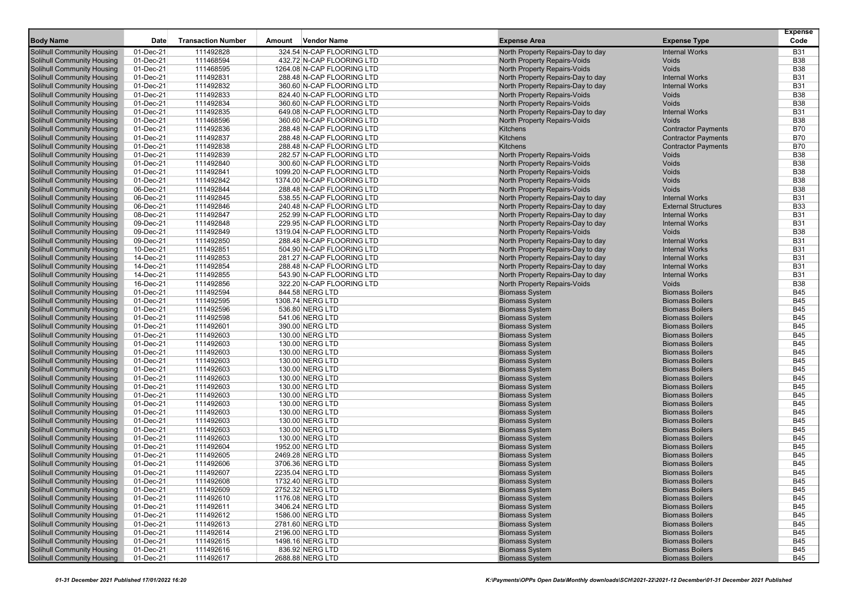|                                   |             |                           |                            |                                     |                            | <b>Expense</b> |
|-----------------------------------|-------------|---------------------------|----------------------------|-------------------------------------|----------------------------|----------------|
| <b>Body Name</b>                  | <b>Date</b> | <b>Transaction Number</b> | Vendor Name<br>Amount      | <b>Expense Area</b>                 | <b>Expense Type</b>        | Code           |
| Solihull Community Housing        | 01-Dec-21   | 111492828                 | 324.54 N-CAP FLOORING LTD  | North Property Repairs-Day to day   | <b>Internal Works</b>      | <b>B31</b>     |
| <b>Solihull Community Housing</b> | 01-Dec-21   | 111468594                 | 432.72 N-CAP FLOORING LTD  | North Property Repairs-Voids        | Voids                      | <b>B38</b>     |
| Solihull Community Housing        | 01-Dec-21   | 111468595                 | 1264.08 N-CAP FLOORING LTD | North Property Repairs-Voids        | Voids                      | <b>B38</b>     |
| Solihull Community Housing        | 01-Dec-21   | 111492831                 | 288.48 N-CAP FLOORING LTD  | North Property Repairs-Day to day   | <b>Internal Works</b>      | <b>B31</b>     |
| Solihull Community Housing        | 01-Dec-21   | 111492832                 | 360.60 N-CAP FLOORING LTD  | North Property Repairs-Day to day   | <b>Internal Works</b>      | <b>B31</b>     |
| Solihull Community Housing        | 01-Dec-21   | 111492833                 | 824.40 N-CAP FLOORING LTD  | <b>North Property Repairs-Voids</b> | <b>Voids</b>               | <b>B38</b>     |
| Solihull Community Housing        | 01-Dec-21   | 111492834                 | 360.60 N-CAP FLOORING LTD  | North Property Repairs-Voids        | Voids                      | <b>B38</b>     |
| <b>Solihull Community Housing</b> | 01-Dec-21   | 111492835                 | 649.08 N-CAP FLOORING LTD  | North Property Repairs-Day to day   | <b>Internal Works</b>      | <b>B31</b>     |
| Solihull Community Housing        | 01-Dec-21   | 111468596                 | 360.60 N-CAP FLOORING LTD  | North Property Repairs-Voids        | Voids                      | <b>B38</b>     |
| <b>Solihull Community Housing</b> | 01-Dec-21   | 111492836                 | 288.48 N-CAP FLOORING LTD  | Kitchens                            | <b>Contractor Payments</b> | <b>B70</b>     |
| Solihull Community Housing        | 01-Dec-21   | 111492837                 | 288.48 N-CAP FLOORING LTD  | <b>Kitchens</b>                     | <b>Contractor Payments</b> | <b>B70</b>     |
| Solihull Community Housing        | 01-Dec-21   | 111492838                 | 288.48 N-CAP FLOORING LTD  | <b>Kitchens</b>                     | <b>Contractor Payments</b> | <b>B70</b>     |
| Solihull Community Housing        | 01-Dec-21   | 111492839                 | 282.57 N-CAP FLOORING LTD  | North Property Repairs-Voids        | Voids                      | <b>B38</b>     |
| <b>Solihull Community Housing</b> | 01-Dec-21   | 111492840                 | 300.60 N-CAP FLOORING LTD  | North Property Repairs-Voids        | Voids                      | <b>B38</b>     |
| Solihull Community Housing        | 01-Dec-21   | 111492841                 | 1099.20 N-CAP FLOORING LTD | <b>North Property Repairs-Voids</b> | Voids                      | <b>B38</b>     |
| <b>Solihull Community Housing</b> | 01-Dec-21   | 111492842                 | 1374.00 N-CAP FLOORING LTD | North Property Repairs-Voids        | Voids                      | <b>B38</b>     |
| Solihull Community Housing        | 06-Dec-21   | 111492844                 | 288.48 N-CAP FLOORING LTD  | North Property Repairs-Voids        | Voids                      | <b>B38</b>     |
| Solihull Community Housing        | 06-Dec-21   | 111492845                 | 538.55 N-CAP FLOORING LTD  | North Property Repairs-Day to day   | <b>Internal Works</b>      | <b>B31</b>     |
| Solihull Community Housing        | 06-Dec-21   | 111492846                 | 240.48 N-CAP FLOORING LTD  | North Property Repairs-Day to day   | <b>External Structures</b> | <b>B33</b>     |
| Solihull Community Housing        | 08-Dec-21   | 111492847                 | 252.99 N-CAP FLOORING LTD  | North Property Repairs-Day to day   | <b>Internal Works</b>      | <b>B31</b>     |
| <b>Solihull Community Housing</b> | 09-Dec-21   | 111492848                 | 229.95 N-CAP FLOORING LTD  | North Property Repairs-Day to day   | <b>Internal Works</b>      | <b>B31</b>     |
| Solihull Community Housing        | 09-Dec-21   | 111492849                 | 1319.04 N-CAP FLOORING LTD | North Property Repairs-Voids        | Voids                      | <b>B38</b>     |
| Solihull Community Housing        | 09-Dec-21   | 111492850                 | 288.48 N-CAP FLOORING LTD  | North Property Repairs-Day to day   | <b>Internal Works</b>      | <b>B31</b>     |
| Solihull Community Housing        | 10-Dec-21   | 111492851                 | 504.90 N-CAP FLOORING LTD  | North Property Repairs-Day to day   | <b>Internal Works</b>      | <b>B31</b>     |
| Solihull Community Housing        | 14-Dec-21   | 111492853                 | 281.27 N-CAP FLOORING LTD  | North Property Repairs-Day to day   | <b>Internal Works</b>      | <b>B31</b>     |
| Solihull Community Housing        | 14-Dec-21   | 111492854                 | 288.48 N-CAP FLOORING LTD  | North Property Repairs-Day to day   | <b>Internal Works</b>      | <b>B31</b>     |
| <b>Solihull Community Housing</b> | 14-Dec-21   | 111492855                 | 543.90 N-CAP FLOORING LTD  | North Property Repairs-Day to day   | <b>Internal Works</b>      | <b>B31</b>     |
| <b>Solihull Community Housing</b> | 16-Dec-21   | 111492856                 | 322.20 N-CAP FLOORING LTD  | <b>North Property Repairs-Voids</b> | Voids                      | <b>B38</b>     |
| Solihull Community Housing        | 01-Dec-21   | 111492594                 | 844.58 NERG LTD            | <b>Biomass System</b>               | <b>Biomass Boilers</b>     | <b>B45</b>     |
| Solihull Community Housing        | 01-Dec-21   | 111492595                 | 1308.74 NERG LTD           | <b>Biomass System</b>               | <b>Biomass Boilers</b>     | <b>B45</b>     |
| Solihull Community Housing        | 01-Dec-21   | 111492596                 | 536.80 NERG LTD            | <b>Biomass System</b>               | <b>Biomass Boilers</b>     | <b>B45</b>     |
| Solihull Community Housing        | 01-Dec-21   | 111492598                 | 541.06 NERG LTD            | <b>Biomass System</b>               | <b>Biomass Boilers</b>     | <b>B45</b>     |
| <b>Solihull Community Housing</b> | 01-Dec-21   | 111492601                 | 390.00 NERG LTD            | <b>Biomass System</b>               | <b>Biomass Boilers</b>     | <b>B45</b>     |
| Solihull Community Housing        | 01-Dec-21   | 111492603                 | 130.00 NERG LTD            | <b>Biomass System</b>               | <b>Biomass Boilers</b>     | <b>B45</b>     |
| <b>Solihull Community Housing</b> | 01-Dec-21   | 111492603                 | 130.00 NERG LTD            | <b>Biomass System</b>               | <b>Biomass Boilers</b>     | <b>B45</b>     |
| Solihull Community Housing        | 01-Dec-21   | 111492603                 | 130.00 NERG LTD            | <b>Biomass System</b>               | <b>Biomass Boilers</b>     | <b>B45</b>     |
| Solihull Community Housing        | 01-Dec-21   | 111492603                 | 130.00 NERG LTD            | <b>Biomass System</b>               | <b>Biomass Boilers</b>     | <b>B45</b>     |
| Solihull Community Housing        | 01-Dec-21   | 111492603                 | 130.00 NERG LTD            | <b>Biomass System</b>               | <b>Biomass Boilers</b>     | <b>B45</b>     |
| Solihull Community Housing        | 01-Dec-21   | 111492603                 | 130.00 NERG LTD            | <b>Biomass System</b>               | <b>Biomass Boilers</b>     | <b>B45</b>     |
| Solihull Community Housing        | 01-Dec-21   | 111492603                 | 130.00 NERG LTD            | <b>Biomass System</b>               | <b>Biomass Boilers</b>     | <b>B45</b>     |
| Solihull Community Housing        | 01-Dec-21   | 111492603                 | 130.00 NERG LTD            | <b>Biomass System</b>               | <b>Biomass Boilers</b>     | <b>B45</b>     |
| Solihull Community Housing        | 01-Dec-21   | 111492603                 | 130.00 NERG LTD            | <b>Biomass System</b>               | <b>Biomass Boilers</b>     | <b>B45</b>     |
| Solihull Community Housing        | 01-Dec-21   | 111492603                 | 130.00 NERG LTD            | <b>Biomass System</b>               | <b>Biomass Boilers</b>     | <b>B45</b>     |
| Solihull Community Housing        | 01-Dec-21   | 111492603                 | 130.00 NERG LTD            | <b>Biomass System</b>               | <b>Biomass Boilers</b>     | <b>B45</b>     |
| Solihull Community Housing        | 01-Dec-21   | 111492603                 | 130.00 NERG LTD            | <b>Biomass System</b>               | <b>Biomass Boilers</b>     | <b>B45</b>     |
| <b>Solihull Community Housing</b> | 01-Dec-21   | 111492603                 | 130.00 NERG LTD            | <b>Biomass System</b>               | <b>Biomass Boilers</b>     | <b>B45</b>     |
| Solihull Community Housing        | 01-Dec-21   | 111492604                 | 1952.00 NERG LTD           | <b>Biomass System</b>               | <b>Biomass Boilers</b>     | <b>B45</b>     |
| Solihull Community Housing        | 01-Dec-21   | 111492605                 | 2469.28 NERG LTD           | <b>Biomass System</b>               | <b>Biomass Boilers</b>     | <b>B45</b>     |
| <b>Solihull Community Housing</b> | 01-Dec-21   | 111492606                 | 3706.36 NERG LTD           | <b>Biomass System</b>               | <b>Biomass Boilers</b>     | <b>B45</b>     |
| Solihull Community Housing        | 01-Dec-21   | 111492607                 | 2235.04 NERG LTD           | <b>Biomass System</b>               | <b>Biomass Boilers</b>     | <b>B45</b>     |
| <b>Solihull Community Housing</b> | 01-Dec-21   | 111492608                 | 1732.40 NERG LTD           | <b>BIOMASS System</b>               | <b>Biomass Boilers</b>     | <b>B45</b>     |
| Solihull Community Housing        | 01-Dec-21   | 111492609                 | 2752.32 NERG LTD           | <b>Biomass System</b>               | <b>Biomass Boilers</b>     | <b>B45</b>     |
| <b>Solihull Community Housing</b> | 01-Dec-21   | 111492610                 | 1176.08 NERG LTD           | <b>Biomass System</b>               | <b>Biomass Boilers</b>     | B45            |
| Solihull Community Housing        | 01-Dec-21   | 111492611                 | 3406.24 NERG LTD           | <b>Biomass System</b>               | <b>Biomass Boilers</b>     | <b>B45</b>     |
| <b>Solihull Community Housing</b> | 01-Dec-21   | 111492612                 | 1586.00 NERG LTD           | <b>Biomass System</b>               | <b>Biomass Boilers</b>     | <b>B45</b>     |
| <b>Solihull Community Housing</b> | 01-Dec-21   | 111492613                 | 2781.60 NERG LTD           | <b>Biomass System</b>               | <b>Biomass Boilers</b>     | <b>B45</b>     |
| <b>Solihull Community Housing</b> | 01-Dec-21   | 111492614                 | 2196.00 NERG LTD           | <b>Biomass System</b>               | <b>Biomass Boilers</b>     | <b>B45</b>     |
| Solihull Community Housing        | 01-Dec-21   | 111492615                 | 1498.16 NERG LTD           | <b>Biomass System</b>               | <b>Biomass Boilers</b>     | <b>B45</b>     |
| <b>Solihull Community Housing</b> | 01-Dec-21   | 111492616                 | 836.92 NERG LTD            | <b>Biomass System</b>               | <b>Biomass Boilers</b>     | <b>B45</b>     |
| <b>Solihull Community Housing</b> | 01-Dec-21   | 111492617                 | 2688.88 NERG LTD           | <b>Biomass System</b>               | <b>Biomass Boilers</b>     | <b>B45</b>     |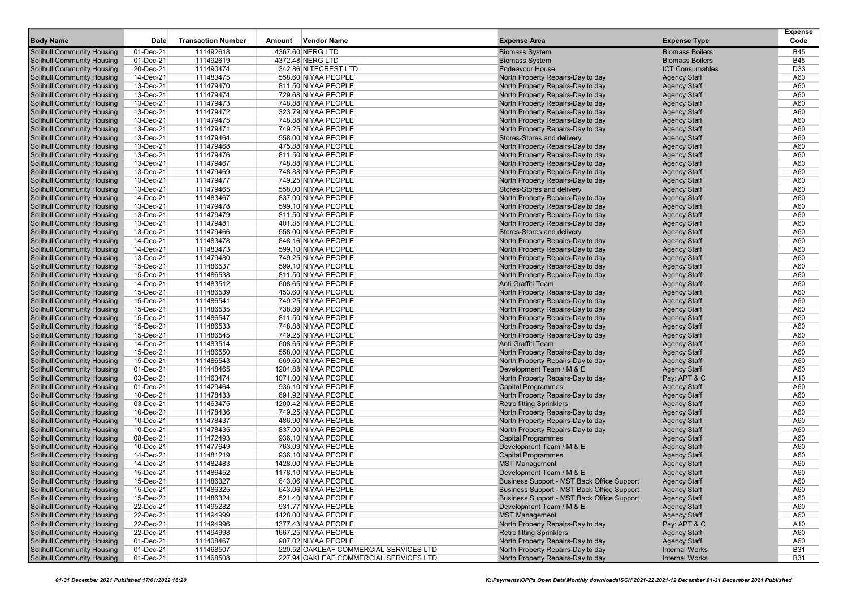| 4367.60 NERG LTD<br>01-Dec-21<br>111492618<br><b>B45</b><br><b>Solihull Community Housing</b><br><b>Biomass System</b><br><b>Biomass Boilers</b><br>01-Dec-21<br>111492619<br>4372.48 NERG LTD<br><b>Biomass System</b><br><b>Biomass Boilers</b><br><b>B45</b><br><b>Solihull Community Housing</b><br><b>ICT Consumables</b><br>D33<br><b>Solihull Community Housing</b><br>20-Dec-21<br>111490474<br>342.86 NITECREST LTD<br><b>Endeavour House</b><br><b>Solihull Community Housing</b><br>14-Dec-21<br><b>Agency Staff</b><br>A60<br>111483475<br>558.60 NIYAA PEOPLE<br>North Property Repairs-Day to day<br>North Property Repairs-Day to day<br>A60<br><b>Solihull Community Housing</b><br>13-Dec-21<br>111479470<br>811.50 NIYAA PEOPLE<br><b>Agency Staff</b><br><b>Solihull Community Housing</b><br>13-Dec-21<br>111479474<br>729.68 NIYAA PEOPLE<br>North Property Repairs-Day to day<br><b>Agency Staff</b><br>A60<br><b>Solihull Community Housing</b><br>13-Dec-21<br>111479473<br>748.88 NIYAA PEOPLE<br>North Property Repairs-Day to day<br><b>Agency Staff</b><br>A60<br>North Property Repairs-Day to day<br><b>Agency Staff</b><br>A60<br><b>Solihull Community Housing</b><br>13-Dec-21<br>111479472<br>323.79 NIYAA PEOPLE<br><b>Solihull Community Housing</b><br>13-Dec-21<br>111479475<br>North Property Repairs-Day to day<br><b>Agency Staff</b><br>748.88 NIYAA PEOPLE<br>A60<br>Solihull Community Housing<br>13-Dec-21<br>111479471<br>North Property Repairs-Day to day<br>749.25 NIYAA PEOPLE<br><b>Agency Staff</b><br>A60<br>13-Dec-21<br>Stores-Stores and delivery<br>A60<br><b>Solihull Community Housing</b><br>111479464<br>558.00 NIYAA PEOPLE<br><b>Agency Staff</b><br><b>Solihull Community Housing</b><br>13-Dec-21<br>111479468<br>475.88 NIYAA PEOPLE<br>North Property Repairs-Day to day<br><b>Agency Staff</b><br>A60<br><b>Solihull Community Housing</b><br>13-Dec-21<br>111479476<br>811.50 NIYAA PEOPLE<br>North Property Repairs-Day to day<br><b>Agency Staff</b><br>A60<br>13-Dec-21<br><b>Agency Staff</b><br><b>Solihull Community Housing</b><br>111479467<br>748.88 NIYAA PEOPLE<br>North Property Repairs-Day to day<br>A60<br>13-Dec-21<br>111479469<br>North Property Repairs-Day to day<br>A60<br><b>Solihull Community Housing</b><br>748.88 NIYAA PEOPLE<br><b>Agency Staff</b><br><b>Solihull Community Housing</b><br>13-Dec-21<br>111479477<br>749.25 NIYAA PEOPLE<br>North Property Repairs-Day to day<br><b>Agency Staff</b><br>A60<br>13-Dec-21<br>111479465<br>Stores-Stores and delivery<br>A60<br><b>Solihull Community Housing</b><br>558.00 NIYAA PEOPLE<br><b>Agency Staff</b><br>14-Dec-21<br>111483467<br><b>Agency Staff</b><br>A60<br><b>Solihull Community Housing</b><br>837.00 NIYAA PEOPLE<br>North Property Repairs-Day to day<br><b>Solihull Community Housing</b><br>13-Dec-21<br>111479478<br><b>Agency Staff</b><br>A60<br>599.10 NIYAA PEOPLE<br>North Property Repairs-Day to day<br><b>Solihull Community Housing</b><br>13-Dec-21<br>111479479<br><b>Agency Staff</b><br>A60<br>811.50 NIYAA PEOPLE<br>North Property Repairs-Day to day<br>13-Dec-21<br>111479481<br>North Property Repairs-Day to day<br><b>Agency Staff</b><br>A60<br>Solihull Community Housing<br>401.85 NIYAA PEOPLE<br><b>Solihull Community Housing</b><br>13-Dec-21<br>111479466<br>558.00 NIYAA PEOPLE<br>Stores-Stores and delivery<br><b>Agency Staff</b><br>A60<br><b>Solihull Community Housing</b><br>14-Dec-21<br>North Property Repairs-Day to day<br>A60<br>111483478<br>848.16 NIYAA PEOPLE<br><b>Agency Staff</b><br><b>Solihull Community Housing</b><br>14-Dec-21<br>North Property Repairs-Day to day<br><b>Agency Staff</b><br>A60<br>111483473<br>599.10 NIYAA PEOPLE<br>111479480<br><b>Solihull Community Housing</b><br>13-Dec-21<br>749.25 NIYAA PEOPLE<br>North Property Repairs-Day to day<br><b>Agency Staff</b><br>A60<br><b>Solihull Community Housing</b><br>15-Dec-21<br>111486537<br>North Property Repairs-Day to day<br><b>Agency Staff</b><br>A60<br>599.10 NIYAA PEOPLE<br>111486538<br>North Property Repairs-Day to day<br><b>Agency Staff</b><br>A60<br><b>Solihull Community Housing</b><br>15-Dec-21<br>811.50 NIYAA PEOPLE<br><b>Solihull Community Housing</b><br>14-Dec-21<br>111483512<br>608.65 NIYAA PEOPLE<br>Anti Graffiti Team<br><b>Agency Staff</b><br>A60<br><b>Solihull Community Housing</b><br>15-Dec-21<br>111486539<br>453.60 NIYAA PEOPLE<br>North Property Repairs-Day to day<br><b>Agency Staff</b><br>A60<br><b>Solihull Community Housing</b><br>15-Dec-21<br>111486541<br>North Property Repairs-Day to day<br><b>Agency Staff</b><br>A60<br>749.25 NIYAA PEOPLE<br><b>Solihull Community Housing</b><br>15-Dec-21<br>111486535<br>738.89 NIYAA PEOPLE<br>North Property Repairs-Day to day<br><b>Agency Staff</b><br>A60<br><b>Solihull Community Housing</b><br>15-Dec-21<br>111486547<br>811.50 NIYAA PEOPLE<br>North Property Repairs-Day to day<br><b>Agency Staff</b><br>A60<br>15-Dec-21<br>111486533<br><b>Solihull Community Housing</b><br>748.88 NIYAA PEOPLE<br>North Property Repairs-Day to day<br><b>Agency Staff</b><br>A60<br>15-Dec-21<br>111486545<br>North Property Repairs-Day to day<br><b>Solihull Community Housing</b><br>749.25 NIYAA PEOPLE<br><b>Agency Staff</b><br>A60<br><b>Solihull Community Housing</b><br>14-Dec-21<br>111483514<br>608.65 NIYAA PEOPLE<br>Anti Graffiti Team<br>A60<br><b>Agency Staff</b><br>A60<br><b>Solihull Community Housing</b><br>15-Dec-21<br>111486550<br>558.00 NIYAA PEOPLE<br>North Property Repairs-Day to day<br><b>Agency Staff</b><br>15-Dec-21<br>111486543<br>669.60 NIYAA PEOPLE<br>North Property Repairs-Day to day<br>A60<br><b>Solihull Community Housing</b><br><b>Agency Staff</b><br><b>Solihull Community Housing</b><br>01-Dec-21<br>111448465<br>1204.88 NIYAA PEOPLE<br>Development Team / M & E<br><b>Agency Staff</b><br>A60<br>111463474<br>North Property Repairs-Day to day<br>Pay: APT & C<br><b>Solihull Community Housing</b><br>03-Dec-21<br>1071.00 NIYAA PEOPLE<br>A10<br>111429464<br>A60<br><b>Solihull Community Housing</b><br>01-Dec-21<br>936.10 NIYAA PEOPLE<br><b>Capital Programmes</b><br><b>Agency Staff</b><br>10-Dec-21<br>111478433<br>North Property Repairs-Day to day<br><b>Solihull Community Housing</b><br>691.92 NIYAA PEOPLE<br><b>Agency Staff</b><br>A60<br><b>Solihull Community Housing</b><br>03-Dec-21<br>A60<br>111463475<br>1200.42 NIYAA PEOPLE<br><b>Retro fitting Sprinklers</b><br><b>Agency Staff</b><br>A60<br><b>Solihull Community Housing</b><br>10-Dec-21<br>111478436<br>749.25 NIYAA PEOPLE<br>North Property Repairs-Day to day<br><b>Agency Staff</b><br>111478437<br><b>Solihull Community Housing</b><br>10-Dec-21<br>486.90 NIYAA PEOPLE<br>North Property Repairs-Day to day<br><b>Agency Staff</b><br>A60<br><b>Solihull Community Housing</b><br>10-Dec-21<br>111478435<br>North Property Repairs-Day to day<br>A60<br>837.00 NIYAA PEOPLE<br><b>Agency Staff</b><br>111472493<br><b>Capital Programmes</b><br><b>Agency Staff</b><br><b>Solihull Community Housing</b><br>08-Dec-21<br>936.10 NIYAA PEOPLE<br>A60<br><b>Solihull Community Housing</b><br>10-Dec-21<br>111477649<br>763.09 NIYAA PEOPLE<br>Development Team / M & E<br><b>Agency Staff</b><br>A60<br><b>Capital Programmes</b><br><b>Solihull Community Housing</b><br>14-Dec-21<br>111481219<br>936.10 NIYAA PEOPLE<br><b>Agency Staff</b><br>A60<br><b>Solihull Community Housing</b><br>14-Dec-21<br>A60<br>111482483<br>1428.00 NIYAA PEOPLE<br><b>MST Management</b><br><b>Agency Staff</b><br>Solihull Community Housing<br>15-Dec-21<br>111486452<br>1178.10 NIYAA PEOPLE<br>Development Team / M & E<br>A60<br><b>Agency Staff</b><br><b>Business Support - MST Back Office Support</b><br>15-Dec-21<br>A60<br><b>Solihull Community Housing</b><br>643.06 NIYAA PEOPLE<br>111486327<br>Agency Staff<br><b>Solihull Community Housing</b><br>15-Dec-21<br>111486325<br>Business Support - MST Back Office Support<br><b>Agency Staff</b><br>A60<br>643.06 NIYAA PEOPLE<br><b>Solihull Community Housing</b><br>111486324<br>521.40 NIYAA PEOPLE<br>Business Support - MST Back Office Support<br><b>Agency Staff</b><br>15-Dec-21<br>A60<br>Solihull Community Housing<br>111495282<br>931.77 NIYAA PEOPLE<br>Development Team / M & E<br><b>Agency Staff</b><br>22-Dec-21<br>A60<br>Solihull Community Housing<br><b>MST Management</b><br>22-Dec-21<br>1428.00 NIYAA PEOPLE<br><b>Agency Staff</b><br>A60<br>111494999<br><b>Solihull Community Housing</b><br>North Property Repairs-Day to day<br>Pay: APT & C<br>22-Dec-21<br>111494996<br>1377.43 NIYAA PEOPLE<br>A10<br><b>Solihull Community Housing</b><br>1667.25 NIYAA PEOPLE<br><b>Retro fitting Sprinklers</b><br><b>Agency Staff</b><br>22-Dec-21<br>111494998<br>A60<br><b>Solihull Community Housing</b><br>111408467<br>North Property Repairs-Day to day<br><b>Agency Staff</b><br>01-Dec-21<br>907.02 NIYAA PEOPLE<br>A60<br>Solihull Community Housing<br>111468507<br>220.52 OAKLEAF COMMERCIAL SERVICES LTD<br>North Property Repairs-Day to day<br><b>Internal Works</b><br>01-Dec-21<br><b>B31</b><br><b>Solihull Community Housing</b><br>111468508<br>227.94 OAKLEAF COMMERCIAL SERVICES LTD<br>North Property Repairs-Day to day<br><b>Internal Works</b><br><b>B31</b><br>01-Dec-21 |                  |      |                           |        |             |                     |                     | <b>Expense</b> |
|---------------------------------------------------------------------------------------------------------------------------------------------------------------------------------------------------------------------------------------------------------------------------------------------------------------------------------------------------------------------------------------------------------------------------------------------------------------------------------------------------------------------------------------------------------------------------------------------------------------------------------------------------------------------------------------------------------------------------------------------------------------------------------------------------------------------------------------------------------------------------------------------------------------------------------------------------------------------------------------------------------------------------------------------------------------------------------------------------------------------------------------------------------------------------------------------------------------------------------------------------------------------------------------------------------------------------------------------------------------------------------------------------------------------------------------------------------------------------------------------------------------------------------------------------------------------------------------------------------------------------------------------------------------------------------------------------------------------------------------------------------------------------------------------------------------------------------------------------------------------------------------------------------------------------------------------------------------------------------------------------------------------------------------------------------------------------------------------------------------------------------------------------------------------------------------------------------------------------------------------------------------------------------------------------------------------------------------------------------------------------------------------------------------------------------------------------------------------------------------------------------------------------------------------------------------------------------------------------------------------------------------------------------------------------------------------------------------------------------------------------------------------------------------------------------------------------------------------------------------------------------------------------------------------------------------------------------------------------------------------------------------------------------------------------------------------------------------------------------------------------------------------------------------------------------------------------------------------------------------------------------------------------------------------------------------------------------------------------------------------------------------------------------------------------------------------------------------------------------------------------------------------------------------------------------------------------------------------------------------------------------------------------------------------------------------------------------------------------------------------------------------------------------------------------------------------------------------------------------------------------------------------------------------------------------------------------------------------------------------------------------------------------------------------------------------------------------------------------------------------------------------------------------------------------------------------------------------------------------------------------------------------------------------------------------------------------------------------------------------------------------------------------------------------------------------------------------------------------------------------------------------------------------------------------------------------------------------------------------------------------------------------------------------------------------------------------------------------------------------------------------------------------------------------------------------------------------------------------------------------------------------------------------------------------------------------------------------------------------------------------------------------------------------------------------------------------------------------------------------------------------------------------------------------------------------------------------------------------------------------------------------------------------------------------------------------------------------------------------------------------------------------------------------------------------------------------------------------------------------------------------------------------------------------------------------------------------------------------------------------------------------------------------------------------------------------------------------------------------------------------------------------------------------------------------------------------------------------------------------------------------------------------------------------------------------------------------------------------------------------------------------------------------------------------------------------------------------------------------------------------------------------------------------------------------------------------------------------------------------------------------------------------------------------------------------------------------------------------------------------------------------------------------------------------------------------------------------------------------------------------------------------------------------------------------------------------------------------------------------------------------------------------------------------------------------------------------------------------------------------------------------------------------------------------------------------------------------------------------------------------------------------------------------------------------------------------------------------------------------------------------------------------------------------------------------------------------------------------------------------------------------------------------------------------------------------------------------------------------------------------------------------------------------------------------------------------------------------------------------------------------------------------------------------------------------------------------------------------------------------------------------------------------------------------------------------------------------------------------------------------------------------------------------------------------------------------------------------------------------------------------------------------------------------------------------------------------------------------------------------------------------------------------------------------------------------------------------------------------------------------------------------------------------------------------------------------------------------------------------------------------------------------------------------------------------------------------------------------------------------------------------------------------------------------------------------------------------------------------------------------------------------------------------------------------------------------------------------------------------------------------------------------------------------------------------------------------------------------------------------------------------------------------------------------------------------------------------------------------------------------------------------------------------------------------------------------------------------------------------------------------------------------------------------------------------------------------------------------------------------------------------------------------------------------------------------------------------------------------------------------------------------------------------------------------------------------------------------------------------------------------------------------------------------------------------------------------------------------------------------------------------------------------------------------------|------------------|------|---------------------------|--------|-------------|---------------------|---------------------|----------------|
|                                                                                                                                                                                                                                                                                                                                                                                                                                                                                                                                                                                                                                                                                                                                                                                                                                                                                                                                                                                                                                                                                                                                                                                                                                                                                                                                                                                                                                                                                                                                                                                                                                                                                                                                                                                                                                                                                                                                                                                                                                                                                                                                                                                                                                                                                                                                                                                                                                                                                                                                                                                                                                                                                                                                                                                                                                                                                                                                                                                                                                                                                                                                                                                                                                                                                                                                                                                                                                                                                                                                                                                                                                                                                                                                                                                                                                                                                                                                                                                                                                                                                                                                                                                                                                                                                                                                                                                                                                                                                                                                                                                                                                                                                                                                                                                                                                                                                                                                                                                                                                                                                                                                                                                                                                                                                                                                                                                                                                                                                                                                                                                                                                                                                                                                                                                                                                                                                                                                                                                                                                                                                                                                                                                                                                                                                                                                                                                                                                                                                                                                                                                                                                                                                                                                                                                                                                                                                                                                                                                                                                                                                                                                                                                                                                                                                                                                                                                                                                                                                                                                                                                                                                                                                                                                                                                                                                                                                                                                                                                                                                                                                                                                                                                                                                                                                                                                                                                                                                                                                                                                                                                                                                                                                                                                                                                                                                                                                                                                                                                                                                                                                                                                                                                                                                                                                                                                                                                                                                 | <b>Body Name</b> | Date | <b>Transaction Number</b> | Amount | Vendor Name | <b>Expense Area</b> | <b>Expense Type</b> | Code           |
|                                                                                                                                                                                                                                                                                                                                                                                                                                                                                                                                                                                                                                                                                                                                                                                                                                                                                                                                                                                                                                                                                                                                                                                                                                                                                                                                                                                                                                                                                                                                                                                                                                                                                                                                                                                                                                                                                                                                                                                                                                                                                                                                                                                                                                                                                                                                                                                                                                                                                                                                                                                                                                                                                                                                                                                                                                                                                                                                                                                                                                                                                                                                                                                                                                                                                                                                                                                                                                                                                                                                                                                                                                                                                                                                                                                                                                                                                                                                                                                                                                                                                                                                                                                                                                                                                                                                                                                                                                                                                                                                                                                                                                                                                                                                                                                                                                                                                                                                                                                                                                                                                                                                                                                                                                                                                                                                                                                                                                                                                                                                                                                                                                                                                                                                                                                                                                                                                                                                                                                                                                                                                                                                                                                                                                                                                                                                                                                                                                                                                                                                                                                                                                                                                                                                                                                                                                                                                                                                                                                                                                                                                                                                                                                                                                                                                                                                                                                                                                                                                                                                                                                                                                                                                                                                                                                                                                                                                                                                                                                                                                                                                                                                                                                                                                                                                                                                                                                                                                                                                                                                                                                                                                                                                                                                                                                                                                                                                                                                                                                                                                                                                                                                                                                                                                                                                                                                                                                                                                 |                  |      |                           |        |             |                     |                     |                |
|                                                                                                                                                                                                                                                                                                                                                                                                                                                                                                                                                                                                                                                                                                                                                                                                                                                                                                                                                                                                                                                                                                                                                                                                                                                                                                                                                                                                                                                                                                                                                                                                                                                                                                                                                                                                                                                                                                                                                                                                                                                                                                                                                                                                                                                                                                                                                                                                                                                                                                                                                                                                                                                                                                                                                                                                                                                                                                                                                                                                                                                                                                                                                                                                                                                                                                                                                                                                                                                                                                                                                                                                                                                                                                                                                                                                                                                                                                                                                                                                                                                                                                                                                                                                                                                                                                                                                                                                                                                                                                                                                                                                                                                                                                                                                                                                                                                                                                                                                                                                                                                                                                                                                                                                                                                                                                                                                                                                                                                                                                                                                                                                                                                                                                                                                                                                                                                                                                                                                                                                                                                                                                                                                                                                                                                                                                                                                                                                                                                                                                                                                                                                                                                                                                                                                                                                                                                                                                                                                                                                                                                                                                                                                                                                                                                                                                                                                                                                                                                                                                                                                                                                                                                                                                                                                                                                                                                                                                                                                                                                                                                                                                                                                                                                                                                                                                                                                                                                                                                                                                                                                                                                                                                                                                                                                                                                                                                                                                                                                                                                                                                                                                                                                                                                                                                                                                                                                                                                                                 |                  |      |                           |        |             |                     |                     |                |
|                                                                                                                                                                                                                                                                                                                                                                                                                                                                                                                                                                                                                                                                                                                                                                                                                                                                                                                                                                                                                                                                                                                                                                                                                                                                                                                                                                                                                                                                                                                                                                                                                                                                                                                                                                                                                                                                                                                                                                                                                                                                                                                                                                                                                                                                                                                                                                                                                                                                                                                                                                                                                                                                                                                                                                                                                                                                                                                                                                                                                                                                                                                                                                                                                                                                                                                                                                                                                                                                                                                                                                                                                                                                                                                                                                                                                                                                                                                                                                                                                                                                                                                                                                                                                                                                                                                                                                                                                                                                                                                                                                                                                                                                                                                                                                                                                                                                                                                                                                                                                                                                                                                                                                                                                                                                                                                                                                                                                                                                                                                                                                                                                                                                                                                                                                                                                                                                                                                                                                                                                                                                                                                                                                                                                                                                                                                                                                                                                                                                                                                                                                                                                                                                                                                                                                                                                                                                                                                                                                                                                                                                                                                                                                                                                                                                                                                                                                                                                                                                                                                                                                                                                                                                                                                                                                                                                                                                                                                                                                                                                                                                                                                                                                                                                                                                                                                                                                                                                                                                                                                                                                                                                                                                                                                                                                                                                                                                                                                                                                                                                                                                                                                                                                                                                                                                                                                                                                                                                                 |                  |      |                           |        |             |                     |                     |                |
|                                                                                                                                                                                                                                                                                                                                                                                                                                                                                                                                                                                                                                                                                                                                                                                                                                                                                                                                                                                                                                                                                                                                                                                                                                                                                                                                                                                                                                                                                                                                                                                                                                                                                                                                                                                                                                                                                                                                                                                                                                                                                                                                                                                                                                                                                                                                                                                                                                                                                                                                                                                                                                                                                                                                                                                                                                                                                                                                                                                                                                                                                                                                                                                                                                                                                                                                                                                                                                                                                                                                                                                                                                                                                                                                                                                                                                                                                                                                                                                                                                                                                                                                                                                                                                                                                                                                                                                                                                                                                                                                                                                                                                                                                                                                                                                                                                                                                                                                                                                                                                                                                                                                                                                                                                                                                                                                                                                                                                                                                                                                                                                                                                                                                                                                                                                                                                                                                                                                                                                                                                                                                                                                                                                                                                                                                                                                                                                                                                                                                                                                                                                                                                                                                                                                                                                                                                                                                                                                                                                                                                                                                                                                                                                                                                                                                                                                                                                                                                                                                                                                                                                                                                                                                                                                                                                                                                                                                                                                                                                                                                                                                                                                                                                                                                                                                                                                                                                                                                                                                                                                                                                                                                                                                                                                                                                                                                                                                                                                                                                                                                                                                                                                                                                                                                                                                                                                                                                                                                 |                  |      |                           |        |             |                     |                     |                |
|                                                                                                                                                                                                                                                                                                                                                                                                                                                                                                                                                                                                                                                                                                                                                                                                                                                                                                                                                                                                                                                                                                                                                                                                                                                                                                                                                                                                                                                                                                                                                                                                                                                                                                                                                                                                                                                                                                                                                                                                                                                                                                                                                                                                                                                                                                                                                                                                                                                                                                                                                                                                                                                                                                                                                                                                                                                                                                                                                                                                                                                                                                                                                                                                                                                                                                                                                                                                                                                                                                                                                                                                                                                                                                                                                                                                                                                                                                                                                                                                                                                                                                                                                                                                                                                                                                                                                                                                                                                                                                                                                                                                                                                                                                                                                                                                                                                                                                                                                                                                                                                                                                                                                                                                                                                                                                                                                                                                                                                                                                                                                                                                                                                                                                                                                                                                                                                                                                                                                                                                                                                                                                                                                                                                                                                                                                                                                                                                                                                                                                                                                                                                                                                                                                                                                                                                                                                                                                                                                                                                                                                                                                                                                                                                                                                                                                                                                                                                                                                                                                                                                                                                                                                                                                                                                                                                                                                                                                                                                                                                                                                                                                                                                                                                                                                                                                                                                                                                                                                                                                                                                                                                                                                                                                                                                                                                                                                                                                                                                                                                                                                                                                                                                                                                                                                                                                                                                                                                                                 |                  |      |                           |        |             |                     |                     |                |
|                                                                                                                                                                                                                                                                                                                                                                                                                                                                                                                                                                                                                                                                                                                                                                                                                                                                                                                                                                                                                                                                                                                                                                                                                                                                                                                                                                                                                                                                                                                                                                                                                                                                                                                                                                                                                                                                                                                                                                                                                                                                                                                                                                                                                                                                                                                                                                                                                                                                                                                                                                                                                                                                                                                                                                                                                                                                                                                                                                                                                                                                                                                                                                                                                                                                                                                                                                                                                                                                                                                                                                                                                                                                                                                                                                                                                                                                                                                                                                                                                                                                                                                                                                                                                                                                                                                                                                                                                                                                                                                                                                                                                                                                                                                                                                                                                                                                                                                                                                                                                                                                                                                                                                                                                                                                                                                                                                                                                                                                                                                                                                                                                                                                                                                                                                                                                                                                                                                                                                                                                                                                                                                                                                                                                                                                                                                                                                                                                                                                                                                                                                                                                                                                                                                                                                                                                                                                                                                                                                                                                                                                                                                                                                                                                                                                                                                                                                                                                                                                                                                                                                                                                                                                                                                                                                                                                                                                                                                                                                                                                                                                                                                                                                                                                                                                                                                                                                                                                                                                                                                                                                                                                                                                                                                                                                                                                                                                                                                                                                                                                                                                                                                                                                                                                                                                                                                                                                                                                                 |                  |      |                           |        |             |                     |                     |                |
|                                                                                                                                                                                                                                                                                                                                                                                                                                                                                                                                                                                                                                                                                                                                                                                                                                                                                                                                                                                                                                                                                                                                                                                                                                                                                                                                                                                                                                                                                                                                                                                                                                                                                                                                                                                                                                                                                                                                                                                                                                                                                                                                                                                                                                                                                                                                                                                                                                                                                                                                                                                                                                                                                                                                                                                                                                                                                                                                                                                                                                                                                                                                                                                                                                                                                                                                                                                                                                                                                                                                                                                                                                                                                                                                                                                                                                                                                                                                                                                                                                                                                                                                                                                                                                                                                                                                                                                                                                                                                                                                                                                                                                                                                                                                                                                                                                                                                                                                                                                                                                                                                                                                                                                                                                                                                                                                                                                                                                                                                                                                                                                                                                                                                                                                                                                                                                                                                                                                                                                                                                                                                                                                                                                                                                                                                                                                                                                                                                                                                                                                                                                                                                                                                                                                                                                                                                                                                                                                                                                                                                                                                                                                                                                                                                                                                                                                                                                                                                                                                                                                                                                                                                                                                                                                                                                                                                                                                                                                                                                                                                                                                                                                                                                                                                                                                                                                                                                                                                                                                                                                                                                                                                                                                                                                                                                                                                                                                                                                                                                                                                                                                                                                                                                                                                                                                                                                                                                                                                 |                  |      |                           |        |             |                     |                     |                |
|                                                                                                                                                                                                                                                                                                                                                                                                                                                                                                                                                                                                                                                                                                                                                                                                                                                                                                                                                                                                                                                                                                                                                                                                                                                                                                                                                                                                                                                                                                                                                                                                                                                                                                                                                                                                                                                                                                                                                                                                                                                                                                                                                                                                                                                                                                                                                                                                                                                                                                                                                                                                                                                                                                                                                                                                                                                                                                                                                                                                                                                                                                                                                                                                                                                                                                                                                                                                                                                                                                                                                                                                                                                                                                                                                                                                                                                                                                                                                                                                                                                                                                                                                                                                                                                                                                                                                                                                                                                                                                                                                                                                                                                                                                                                                                                                                                                                                                                                                                                                                                                                                                                                                                                                                                                                                                                                                                                                                                                                                                                                                                                                                                                                                                                                                                                                                                                                                                                                                                                                                                                                                                                                                                                                                                                                                                                                                                                                                                                                                                                                                                                                                                                                                                                                                                                                                                                                                                                                                                                                                                                                                                                                                                                                                                                                                                                                                                                                                                                                                                                                                                                                                                                                                                                                                                                                                                                                                                                                                                                                                                                                                                                                                                                                                                                                                                                                                                                                                                                                                                                                                                                                                                                                                                                                                                                                                                                                                                                                                                                                                                                                                                                                                                                                                                                                                                                                                                                                                                 |                  |      |                           |        |             |                     |                     |                |
|                                                                                                                                                                                                                                                                                                                                                                                                                                                                                                                                                                                                                                                                                                                                                                                                                                                                                                                                                                                                                                                                                                                                                                                                                                                                                                                                                                                                                                                                                                                                                                                                                                                                                                                                                                                                                                                                                                                                                                                                                                                                                                                                                                                                                                                                                                                                                                                                                                                                                                                                                                                                                                                                                                                                                                                                                                                                                                                                                                                                                                                                                                                                                                                                                                                                                                                                                                                                                                                                                                                                                                                                                                                                                                                                                                                                                                                                                                                                                                                                                                                                                                                                                                                                                                                                                                                                                                                                                                                                                                                                                                                                                                                                                                                                                                                                                                                                                                                                                                                                                                                                                                                                                                                                                                                                                                                                                                                                                                                                                                                                                                                                                                                                                                                                                                                                                                                                                                                                                                                                                                                                                                                                                                                                                                                                                                                                                                                                                                                                                                                                                                                                                                                                                                                                                                                                                                                                                                                                                                                                                                                                                                                                                                                                                                                                                                                                                                                                                                                                                                                                                                                                                                                                                                                                                                                                                                                                                                                                                                                                                                                                                                                                                                                                                                                                                                                                                                                                                                                                                                                                                                                                                                                                                                                                                                                                                                                                                                                                                                                                                                                                                                                                                                                                                                                                                                                                                                                                                                 |                  |      |                           |        |             |                     |                     |                |
|                                                                                                                                                                                                                                                                                                                                                                                                                                                                                                                                                                                                                                                                                                                                                                                                                                                                                                                                                                                                                                                                                                                                                                                                                                                                                                                                                                                                                                                                                                                                                                                                                                                                                                                                                                                                                                                                                                                                                                                                                                                                                                                                                                                                                                                                                                                                                                                                                                                                                                                                                                                                                                                                                                                                                                                                                                                                                                                                                                                                                                                                                                                                                                                                                                                                                                                                                                                                                                                                                                                                                                                                                                                                                                                                                                                                                                                                                                                                                                                                                                                                                                                                                                                                                                                                                                                                                                                                                                                                                                                                                                                                                                                                                                                                                                                                                                                                                                                                                                                                                                                                                                                                                                                                                                                                                                                                                                                                                                                                                                                                                                                                                                                                                                                                                                                                                                                                                                                                                                                                                                                                                                                                                                                                                                                                                                                                                                                                                                                                                                                                                                                                                                                                                                                                                                                                                                                                                                                                                                                                                                                                                                                                                                                                                                                                                                                                                                                                                                                                                                                                                                                                                                                                                                                                                                                                                                                                                                                                                                                                                                                                                                                                                                                                                                                                                                                                                                                                                                                                                                                                                                                                                                                                                                                                                                                                                                                                                                                                                                                                                                                                                                                                                                                                                                                                                                                                                                                                                                 |                  |      |                           |        |             |                     |                     |                |
|                                                                                                                                                                                                                                                                                                                                                                                                                                                                                                                                                                                                                                                                                                                                                                                                                                                                                                                                                                                                                                                                                                                                                                                                                                                                                                                                                                                                                                                                                                                                                                                                                                                                                                                                                                                                                                                                                                                                                                                                                                                                                                                                                                                                                                                                                                                                                                                                                                                                                                                                                                                                                                                                                                                                                                                                                                                                                                                                                                                                                                                                                                                                                                                                                                                                                                                                                                                                                                                                                                                                                                                                                                                                                                                                                                                                                                                                                                                                                                                                                                                                                                                                                                                                                                                                                                                                                                                                                                                                                                                                                                                                                                                                                                                                                                                                                                                                                                                                                                                                                                                                                                                                                                                                                                                                                                                                                                                                                                                                                                                                                                                                                                                                                                                                                                                                                                                                                                                                                                                                                                                                                                                                                                                                                                                                                                                                                                                                                                                                                                                                                                                                                                                                                                                                                                                                                                                                                                                                                                                                                                                                                                                                                                                                                                                                                                                                                                                                                                                                                                                                                                                                                                                                                                                                                                                                                                                                                                                                                                                                                                                                                                                                                                                                                                                                                                                                                                                                                                                                                                                                                                                                                                                                                                                                                                                                                                                                                                                                                                                                                                                                                                                                                                                                                                                                                                                                                                                                                                 |                  |      |                           |        |             |                     |                     |                |
|                                                                                                                                                                                                                                                                                                                                                                                                                                                                                                                                                                                                                                                                                                                                                                                                                                                                                                                                                                                                                                                                                                                                                                                                                                                                                                                                                                                                                                                                                                                                                                                                                                                                                                                                                                                                                                                                                                                                                                                                                                                                                                                                                                                                                                                                                                                                                                                                                                                                                                                                                                                                                                                                                                                                                                                                                                                                                                                                                                                                                                                                                                                                                                                                                                                                                                                                                                                                                                                                                                                                                                                                                                                                                                                                                                                                                                                                                                                                                                                                                                                                                                                                                                                                                                                                                                                                                                                                                                                                                                                                                                                                                                                                                                                                                                                                                                                                                                                                                                                                                                                                                                                                                                                                                                                                                                                                                                                                                                                                                                                                                                                                                                                                                                                                                                                                                                                                                                                                                                                                                                                                                                                                                                                                                                                                                                                                                                                                                                                                                                                                                                                                                                                                                                                                                                                                                                                                                                                                                                                                                                                                                                                                                                                                                                                                                                                                                                                                                                                                                                                                                                                                                                                                                                                                                                                                                                                                                                                                                                                                                                                                                                                                                                                                                                                                                                                                                                                                                                                                                                                                                                                                                                                                                                                                                                                                                                                                                                                                                                                                                                                                                                                                                                                                                                                                                                                                                                                                                                 |                  |      |                           |        |             |                     |                     |                |
|                                                                                                                                                                                                                                                                                                                                                                                                                                                                                                                                                                                                                                                                                                                                                                                                                                                                                                                                                                                                                                                                                                                                                                                                                                                                                                                                                                                                                                                                                                                                                                                                                                                                                                                                                                                                                                                                                                                                                                                                                                                                                                                                                                                                                                                                                                                                                                                                                                                                                                                                                                                                                                                                                                                                                                                                                                                                                                                                                                                                                                                                                                                                                                                                                                                                                                                                                                                                                                                                                                                                                                                                                                                                                                                                                                                                                                                                                                                                                                                                                                                                                                                                                                                                                                                                                                                                                                                                                                                                                                                                                                                                                                                                                                                                                                                                                                                                                                                                                                                                                                                                                                                                                                                                                                                                                                                                                                                                                                                                                                                                                                                                                                                                                                                                                                                                                                                                                                                                                                                                                                                                                                                                                                                                                                                                                                                                                                                                                                                                                                                                                                                                                                                                                                                                                                                                                                                                                                                                                                                                                                                                                                                                                                                                                                                                                                                                                                                                                                                                                                                                                                                                                                                                                                                                                                                                                                                                                                                                                                                                                                                                                                                                                                                                                                                                                                                                                                                                                                                                                                                                                                                                                                                                                                                                                                                                                                                                                                                                                                                                                                                                                                                                                                                                                                                                                                                                                                                                                                 |                  |      |                           |        |             |                     |                     |                |
|                                                                                                                                                                                                                                                                                                                                                                                                                                                                                                                                                                                                                                                                                                                                                                                                                                                                                                                                                                                                                                                                                                                                                                                                                                                                                                                                                                                                                                                                                                                                                                                                                                                                                                                                                                                                                                                                                                                                                                                                                                                                                                                                                                                                                                                                                                                                                                                                                                                                                                                                                                                                                                                                                                                                                                                                                                                                                                                                                                                                                                                                                                                                                                                                                                                                                                                                                                                                                                                                                                                                                                                                                                                                                                                                                                                                                                                                                                                                                                                                                                                                                                                                                                                                                                                                                                                                                                                                                                                                                                                                                                                                                                                                                                                                                                                                                                                                                                                                                                                                                                                                                                                                                                                                                                                                                                                                                                                                                                                                                                                                                                                                                                                                                                                                                                                                                                                                                                                                                                                                                                                                                                                                                                                                                                                                                                                                                                                                                                                                                                                                                                                                                                                                                                                                                                                                                                                                                                                                                                                                                                                                                                                                                                                                                                                                                                                                                                                                                                                                                                                                                                                                                                                                                                                                                                                                                                                                                                                                                                                                                                                                                                                                                                                                                                                                                                                                                                                                                                                                                                                                                                                                                                                                                                                                                                                                                                                                                                                                                                                                                                                                                                                                                                                                                                                                                                                                                                                                                                 |                  |      |                           |        |             |                     |                     |                |
|                                                                                                                                                                                                                                                                                                                                                                                                                                                                                                                                                                                                                                                                                                                                                                                                                                                                                                                                                                                                                                                                                                                                                                                                                                                                                                                                                                                                                                                                                                                                                                                                                                                                                                                                                                                                                                                                                                                                                                                                                                                                                                                                                                                                                                                                                                                                                                                                                                                                                                                                                                                                                                                                                                                                                                                                                                                                                                                                                                                                                                                                                                                                                                                                                                                                                                                                                                                                                                                                                                                                                                                                                                                                                                                                                                                                                                                                                                                                                                                                                                                                                                                                                                                                                                                                                                                                                                                                                                                                                                                                                                                                                                                                                                                                                                                                                                                                                                                                                                                                                                                                                                                                                                                                                                                                                                                                                                                                                                                                                                                                                                                                                                                                                                                                                                                                                                                                                                                                                                                                                                                                                                                                                                                                                                                                                                                                                                                                                                                                                                                                                                                                                                                                                                                                                                                                                                                                                                                                                                                                                                                                                                                                                                                                                                                                                                                                                                                                                                                                                                                                                                                                                                                                                                                                                                                                                                                                                                                                                                                                                                                                                                                                                                                                                                                                                                                                                                                                                                                                                                                                                                                                                                                                                                                                                                                                                                                                                                                                                                                                                                                                                                                                                                                                                                                                                                                                                                                                                                 |                  |      |                           |        |             |                     |                     |                |
|                                                                                                                                                                                                                                                                                                                                                                                                                                                                                                                                                                                                                                                                                                                                                                                                                                                                                                                                                                                                                                                                                                                                                                                                                                                                                                                                                                                                                                                                                                                                                                                                                                                                                                                                                                                                                                                                                                                                                                                                                                                                                                                                                                                                                                                                                                                                                                                                                                                                                                                                                                                                                                                                                                                                                                                                                                                                                                                                                                                                                                                                                                                                                                                                                                                                                                                                                                                                                                                                                                                                                                                                                                                                                                                                                                                                                                                                                                                                                                                                                                                                                                                                                                                                                                                                                                                                                                                                                                                                                                                                                                                                                                                                                                                                                                                                                                                                                                                                                                                                                                                                                                                                                                                                                                                                                                                                                                                                                                                                                                                                                                                                                                                                                                                                                                                                                                                                                                                                                                                                                                                                                                                                                                                                                                                                                                                                                                                                                                                                                                                                                                                                                                                                                                                                                                                                                                                                                                                                                                                                                                                                                                                                                                                                                                                                                                                                                                                                                                                                                                                                                                                                                                                                                                                                                                                                                                                                                                                                                                                                                                                                                                                                                                                                                                                                                                                                                                                                                                                                                                                                                                                                                                                                                                                                                                                                                                                                                                                                                                                                                                                                                                                                                                                                                                                                                                                                                                                                                                 |                  |      |                           |        |             |                     |                     |                |
|                                                                                                                                                                                                                                                                                                                                                                                                                                                                                                                                                                                                                                                                                                                                                                                                                                                                                                                                                                                                                                                                                                                                                                                                                                                                                                                                                                                                                                                                                                                                                                                                                                                                                                                                                                                                                                                                                                                                                                                                                                                                                                                                                                                                                                                                                                                                                                                                                                                                                                                                                                                                                                                                                                                                                                                                                                                                                                                                                                                                                                                                                                                                                                                                                                                                                                                                                                                                                                                                                                                                                                                                                                                                                                                                                                                                                                                                                                                                                                                                                                                                                                                                                                                                                                                                                                                                                                                                                                                                                                                                                                                                                                                                                                                                                                                                                                                                                                                                                                                                                                                                                                                                                                                                                                                                                                                                                                                                                                                                                                                                                                                                                                                                                                                                                                                                                                                                                                                                                                                                                                                                                                                                                                                                                                                                                                                                                                                                                                                                                                                                                                                                                                                                                                                                                                                                                                                                                                                                                                                                                                                                                                                                                                                                                                                                                                                                                                                                                                                                                                                                                                                                                                                                                                                                                                                                                                                                                                                                                                                                                                                                                                                                                                                                                                                                                                                                                                                                                                                                                                                                                                                                                                                                                                                                                                                                                                                                                                                                                                                                                                                                                                                                                                                                                                                                                                                                                                                                                                 |                  |      |                           |        |             |                     |                     |                |
|                                                                                                                                                                                                                                                                                                                                                                                                                                                                                                                                                                                                                                                                                                                                                                                                                                                                                                                                                                                                                                                                                                                                                                                                                                                                                                                                                                                                                                                                                                                                                                                                                                                                                                                                                                                                                                                                                                                                                                                                                                                                                                                                                                                                                                                                                                                                                                                                                                                                                                                                                                                                                                                                                                                                                                                                                                                                                                                                                                                                                                                                                                                                                                                                                                                                                                                                                                                                                                                                                                                                                                                                                                                                                                                                                                                                                                                                                                                                                                                                                                                                                                                                                                                                                                                                                                                                                                                                                                                                                                                                                                                                                                                                                                                                                                                                                                                                                                                                                                                                                                                                                                                                                                                                                                                                                                                                                                                                                                                                                                                                                                                                                                                                                                                                                                                                                                                                                                                                                                                                                                                                                                                                                                                                                                                                                                                                                                                                                                                                                                                                                                                                                                                                                                                                                                                                                                                                                                                                                                                                                                                                                                                                                                                                                                                                                                                                                                                                                                                                                                                                                                                                                                                                                                                                                                                                                                                                                                                                                                                                                                                                                                                                                                                                                                                                                                                                                                                                                                                                                                                                                                                                                                                                                                                                                                                                                                                                                                                                                                                                                                                                                                                                                                                                                                                                                                                                                                                                                                 |                  |      |                           |        |             |                     |                     |                |
|                                                                                                                                                                                                                                                                                                                                                                                                                                                                                                                                                                                                                                                                                                                                                                                                                                                                                                                                                                                                                                                                                                                                                                                                                                                                                                                                                                                                                                                                                                                                                                                                                                                                                                                                                                                                                                                                                                                                                                                                                                                                                                                                                                                                                                                                                                                                                                                                                                                                                                                                                                                                                                                                                                                                                                                                                                                                                                                                                                                                                                                                                                                                                                                                                                                                                                                                                                                                                                                                                                                                                                                                                                                                                                                                                                                                                                                                                                                                                                                                                                                                                                                                                                                                                                                                                                                                                                                                                                                                                                                                                                                                                                                                                                                                                                                                                                                                                                                                                                                                                                                                                                                                                                                                                                                                                                                                                                                                                                                                                                                                                                                                                                                                                                                                                                                                                                                                                                                                                                                                                                                                                                                                                                                                                                                                                                                                                                                                                                                                                                                                                                                                                                                                                                                                                                                                                                                                                                                                                                                                                                                                                                                                                                                                                                                                                                                                                                                                                                                                                                                                                                                                                                                                                                                                                                                                                                                                                                                                                                                                                                                                                                                                                                                                                                                                                                                                                                                                                                                                                                                                                                                                                                                                                                                                                                                                                                                                                                                                                                                                                                                                                                                                                                                                                                                                                                                                                                                                                                 |                  |      |                           |        |             |                     |                     |                |
|                                                                                                                                                                                                                                                                                                                                                                                                                                                                                                                                                                                                                                                                                                                                                                                                                                                                                                                                                                                                                                                                                                                                                                                                                                                                                                                                                                                                                                                                                                                                                                                                                                                                                                                                                                                                                                                                                                                                                                                                                                                                                                                                                                                                                                                                                                                                                                                                                                                                                                                                                                                                                                                                                                                                                                                                                                                                                                                                                                                                                                                                                                                                                                                                                                                                                                                                                                                                                                                                                                                                                                                                                                                                                                                                                                                                                                                                                                                                                                                                                                                                                                                                                                                                                                                                                                                                                                                                                                                                                                                                                                                                                                                                                                                                                                                                                                                                                                                                                                                                                                                                                                                                                                                                                                                                                                                                                                                                                                                                                                                                                                                                                                                                                                                                                                                                                                                                                                                                                                                                                                                                                                                                                                                                                                                                                                                                                                                                                                                                                                                                                                                                                                                                                                                                                                                                                                                                                                                                                                                                                                                                                                                                                                                                                                                                                                                                                                                                                                                                                                                                                                                                                                                                                                                                                                                                                                                                                                                                                                                                                                                                                                                                                                                                                                                                                                                                                                                                                                                                                                                                                                                                                                                                                                                                                                                                                                                                                                                                                                                                                                                                                                                                                                                                                                                                                                                                                                                                                                 |                  |      |                           |        |             |                     |                     |                |
|                                                                                                                                                                                                                                                                                                                                                                                                                                                                                                                                                                                                                                                                                                                                                                                                                                                                                                                                                                                                                                                                                                                                                                                                                                                                                                                                                                                                                                                                                                                                                                                                                                                                                                                                                                                                                                                                                                                                                                                                                                                                                                                                                                                                                                                                                                                                                                                                                                                                                                                                                                                                                                                                                                                                                                                                                                                                                                                                                                                                                                                                                                                                                                                                                                                                                                                                                                                                                                                                                                                                                                                                                                                                                                                                                                                                                                                                                                                                                                                                                                                                                                                                                                                                                                                                                                                                                                                                                                                                                                                                                                                                                                                                                                                                                                                                                                                                                                                                                                                                                                                                                                                                                                                                                                                                                                                                                                                                                                                                                                                                                                                                                                                                                                                                                                                                                                                                                                                                                                                                                                                                                                                                                                                                                                                                                                                                                                                                                                                                                                                                                                                                                                                                                                                                                                                                                                                                                                                                                                                                                                                                                                                                                                                                                                                                                                                                                                                                                                                                                                                                                                                                                                                                                                                                                                                                                                                                                                                                                                                                                                                                                                                                                                                                                                                                                                                                                                                                                                                                                                                                                                                                                                                                                                                                                                                                                                                                                                                                                                                                                                                                                                                                                                                                                                                                                                                                                                                                                                 |                  |      |                           |        |             |                     |                     |                |
|                                                                                                                                                                                                                                                                                                                                                                                                                                                                                                                                                                                                                                                                                                                                                                                                                                                                                                                                                                                                                                                                                                                                                                                                                                                                                                                                                                                                                                                                                                                                                                                                                                                                                                                                                                                                                                                                                                                                                                                                                                                                                                                                                                                                                                                                                                                                                                                                                                                                                                                                                                                                                                                                                                                                                                                                                                                                                                                                                                                                                                                                                                                                                                                                                                                                                                                                                                                                                                                                                                                                                                                                                                                                                                                                                                                                                                                                                                                                                                                                                                                                                                                                                                                                                                                                                                                                                                                                                                                                                                                                                                                                                                                                                                                                                                                                                                                                                                                                                                                                                                                                                                                                                                                                                                                                                                                                                                                                                                                                                                                                                                                                                                                                                                                                                                                                                                                                                                                                                                                                                                                                                                                                                                                                                                                                                                                                                                                                                                                                                                                                                                                                                                                                                                                                                                                                                                                                                                                                                                                                                                                                                                                                                                                                                                                                                                                                                                                                                                                                                                                                                                                                                                                                                                                                                                                                                                                                                                                                                                                                                                                                                                                                                                                                                                                                                                                                                                                                                                                                                                                                                                                                                                                                                                                                                                                                                                                                                                                                                                                                                                                                                                                                                                                                                                                                                                                                                                                                                                 |                  |      |                           |        |             |                     |                     |                |
|                                                                                                                                                                                                                                                                                                                                                                                                                                                                                                                                                                                                                                                                                                                                                                                                                                                                                                                                                                                                                                                                                                                                                                                                                                                                                                                                                                                                                                                                                                                                                                                                                                                                                                                                                                                                                                                                                                                                                                                                                                                                                                                                                                                                                                                                                                                                                                                                                                                                                                                                                                                                                                                                                                                                                                                                                                                                                                                                                                                                                                                                                                                                                                                                                                                                                                                                                                                                                                                                                                                                                                                                                                                                                                                                                                                                                                                                                                                                                                                                                                                                                                                                                                                                                                                                                                                                                                                                                                                                                                                                                                                                                                                                                                                                                                                                                                                                                                                                                                                                                                                                                                                                                                                                                                                                                                                                                                                                                                                                                                                                                                                                                                                                                                                                                                                                                                                                                                                                                                                                                                                                                                                                                                                                                                                                                                                                                                                                                                                                                                                                                                                                                                                                                                                                                                                                                                                                                                                                                                                                                                                                                                                                                                                                                                                                                                                                                                                                                                                                                                                                                                                                                                                                                                                                                                                                                                                                                                                                                                                                                                                                                                                                                                                                                                                                                                                                                                                                                                                                                                                                                                                                                                                                                                                                                                                                                                                                                                                                                                                                                                                                                                                                                                                                                                                                                                                                                                                                                                 |                  |      |                           |        |             |                     |                     |                |
|                                                                                                                                                                                                                                                                                                                                                                                                                                                                                                                                                                                                                                                                                                                                                                                                                                                                                                                                                                                                                                                                                                                                                                                                                                                                                                                                                                                                                                                                                                                                                                                                                                                                                                                                                                                                                                                                                                                                                                                                                                                                                                                                                                                                                                                                                                                                                                                                                                                                                                                                                                                                                                                                                                                                                                                                                                                                                                                                                                                                                                                                                                                                                                                                                                                                                                                                                                                                                                                                                                                                                                                                                                                                                                                                                                                                                                                                                                                                                                                                                                                                                                                                                                                                                                                                                                                                                                                                                                                                                                                                                                                                                                                                                                                                                                                                                                                                                                                                                                                                                                                                                                                                                                                                                                                                                                                                                                                                                                                                                                                                                                                                                                                                                                                                                                                                                                                                                                                                                                                                                                                                                                                                                                                                                                                                                                                                                                                                                                                                                                                                                                                                                                                                                                                                                                                                                                                                                                                                                                                                                                                                                                                                                                                                                                                                                                                                                                                                                                                                                                                                                                                                                                                                                                                                                                                                                                                                                                                                                                                                                                                                                                                                                                                                                                                                                                                                                                                                                                                                                                                                                                                                                                                                                                                                                                                                                                                                                                                                                                                                                                                                                                                                                                                                                                                                                                                                                                                                                                 |                  |      |                           |        |             |                     |                     |                |
|                                                                                                                                                                                                                                                                                                                                                                                                                                                                                                                                                                                                                                                                                                                                                                                                                                                                                                                                                                                                                                                                                                                                                                                                                                                                                                                                                                                                                                                                                                                                                                                                                                                                                                                                                                                                                                                                                                                                                                                                                                                                                                                                                                                                                                                                                                                                                                                                                                                                                                                                                                                                                                                                                                                                                                                                                                                                                                                                                                                                                                                                                                                                                                                                                                                                                                                                                                                                                                                                                                                                                                                                                                                                                                                                                                                                                                                                                                                                                                                                                                                                                                                                                                                                                                                                                                                                                                                                                                                                                                                                                                                                                                                                                                                                                                                                                                                                                                                                                                                                                                                                                                                                                                                                                                                                                                                                                                                                                                                                                                                                                                                                                                                                                                                                                                                                                                                                                                                                                                                                                                                                                                                                                                                                                                                                                                                                                                                                                                                                                                                                                                                                                                                                                                                                                                                                                                                                                                                                                                                                                                                                                                                                                                                                                                                                                                                                                                                                                                                                                                                                                                                                                                                                                                                                                                                                                                                                                                                                                                                                                                                                                                                                                                                                                                                                                                                                                                                                                                                                                                                                                                                                                                                                                                                                                                                                                                                                                                                                                                                                                                                                                                                                                                                                                                                                                                                                                                                                                                 |                  |      |                           |        |             |                     |                     |                |
|                                                                                                                                                                                                                                                                                                                                                                                                                                                                                                                                                                                                                                                                                                                                                                                                                                                                                                                                                                                                                                                                                                                                                                                                                                                                                                                                                                                                                                                                                                                                                                                                                                                                                                                                                                                                                                                                                                                                                                                                                                                                                                                                                                                                                                                                                                                                                                                                                                                                                                                                                                                                                                                                                                                                                                                                                                                                                                                                                                                                                                                                                                                                                                                                                                                                                                                                                                                                                                                                                                                                                                                                                                                                                                                                                                                                                                                                                                                                                                                                                                                                                                                                                                                                                                                                                                                                                                                                                                                                                                                                                                                                                                                                                                                                                                                                                                                                                                                                                                                                                                                                                                                                                                                                                                                                                                                                                                                                                                                                                                                                                                                                                                                                                                                                                                                                                                                                                                                                                                                                                                                                                                                                                                                                                                                                                                                                                                                                                                                                                                                                                                                                                                                                                                                                                                                                                                                                                                                                                                                                                                                                                                                                                                                                                                                                                                                                                                                                                                                                                                                                                                                                                                                                                                                                                                                                                                                                                                                                                                                                                                                                                                                                                                                                                                                                                                                                                                                                                                                                                                                                                                                                                                                                                                                                                                                                                                                                                                                                                                                                                                                                                                                                                                                                                                                                                                                                                                                                                                 |                  |      |                           |        |             |                     |                     |                |
|                                                                                                                                                                                                                                                                                                                                                                                                                                                                                                                                                                                                                                                                                                                                                                                                                                                                                                                                                                                                                                                                                                                                                                                                                                                                                                                                                                                                                                                                                                                                                                                                                                                                                                                                                                                                                                                                                                                                                                                                                                                                                                                                                                                                                                                                                                                                                                                                                                                                                                                                                                                                                                                                                                                                                                                                                                                                                                                                                                                                                                                                                                                                                                                                                                                                                                                                                                                                                                                                                                                                                                                                                                                                                                                                                                                                                                                                                                                                                                                                                                                                                                                                                                                                                                                                                                                                                                                                                                                                                                                                                                                                                                                                                                                                                                                                                                                                                                                                                                                                                                                                                                                                                                                                                                                                                                                                                                                                                                                                                                                                                                                                                                                                                                                                                                                                                                                                                                                                                                                                                                                                                                                                                                                                                                                                                                                                                                                                                                                                                                                                                                                                                                                                                                                                                                                                                                                                                                                                                                                                                                                                                                                                                                                                                                                                                                                                                                                                                                                                                                                                                                                                                                                                                                                                                                                                                                                                                                                                                                                                                                                                                                                                                                                                                                                                                                                                                                                                                                                                                                                                                                                                                                                                                                                                                                                                                                                                                                                                                                                                                                                                                                                                                                                                                                                                                                                                                                                                                                 |                  |      |                           |        |             |                     |                     |                |
|                                                                                                                                                                                                                                                                                                                                                                                                                                                                                                                                                                                                                                                                                                                                                                                                                                                                                                                                                                                                                                                                                                                                                                                                                                                                                                                                                                                                                                                                                                                                                                                                                                                                                                                                                                                                                                                                                                                                                                                                                                                                                                                                                                                                                                                                                                                                                                                                                                                                                                                                                                                                                                                                                                                                                                                                                                                                                                                                                                                                                                                                                                                                                                                                                                                                                                                                                                                                                                                                                                                                                                                                                                                                                                                                                                                                                                                                                                                                                                                                                                                                                                                                                                                                                                                                                                                                                                                                                                                                                                                                                                                                                                                                                                                                                                                                                                                                                                                                                                                                                                                                                                                                                                                                                                                                                                                                                                                                                                                                                                                                                                                                                                                                                                                                                                                                                                                                                                                                                                                                                                                                                                                                                                                                                                                                                                                                                                                                                                                                                                                                                                                                                                                                                                                                                                                                                                                                                                                                                                                                                                                                                                                                                                                                                                                                                                                                                                                                                                                                                                                                                                                                                                                                                                                                                                                                                                                                                                                                                                                                                                                                                                                                                                                                                                                                                                                                                                                                                                                                                                                                                                                                                                                                                                                                                                                                                                                                                                                                                                                                                                                                                                                                                                                                                                                                                                                                                                                                                                 |                  |      |                           |        |             |                     |                     |                |
|                                                                                                                                                                                                                                                                                                                                                                                                                                                                                                                                                                                                                                                                                                                                                                                                                                                                                                                                                                                                                                                                                                                                                                                                                                                                                                                                                                                                                                                                                                                                                                                                                                                                                                                                                                                                                                                                                                                                                                                                                                                                                                                                                                                                                                                                                                                                                                                                                                                                                                                                                                                                                                                                                                                                                                                                                                                                                                                                                                                                                                                                                                                                                                                                                                                                                                                                                                                                                                                                                                                                                                                                                                                                                                                                                                                                                                                                                                                                                                                                                                                                                                                                                                                                                                                                                                                                                                                                                                                                                                                                                                                                                                                                                                                                                                                                                                                                                                                                                                                                                                                                                                                                                                                                                                                                                                                                                                                                                                                                                                                                                                                                                                                                                                                                                                                                                                                                                                                                                                                                                                                                                                                                                                                                                                                                                                                                                                                                                                                                                                                                                                                                                                                                                                                                                                                                                                                                                                                                                                                                                                                                                                                                                                                                                                                                                                                                                                                                                                                                                                                                                                                                                                                                                                                                                                                                                                                                                                                                                                                                                                                                                                                                                                                                                                                                                                                                                                                                                                                                                                                                                                                                                                                                                                                                                                                                                                                                                                                                                                                                                                                                                                                                                                                                                                                                                                                                                                                                                                 |                  |      |                           |        |             |                     |                     |                |
|                                                                                                                                                                                                                                                                                                                                                                                                                                                                                                                                                                                                                                                                                                                                                                                                                                                                                                                                                                                                                                                                                                                                                                                                                                                                                                                                                                                                                                                                                                                                                                                                                                                                                                                                                                                                                                                                                                                                                                                                                                                                                                                                                                                                                                                                                                                                                                                                                                                                                                                                                                                                                                                                                                                                                                                                                                                                                                                                                                                                                                                                                                                                                                                                                                                                                                                                                                                                                                                                                                                                                                                                                                                                                                                                                                                                                                                                                                                                                                                                                                                                                                                                                                                                                                                                                                                                                                                                                                                                                                                                                                                                                                                                                                                                                                                                                                                                                                                                                                                                                                                                                                                                                                                                                                                                                                                                                                                                                                                                                                                                                                                                                                                                                                                                                                                                                                                                                                                                                                                                                                                                                                                                                                                                                                                                                                                                                                                                                                                                                                                                                                                                                                                                                                                                                                                                                                                                                                                                                                                                                                                                                                                                                                                                                                                                                                                                                                                                                                                                                                                                                                                                                                                                                                                                                                                                                                                                                                                                                                                                                                                                                                                                                                                                                                                                                                                                                                                                                                                                                                                                                                                                                                                                                                                                                                                                                                                                                                                                                                                                                                                                                                                                                                                                                                                                                                                                                                                                                                 |                  |      |                           |        |             |                     |                     |                |
|                                                                                                                                                                                                                                                                                                                                                                                                                                                                                                                                                                                                                                                                                                                                                                                                                                                                                                                                                                                                                                                                                                                                                                                                                                                                                                                                                                                                                                                                                                                                                                                                                                                                                                                                                                                                                                                                                                                                                                                                                                                                                                                                                                                                                                                                                                                                                                                                                                                                                                                                                                                                                                                                                                                                                                                                                                                                                                                                                                                                                                                                                                                                                                                                                                                                                                                                                                                                                                                                                                                                                                                                                                                                                                                                                                                                                                                                                                                                                                                                                                                                                                                                                                                                                                                                                                                                                                                                                                                                                                                                                                                                                                                                                                                                                                                                                                                                                                                                                                                                                                                                                                                                                                                                                                                                                                                                                                                                                                                                                                                                                                                                                                                                                                                                                                                                                                                                                                                                                                                                                                                                                                                                                                                                                                                                                                                                                                                                                                                                                                                                                                                                                                                                                                                                                                                                                                                                                                                                                                                                                                                                                                                                                                                                                                                                                                                                                                                                                                                                                                                                                                                                                                                                                                                                                                                                                                                                                                                                                                                                                                                                                                                                                                                                                                                                                                                                                                                                                                                                                                                                                                                                                                                                                                                                                                                                                                                                                                                                                                                                                                                                                                                                                                                                                                                                                                                                                                                                                                 |                  |      |                           |        |             |                     |                     |                |
|                                                                                                                                                                                                                                                                                                                                                                                                                                                                                                                                                                                                                                                                                                                                                                                                                                                                                                                                                                                                                                                                                                                                                                                                                                                                                                                                                                                                                                                                                                                                                                                                                                                                                                                                                                                                                                                                                                                                                                                                                                                                                                                                                                                                                                                                                                                                                                                                                                                                                                                                                                                                                                                                                                                                                                                                                                                                                                                                                                                                                                                                                                                                                                                                                                                                                                                                                                                                                                                                                                                                                                                                                                                                                                                                                                                                                                                                                                                                                                                                                                                                                                                                                                                                                                                                                                                                                                                                                                                                                                                                                                                                                                                                                                                                                                                                                                                                                                                                                                                                                                                                                                                                                                                                                                                                                                                                                                                                                                                                                                                                                                                                                                                                                                                                                                                                                                                                                                                                                                                                                                                                                                                                                                                                                                                                                                                                                                                                                                                                                                                                                                                                                                                                                                                                                                                                                                                                                                                                                                                                                                                                                                                                                                                                                                                                                                                                                                                                                                                                                                                                                                                                                                                                                                                                                                                                                                                                                                                                                                                                                                                                                                                                                                                                                                                                                                                                                                                                                                                                                                                                                                                                                                                                                                                                                                                                                                                                                                                                                                                                                                                                                                                                                                                                                                                                                                                                                                                                                                 |                  |      |                           |        |             |                     |                     |                |
|                                                                                                                                                                                                                                                                                                                                                                                                                                                                                                                                                                                                                                                                                                                                                                                                                                                                                                                                                                                                                                                                                                                                                                                                                                                                                                                                                                                                                                                                                                                                                                                                                                                                                                                                                                                                                                                                                                                                                                                                                                                                                                                                                                                                                                                                                                                                                                                                                                                                                                                                                                                                                                                                                                                                                                                                                                                                                                                                                                                                                                                                                                                                                                                                                                                                                                                                                                                                                                                                                                                                                                                                                                                                                                                                                                                                                                                                                                                                                                                                                                                                                                                                                                                                                                                                                                                                                                                                                                                                                                                                                                                                                                                                                                                                                                                                                                                                                                                                                                                                                                                                                                                                                                                                                                                                                                                                                                                                                                                                                                                                                                                                                                                                                                                                                                                                                                                                                                                                                                                                                                                                                                                                                                                                                                                                                                                                                                                                                                                                                                                                                                                                                                                                                                                                                                                                                                                                                                                                                                                                                                                                                                                                                                                                                                                                                                                                                                                                                                                                                                                                                                                                                                                                                                                                                                                                                                                                                                                                                                                                                                                                                                                                                                                                                                                                                                                                                                                                                                                                                                                                                                                                                                                                                                                                                                                                                                                                                                                                                                                                                                                                                                                                                                                                                                                                                                                                                                                                                                 |                  |      |                           |        |             |                     |                     |                |
|                                                                                                                                                                                                                                                                                                                                                                                                                                                                                                                                                                                                                                                                                                                                                                                                                                                                                                                                                                                                                                                                                                                                                                                                                                                                                                                                                                                                                                                                                                                                                                                                                                                                                                                                                                                                                                                                                                                                                                                                                                                                                                                                                                                                                                                                                                                                                                                                                                                                                                                                                                                                                                                                                                                                                                                                                                                                                                                                                                                                                                                                                                                                                                                                                                                                                                                                                                                                                                                                                                                                                                                                                                                                                                                                                                                                                                                                                                                                                                                                                                                                                                                                                                                                                                                                                                                                                                                                                                                                                                                                                                                                                                                                                                                                                                                                                                                                                                                                                                                                                                                                                                                                                                                                                                                                                                                                                                                                                                                                                                                                                                                                                                                                                                                                                                                                                                                                                                                                                                                                                                                                                                                                                                                                                                                                                                                                                                                                                                                                                                                                                                                                                                                                                                                                                                                                                                                                                                                                                                                                                                                                                                                                                                                                                                                                                                                                                                                                                                                                                                                                                                                                                                                                                                                                                                                                                                                                                                                                                                                                                                                                                                                                                                                                                                                                                                                                                                                                                                                                                                                                                                                                                                                                                                                                                                                                                                                                                                                                                                                                                                                                                                                                                                                                                                                                                                                                                                                                                                 |                  |      |                           |        |             |                     |                     |                |
|                                                                                                                                                                                                                                                                                                                                                                                                                                                                                                                                                                                                                                                                                                                                                                                                                                                                                                                                                                                                                                                                                                                                                                                                                                                                                                                                                                                                                                                                                                                                                                                                                                                                                                                                                                                                                                                                                                                                                                                                                                                                                                                                                                                                                                                                                                                                                                                                                                                                                                                                                                                                                                                                                                                                                                                                                                                                                                                                                                                                                                                                                                                                                                                                                                                                                                                                                                                                                                                                                                                                                                                                                                                                                                                                                                                                                                                                                                                                                                                                                                                                                                                                                                                                                                                                                                                                                                                                                                                                                                                                                                                                                                                                                                                                                                                                                                                                                                                                                                                                                                                                                                                                                                                                                                                                                                                                                                                                                                                                                                                                                                                                                                                                                                                                                                                                                                                                                                                                                                                                                                                                                                                                                                                                                                                                                                                                                                                                                                                                                                                                                                                                                                                                                                                                                                                                                                                                                                                                                                                                                                                                                                                                                                                                                                                                                                                                                                                                                                                                                                                                                                                                                                                                                                                                                                                                                                                                                                                                                                                                                                                                                                                                                                                                                                                                                                                                                                                                                                                                                                                                                                                                                                                                                                                                                                                                                                                                                                                                                                                                                                                                                                                                                                                                                                                                                                                                                                                                                                 |                  |      |                           |        |             |                     |                     |                |
|                                                                                                                                                                                                                                                                                                                                                                                                                                                                                                                                                                                                                                                                                                                                                                                                                                                                                                                                                                                                                                                                                                                                                                                                                                                                                                                                                                                                                                                                                                                                                                                                                                                                                                                                                                                                                                                                                                                                                                                                                                                                                                                                                                                                                                                                                                                                                                                                                                                                                                                                                                                                                                                                                                                                                                                                                                                                                                                                                                                                                                                                                                                                                                                                                                                                                                                                                                                                                                                                                                                                                                                                                                                                                                                                                                                                                                                                                                                                                                                                                                                                                                                                                                                                                                                                                                                                                                                                                                                                                                                                                                                                                                                                                                                                                                                                                                                                                                                                                                                                                                                                                                                                                                                                                                                                                                                                                                                                                                                                                                                                                                                                                                                                                                                                                                                                                                                                                                                                                                                                                                                                                                                                                                                                                                                                                                                                                                                                                                                                                                                                                                                                                                                                                                                                                                                                                                                                                                                                                                                                                                                                                                                                                                                                                                                                                                                                                                                                                                                                                                                                                                                                                                                                                                                                                                                                                                                                                                                                                                                                                                                                                                                                                                                                                                                                                                                                                                                                                                                                                                                                                                                                                                                                                                                                                                                                                                                                                                                                                                                                                                                                                                                                                                                                                                                                                                                                                                                                                                 |                  |      |                           |        |             |                     |                     |                |
|                                                                                                                                                                                                                                                                                                                                                                                                                                                                                                                                                                                                                                                                                                                                                                                                                                                                                                                                                                                                                                                                                                                                                                                                                                                                                                                                                                                                                                                                                                                                                                                                                                                                                                                                                                                                                                                                                                                                                                                                                                                                                                                                                                                                                                                                                                                                                                                                                                                                                                                                                                                                                                                                                                                                                                                                                                                                                                                                                                                                                                                                                                                                                                                                                                                                                                                                                                                                                                                                                                                                                                                                                                                                                                                                                                                                                                                                                                                                                                                                                                                                                                                                                                                                                                                                                                                                                                                                                                                                                                                                                                                                                                                                                                                                                                                                                                                                                                                                                                                                                                                                                                                                                                                                                                                                                                                                                                                                                                                                                                                                                                                                                                                                                                                                                                                                                                                                                                                                                                                                                                                                                                                                                                                                                                                                                                                                                                                                                                                                                                                                                                                                                                                                                                                                                                                                                                                                                                                                                                                                                                                                                                                                                                                                                                                                                                                                                                                                                                                                                                                                                                                                                                                                                                                                                                                                                                                                                                                                                                                                                                                                                                                                                                                                                                                                                                                                                                                                                                                                                                                                                                                                                                                                                                                                                                                                                                                                                                                                                                                                                                                                                                                                                                                                                                                                                                                                                                                                                                 |                  |      |                           |        |             |                     |                     |                |
|                                                                                                                                                                                                                                                                                                                                                                                                                                                                                                                                                                                                                                                                                                                                                                                                                                                                                                                                                                                                                                                                                                                                                                                                                                                                                                                                                                                                                                                                                                                                                                                                                                                                                                                                                                                                                                                                                                                                                                                                                                                                                                                                                                                                                                                                                                                                                                                                                                                                                                                                                                                                                                                                                                                                                                                                                                                                                                                                                                                                                                                                                                                                                                                                                                                                                                                                                                                                                                                                                                                                                                                                                                                                                                                                                                                                                                                                                                                                                                                                                                                                                                                                                                                                                                                                                                                                                                                                                                                                                                                                                                                                                                                                                                                                                                                                                                                                                                                                                                                                                                                                                                                                                                                                                                                                                                                                                                                                                                                                                                                                                                                                                                                                                                                                                                                                                                                                                                                                                                                                                                                                                                                                                                                                                                                                                                                                                                                                                                                                                                                                                                                                                                                                                                                                                                                                                                                                                                                                                                                                                                                                                                                                                                                                                                                                                                                                                                                                                                                                                                                                                                                                                                                                                                                                                                                                                                                                                                                                                                                                                                                                                                                                                                                                                                                                                                                                                                                                                                                                                                                                                                                                                                                                                                                                                                                                                                                                                                                                                                                                                                                                                                                                                                                                                                                                                                                                                                                                                                 |                  |      |                           |        |             |                     |                     |                |
|                                                                                                                                                                                                                                                                                                                                                                                                                                                                                                                                                                                                                                                                                                                                                                                                                                                                                                                                                                                                                                                                                                                                                                                                                                                                                                                                                                                                                                                                                                                                                                                                                                                                                                                                                                                                                                                                                                                                                                                                                                                                                                                                                                                                                                                                                                                                                                                                                                                                                                                                                                                                                                                                                                                                                                                                                                                                                                                                                                                                                                                                                                                                                                                                                                                                                                                                                                                                                                                                                                                                                                                                                                                                                                                                                                                                                                                                                                                                                                                                                                                                                                                                                                                                                                                                                                                                                                                                                                                                                                                                                                                                                                                                                                                                                                                                                                                                                                                                                                                                                                                                                                                                                                                                                                                                                                                                                                                                                                                                                                                                                                                                                                                                                                                                                                                                                                                                                                                                                                                                                                                                                                                                                                                                                                                                                                                                                                                                                                                                                                                                                                                                                                                                                                                                                                                                                                                                                                                                                                                                                                                                                                                                                                                                                                                                                                                                                                                                                                                                                                                                                                                                                                                                                                                                                                                                                                                                                                                                                                                                                                                                                                                                                                                                                                                                                                                                                                                                                                                                                                                                                                                                                                                                                                                                                                                                                                                                                                                                                                                                                                                                                                                                                                                                                                                                                                                                                                                                                                 |                  |      |                           |        |             |                     |                     |                |
|                                                                                                                                                                                                                                                                                                                                                                                                                                                                                                                                                                                                                                                                                                                                                                                                                                                                                                                                                                                                                                                                                                                                                                                                                                                                                                                                                                                                                                                                                                                                                                                                                                                                                                                                                                                                                                                                                                                                                                                                                                                                                                                                                                                                                                                                                                                                                                                                                                                                                                                                                                                                                                                                                                                                                                                                                                                                                                                                                                                                                                                                                                                                                                                                                                                                                                                                                                                                                                                                                                                                                                                                                                                                                                                                                                                                                                                                                                                                                                                                                                                                                                                                                                                                                                                                                                                                                                                                                                                                                                                                                                                                                                                                                                                                                                                                                                                                                                                                                                                                                                                                                                                                                                                                                                                                                                                                                                                                                                                                                                                                                                                                                                                                                                                                                                                                                                                                                                                                                                                                                                                                                                                                                                                                                                                                                                                                                                                                                                                                                                                                                                                                                                                                                                                                                                                                                                                                                                                                                                                                                                                                                                                                                                                                                                                                                                                                                                                                                                                                                                                                                                                                                                                                                                                                                                                                                                                                                                                                                                                                                                                                                                                                                                                                                                                                                                                                                                                                                                                                                                                                                                                                                                                                                                                                                                                                                                                                                                                                                                                                                                                                                                                                                                                                                                                                                                                                                                                                                                 |                  |      |                           |        |             |                     |                     |                |
|                                                                                                                                                                                                                                                                                                                                                                                                                                                                                                                                                                                                                                                                                                                                                                                                                                                                                                                                                                                                                                                                                                                                                                                                                                                                                                                                                                                                                                                                                                                                                                                                                                                                                                                                                                                                                                                                                                                                                                                                                                                                                                                                                                                                                                                                                                                                                                                                                                                                                                                                                                                                                                                                                                                                                                                                                                                                                                                                                                                                                                                                                                                                                                                                                                                                                                                                                                                                                                                                                                                                                                                                                                                                                                                                                                                                                                                                                                                                                                                                                                                                                                                                                                                                                                                                                                                                                                                                                                                                                                                                                                                                                                                                                                                                                                                                                                                                                                                                                                                                                                                                                                                                                                                                                                                                                                                                                                                                                                                                                                                                                                                                                                                                                                                                                                                                                                                                                                                                                                                                                                                                                                                                                                                                                                                                                                                                                                                                                                                                                                                                                                                                                                                                                                                                                                                                                                                                                                                                                                                                                                                                                                                                                                                                                                                                                                                                                                                                                                                                                                                                                                                                                                                                                                                                                                                                                                                                                                                                                                                                                                                                                                                                                                                                                                                                                                                                                                                                                                                                                                                                                                                                                                                                                                                                                                                                                                                                                                                                                                                                                                                                                                                                                                                                                                                                                                                                                                                                                                 |                  |      |                           |        |             |                     |                     |                |
|                                                                                                                                                                                                                                                                                                                                                                                                                                                                                                                                                                                                                                                                                                                                                                                                                                                                                                                                                                                                                                                                                                                                                                                                                                                                                                                                                                                                                                                                                                                                                                                                                                                                                                                                                                                                                                                                                                                                                                                                                                                                                                                                                                                                                                                                                                                                                                                                                                                                                                                                                                                                                                                                                                                                                                                                                                                                                                                                                                                                                                                                                                                                                                                                                                                                                                                                                                                                                                                                                                                                                                                                                                                                                                                                                                                                                                                                                                                                                                                                                                                                                                                                                                                                                                                                                                                                                                                                                                                                                                                                                                                                                                                                                                                                                                                                                                                                                                                                                                                                                                                                                                                                                                                                                                                                                                                                                                                                                                                                                                                                                                                                                                                                                                                                                                                                                                                                                                                                                                                                                                                                                                                                                                                                                                                                                                                                                                                                                                                                                                                                                                                                                                                                                                                                                                                                                                                                                                                                                                                                                                                                                                                                                                                                                                                                                                                                                                                                                                                                                                                                                                                                                                                                                                                                                                                                                                                                                                                                                                                                                                                                                                                                                                                                                                                                                                                                                                                                                                                                                                                                                                                                                                                                                                                                                                                                                                                                                                                                                                                                                                                                                                                                                                                                                                                                                                                                                                                                                                 |                  |      |                           |        |             |                     |                     |                |
|                                                                                                                                                                                                                                                                                                                                                                                                                                                                                                                                                                                                                                                                                                                                                                                                                                                                                                                                                                                                                                                                                                                                                                                                                                                                                                                                                                                                                                                                                                                                                                                                                                                                                                                                                                                                                                                                                                                                                                                                                                                                                                                                                                                                                                                                                                                                                                                                                                                                                                                                                                                                                                                                                                                                                                                                                                                                                                                                                                                                                                                                                                                                                                                                                                                                                                                                                                                                                                                                                                                                                                                                                                                                                                                                                                                                                                                                                                                                                                                                                                                                                                                                                                                                                                                                                                                                                                                                                                                                                                                                                                                                                                                                                                                                                                                                                                                                                                                                                                                                                                                                                                                                                                                                                                                                                                                                                                                                                                                                                                                                                                                                                                                                                                                                                                                                                                                                                                                                                                                                                                                                                                                                                                                                                                                                                                                                                                                                                                                                                                                                                                                                                                                                                                                                                                                                                                                                                                                                                                                                                                                                                                                                                                                                                                                                                                                                                                                                                                                                                                                                                                                                                                                                                                                                                                                                                                                                                                                                                                                                                                                                                                                                                                                                                                                                                                                                                                                                                                                                                                                                                                                                                                                                                                                                                                                                                                                                                                                                                                                                                                                                                                                                                                                                                                                                                                                                                                                                                                 |                  |      |                           |        |             |                     |                     |                |
|                                                                                                                                                                                                                                                                                                                                                                                                                                                                                                                                                                                                                                                                                                                                                                                                                                                                                                                                                                                                                                                                                                                                                                                                                                                                                                                                                                                                                                                                                                                                                                                                                                                                                                                                                                                                                                                                                                                                                                                                                                                                                                                                                                                                                                                                                                                                                                                                                                                                                                                                                                                                                                                                                                                                                                                                                                                                                                                                                                                                                                                                                                                                                                                                                                                                                                                                                                                                                                                                                                                                                                                                                                                                                                                                                                                                                                                                                                                                                                                                                                                                                                                                                                                                                                                                                                                                                                                                                                                                                                                                                                                                                                                                                                                                                                                                                                                                                                                                                                                                                                                                                                                                                                                                                                                                                                                                                                                                                                                                                                                                                                                                                                                                                                                                                                                                                                                                                                                                                                                                                                                                                                                                                                                                                                                                                                                                                                                                                                                                                                                                                                                                                                                                                                                                                                                                                                                                                                                                                                                                                                                                                                                                                                                                                                                                                                                                                                                                                                                                                                                                                                                                                                                                                                                                                                                                                                                                                                                                                                                                                                                                                                                                                                                                                                                                                                                                                                                                                                                                                                                                                                                                                                                                                                                                                                                                                                                                                                                                                                                                                                                                                                                                                                                                                                                                                                                                                                                                                                 |                  |      |                           |        |             |                     |                     |                |
|                                                                                                                                                                                                                                                                                                                                                                                                                                                                                                                                                                                                                                                                                                                                                                                                                                                                                                                                                                                                                                                                                                                                                                                                                                                                                                                                                                                                                                                                                                                                                                                                                                                                                                                                                                                                                                                                                                                                                                                                                                                                                                                                                                                                                                                                                                                                                                                                                                                                                                                                                                                                                                                                                                                                                                                                                                                                                                                                                                                                                                                                                                                                                                                                                                                                                                                                                                                                                                                                                                                                                                                                                                                                                                                                                                                                                                                                                                                                                                                                                                                                                                                                                                                                                                                                                                                                                                                                                                                                                                                                                                                                                                                                                                                                                                                                                                                                                                                                                                                                                                                                                                                                                                                                                                                                                                                                                                                                                                                                                                                                                                                                                                                                                                                                                                                                                                                                                                                                                                                                                                                                                                                                                                                                                                                                                                                                                                                                                                                                                                                                                                                                                                                                                                                                                                                                                                                                                                                                                                                                                                                                                                                                                                                                                                                                                                                                                                                                                                                                                                                                                                                                                                                                                                                                                                                                                                                                                                                                                                                                                                                                                                                                                                                                                                                                                                                                                                                                                                                                                                                                                                                                                                                                                                                                                                                                                                                                                                                                                                                                                                                                                                                                                                                                                                                                                                                                                                                                                                 |                  |      |                           |        |             |                     |                     |                |
|                                                                                                                                                                                                                                                                                                                                                                                                                                                                                                                                                                                                                                                                                                                                                                                                                                                                                                                                                                                                                                                                                                                                                                                                                                                                                                                                                                                                                                                                                                                                                                                                                                                                                                                                                                                                                                                                                                                                                                                                                                                                                                                                                                                                                                                                                                                                                                                                                                                                                                                                                                                                                                                                                                                                                                                                                                                                                                                                                                                                                                                                                                                                                                                                                                                                                                                                                                                                                                                                                                                                                                                                                                                                                                                                                                                                                                                                                                                                                                                                                                                                                                                                                                                                                                                                                                                                                                                                                                                                                                                                                                                                                                                                                                                                                                                                                                                                                                                                                                                                                                                                                                                                                                                                                                                                                                                                                                                                                                                                                                                                                                                                                                                                                                                                                                                                                                                                                                                                                                                                                                                                                                                                                                                                                                                                                                                                                                                                                                                                                                                                                                                                                                                                                                                                                                                                                                                                                                                                                                                                                                                                                                                                                                                                                                                                                                                                                                                                                                                                                                                                                                                                                                                                                                                                                                                                                                                                                                                                                                                                                                                                                                                                                                                                                                                                                                                                                                                                                                                                                                                                                                                                                                                                                                                                                                                                                                                                                                                                                                                                                                                                                                                                                                                                                                                                                                                                                                                                                                 |                  |      |                           |        |             |                     |                     |                |
|                                                                                                                                                                                                                                                                                                                                                                                                                                                                                                                                                                                                                                                                                                                                                                                                                                                                                                                                                                                                                                                                                                                                                                                                                                                                                                                                                                                                                                                                                                                                                                                                                                                                                                                                                                                                                                                                                                                                                                                                                                                                                                                                                                                                                                                                                                                                                                                                                                                                                                                                                                                                                                                                                                                                                                                                                                                                                                                                                                                                                                                                                                                                                                                                                                                                                                                                                                                                                                                                                                                                                                                                                                                                                                                                                                                                                                                                                                                                                                                                                                                                                                                                                                                                                                                                                                                                                                                                                                                                                                                                                                                                                                                                                                                                                                                                                                                                                                                                                                                                                                                                                                                                                                                                                                                                                                                                                                                                                                                                                                                                                                                                                                                                                                                                                                                                                                                                                                                                                                                                                                                                                                                                                                                                                                                                                                                                                                                                                                                                                                                                                                                                                                                                                                                                                                                                                                                                                                                                                                                                                                                                                                                                                                                                                                                                                                                                                                                                                                                                                                                                                                                                                                                                                                                                                                                                                                                                                                                                                                                                                                                                                                                                                                                                                                                                                                                                                                                                                                                                                                                                                                                                                                                                                                                                                                                                                                                                                                                                                                                                                                                                                                                                                                                                                                                                                                                                                                                                                                 |                  |      |                           |        |             |                     |                     |                |
|                                                                                                                                                                                                                                                                                                                                                                                                                                                                                                                                                                                                                                                                                                                                                                                                                                                                                                                                                                                                                                                                                                                                                                                                                                                                                                                                                                                                                                                                                                                                                                                                                                                                                                                                                                                                                                                                                                                                                                                                                                                                                                                                                                                                                                                                                                                                                                                                                                                                                                                                                                                                                                                                                                                                                                                                                                                                                                                                                                                                                                                                                                                                                                                                                                                                                                                                                                                                                                                                                                                                                                                                                                                                                                                                                                                                                                                                                                                                                                                                                                                                                                                                                                                                                                                                                                                                                                                                                                                                                                                                                                                                                                                                                                                                                                                                                                                                                                                                                                                                                                                                                                                                                                                                                                                                                                                                                                                                                                                                                                                                                                                                                                                                                                                                                                                                                                                                                                                                                                                                                                                                                                                                                                                                                                                                                                                                                                                                                                                                                                                                                                                                                                                                                                                                                                                                                                                                                                                                                                                                                                                                                                                                                                                                                                                                                                                                                                                                                                                                                                                                                                                                                                                                                                                                                                                                                                                                                                                                                                                                                                                                                                                                                                                                                                                                                                                                                                                                                                                                                                                                                                                                                                                                                                                                                                                                                                                                                                                                                                                                                                                                                                                                                                                                                                                                                                                                                                                                                                 |                  |      |                           |        |             |                     |                     |                |
|                                                                                                                                                                                                                                                                                                                                                                                                                                                                                                                                                                                                                                                                                                                                                                                                                                                                                                                                                                                                                                                                                                                                                                                                                                                                                                                                                                                                                                                                                                                                                                                                                                                                                                                                                                                                                                                                                                                                                                                                                                                                                                                                                                                                                                                                                                                                                                                                                                                                                                                                                                                                                                                                                                                                                                                                                                                                                                                                                                                                                                                                                                                                                                                                                                                                                                                                                                                                                                                                                                                                                                                                                                                                                                                                                                                                                                                                                                                                                                                                                                                                                                                                                                                                                                                                                                                                                                                                                                                                                                                                                                                                                                                                                                                                                                                                                                                                                                                                                                                                                                                                                                                                                                                                                                                                                                                                                                                                                                                                                                                                                                                                                                                                                                                                                                                                                                                                                                                                                                                                                                                                                                                                                                                                                                                                                                                                                                                                                                                                                                                                                                                                                                                                                                                                                                                                                                                                                                                                                                                                                                                                                                                                                                                                                                                                                                                                                                                                                                                                                                                                                                                                                                                                                                                                                                                                                                                                                                                                                                                                                                                                                                                                                                                                                                                                                                                                                                                                                                                                                                                                                                                                                                                                                                                                                                                                                                                                                                                                                                                                                                                                                                                                                                                                                                                                                                                                                                                                                                 |                  |      |                           |        |             |                     |                     |                |
|                                                                                                                                                                                                                                                                                                                                                                                                                                                                                                                                                                                                                                                                                                                                                                                                                                                                                                                                                                                                                                                                                                                                                                                                                                                                                                                                                                                                                                                                                                                                                                                                                                                                                                                                                                                                                                                                                                                                                                                                                                                                                                                                                                                                                                                                                                                                                                                                                                                                                                                                                                                                                                                                                                                                                                                                                                                                                                                                                                                                                                                                                                                                                                                                                                                                                                                                                                                                                                                                                                                                                                                                                                                                                                                                                                                                                                                                                                                                                                                                                                                                                                                                                                                                                                                                                                                                                                                                                                                                                                                                                                                                                                                                                                                                                                                                                                                                                                                                                                                                                                                                                                                                                                                                                                                                                                                                                                                                                                                                                                                                                                                                                                                                                                                                                                                                                                                                                                                                                                                                                                                                                                                                                                                                                                                                                                                                                                                                                                                                                                                                                                                                                                                                                                                                                                                                                                                                                                                                                                                                                                                                                                                                                                                                                                                                                                                                                                                                                                                                                                                                                                                                                                                                                                                                                                                                                                                                                                                                                                                                                                                                                                                                                                                                                                                                                                                                                                                                                                                                                                                                                                                                                                                                                                                                                                                                                                                                                                                                                                                                                                                                                                                                                                                                                                                                                                                                                                                                                                 |                  |      |                           |        |             |                     |                     |                |
|                                                                                                                                                                                                                                                                                                                                                                                                                                                                                                                                                                                                                                                                                                                                                                                                                                                                                                                                                                                                                                                                                                                                                                                                                                                                                                                                                                                                                                                                                                                                                                                                                                                                                                                                                                                                                                                                                                                                                                                                                                                                                                                                                                                                                                                                                                                                                                                                                                                                                                                                                                                                                                                                                                                                                                                                                                                                                                                                                                                                                                                                                                                                                                                                                                                                                                                                                                                                                                                                                                                                                                                                                                                                                                                                                                                                                                                                                                                                                                                                                                                                                                                                                                                                                                                                                                                                                                                                                                                                                                                                                                                                                                                                                                                                                                                                                                                                                                                                                                                                                                                                                                                                                                                                                                                                                                                                                                                                                                                                                                                                                                                                                                                                                                                                                                                                                                                                                                                                                                                                                                                                                                                                                                                                                                                                                                                                                                                                                                                                                                                                                                                                                                                                                                                                                                                                                                                                                                                                                                                                                                                                                                                                                                                                                                                                                                                                                                                                                                                                                                                                                                                                                                                                                                                                                                                                                                                                                                                                                                                                                                                                                                                                                                                                                                                                                                                                                                                                                                                                                                                                                                                                                                                                                                                                                                                                                                                                                                                                                                                                                                                                                                                                                                                                                                                                                                                                                                                                                                 |                  |      |                           |        |             |                     |                     |                |
|                                                                                                                                                                                                                                                                                                                                                                                                                                                                                                                                                                                                                                                                                                                                                                                                                                                                                                                                                                                                                                                                                                                                                                                                                                                                                                                                                                                                                                                                                                                                                                                                                                                                                                                                                                                                                                                                                                                                                                                                                                                                                                                                                                                                                                                                                                                                                                                                                                                                                                                                                                                                                                                                                                                                                                                                                                                                                                                                                                                                                                                                                                                                                                                                                                                                                                                                                                                                                                                                                                                                                                                                                                                                                                                                                                                                                                                                                                                                                                                                                                                                                                                                                                                                                                                                                                                                                                                                                                                                                                                                                                                                                                                                                                                                                                                                                                                                                                                                                                                                                                                                                                                                                                                                                                                                                                                                                                                                                                                                                                                                                                                                                                                                                                                                                                                                                                                                                                                                                                                                                                                                                                                                                                                                                                                                                                                                                                                                                                                                                                                                                                                                                                                                                                                                                                                                                                                                                                                                                                                                                                                                                                                                                                                                                                                                                                                                                                                                                                                                                                                                                                                                                                                                                                                                                                                                                                                                                                                                                                                                                                                                                                                                                                                                                                                                                                                                                                                                                                                                                                                                                                                                                                                                                                                                                                                                                                                                                                                                                                                                                                                                                                                                                                                                                                                                                                                                                                                                                                 |                  |      |                           |        |             |                     |                     |                |
|                                                                                                                                                                                                                                                                                                                                                                                                                                                                                                                                                                                                                                                                                                                                                                                                                                                                                                                                                                                                                                                                                                                                                                                                                                                                                                                                                                                                                                                                                                                                                                                                                                                                                                                                                                                                                                                                                                                                                                                                                                                                                                                                                                                                                                                                                                                                                                                                                                                                                                                                                                                                                                                                                                                                                                                                                                                                                                                                                                                                                                                                                                                                                                                                                                                                                                                                                                                                                                                                                                                                                                                                                                                                                                                                                                                                                                                                                                                                                                                                                                                                                                                                                                                                                                                                                                                                                                                                                                                                                                                                                                                                                                                                                                                                                                                                                                                                                                                                                                                                                                                                                                                                                                                                                                                                                                                                                                                                                                                                                                                                                                                                                                                                                                                                                                                                                                                                                                                                                                                                                                                                                                                                                                                                                                                                                                                                                                                                                                                                                                                                                                                                                                                                                                                                                                                                                                                                                                                                                                                                                                                                                                                                                                                                                                                                                                                                                                                                                                                                                                                                                                                                                                                                                                                                                                                                                                                                                                                                                                                                                                                                                                                                                                                                                                                                                                                                                                                                                                                                                                                                                                                                                                                                                                                                                                                                                                                                                                                                                                                                                                                                                                                                                                                                                                                                                                                                                                                                                                 |                  |      |                           |        |             |                     |                     |                |
|                                                                                                                                                                                                                                                                                                                                                                                                                                                                                                                                                                                                                                                                                                                                                                                                                                                                                                                                                                                                                                                                                                                                                                                                                                                                                                                                                                                                                                                                                                                                                                                                                                                                                                                                                                                                                                                                                                                                                                                                                                                                                                                                                                                                                                                                                                                                                                                                                                                                                                                                                                                                                                                                                                                                                                                                                                                                                                                                                                                                                                                                                                                                                                                                                                                                                                                                                                                                                                                                                                                                                                                                                                                                                                                                                                                                                                                                                                                                                                                                                                                                                                                                                                                                                                                                                                                                                                                                                                                                                                                                                                                                                                                                                                                                                                                                                                                                                                                                                                                                                                                                                                                                                                                                                                                                                                                                                                                                                                                                                                                                                                                                                                                                                                                                                                                                                                                                                                                                                                                                                                                                                                                                                                                                                                                                                                                                                                                                                                                                                                                                                                                                                                                                                                                                                                                                                                                                                                                                                                                                                                                                                                                                                                                                                                                                                                                                                                                                                                                                                                                                                                                                                                                                                                                                                                                                                                                                                                                                                                                                                                                                                                                                                                                                                                                                                                                                                                                                                                                                                                                                                                                                                                                                                                                                                                                                                                                                                                                                                                                                                                                                                                                                                                                                                                                                                                                                                                                                                                 |                  |      |                           |        |             |                     |                     |                |
|                                                                                                                                                                                                                                                                                                                                                                                                                                                                                                                                                                                                                                                                                                                                                                                                                                                                                                                                                                                                                                                                                                                                                                                                                                                                                                                                                                                                                                                                                                                                                                                                                                                                                                                                                                                                                                                                                                                                                                                                                                                                                                                                                                                                                                                                                                                                                                                                                                                                                                                                                                                                                                                                                                                                                                                                                                                                                                                                                                                                                                                                                                                                                                                                                                                                                                                                                                                                                                                                                                                                                                                                                                                                                                                                                                                                                                                                                                                                                                                                                                                                                                                                                                                                                                                                                                                                                                                                                                                                                                                                                                                                                                                                                                                                                                                                                                                                                                                                                                                                                                                                                                                                                                                                                                                                                                                                                                                                                                                                                                                                                                                                                                                                                                                                                                                                                                                                                                                                                                                                                                                                                                                                                                                                                                                                                                                                                                                                                                                                                                                                                                                                                                                                                                                                                                                                                                                                                                                                                                                                                                                                                                                                                                                                                                                                                                                                                                                                                                                                                                                                                                                                                                                                                                                                                                                                                                                                                                                                                                                                                                                                                                                                                                                                                                                                                                                                                                                                                                                                                                                                                                                                                                                                                                                                                                                                                                                                                                                                                                                                                                                                                                                                                                                                                                                                                                                                                                                                                                 |                  |      |                           |        |             |                     |                     |                |
|                                                                                                                                                                                                                                                                                                                                                                                                                                                                                                                                                                                                                                                                                                                                                                                                                                                                                                                                                                                                                                                                                                                                                                                                                                                                                                                                                                                                                                                                                                                                                                                                                                                                                                                                                                                                                                                                                                                                                                                                                                                                                                                                                                                                                                                                                                                                                                                                                                                                                                                                                                                                                                                                                                                                                                                                                                                                                                                                                                                                                                                                                                                                                                                                                                                                                                                                                                                                                                                                                                                                                                                                                                                                                                                                                                                                                                                                                                                                                                                                                                                                                                                                                                                                                                                                                                                                                                                                                                                                                                                                                                                                                                                                                                                                                                                                                                                                                                                                                                                                                                                                                                                                                                                                                                                                                                                                                                                                                                                                                                                                                                                                                                                                                                                                                                                                                                                                                                                                                                                                                                                                                                                                                                                                                                                                                                                                                                                                                                                                                                                                                                                                                                                                                                                                                                                                                                                                                                                                                                                                                                                                                                                                                                                                                                                                                                                                                                                                                                                                                                                                                                                                                                                                                                                                                                                                                                                                                                                                                                                                                                                                                                                                                                                                                                                                                                                                                                                                                                                                                                                                                                                                                                                                                                                                                                                                                                                                                                                                                                                                                                                                                                                                                                                                                                                                                                                                                                                                                                 |                  |      |                           |        |             |                     |                     |                |
|                                                                                                                                                                                                                                                                                                                                                                                                                                                                                                                                                                                                                                                                                                                                                                                                                                                                                                                                                                                                                                                                                                                                                                                                                                                                                                                                                                                                                                                                                                                                                                                                                                                                                                                                                                                                                                                                                                                                                                                                                                                                                                                                                                                                                                                                                                                                                                                                                                                                                                                                                                                                                                                                                                                                                                                                                                                                                                                                                                                                                                                                                                                                                                                                                                                                                                                                                                                                                                                                                                                                                                                                                                                                                                                                                                                                                                                                                                                                                                                                                                                                                                                                                                                                                                                                                                                                                                                                                                                                                                                                                                                                                                                                                                                                                                                                                                                                                                                                                                                                                                                                                                                                                                                                                                                                                                                                                                                                                                                                                                                                                                                                                                                                                                                                                                                                                                                                                                                                                                                                                                                                                                                                                                                                                                                                                                                                                                                                                                                                                                                                                                                                                                                                                                                                                                                                                                                                                                                                                                                                                                                                                                                                                                                                                                                                                                                                                                                                                                                                                                                                                                                                                                                                                                                                                                                                                                                                                                                                                                                                                                                                                                                                                                                                                                                                                                                                                                                                                                                                                                                                                                                                                                                                                                                                                                                                                                                                                                                                                                                                                                                                                                                                                                                                                                                                                                                                                                                                                                 |                  |      |                           |        |             |                     |                     |                |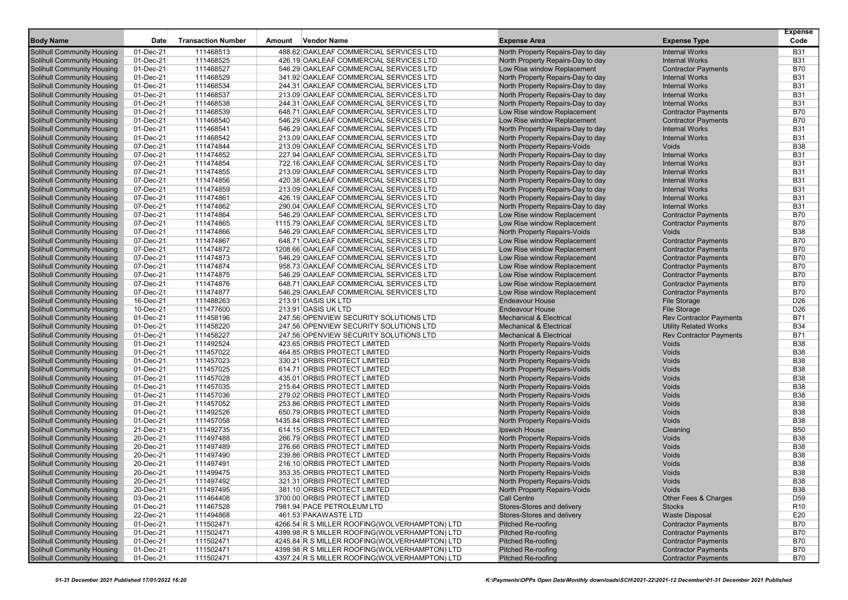|                                                                 |              |                           |        |                                                                                                |                                                 |                                                          | <b>Expense</b>    |
|-----------------------------------------------------------------|--------------|---------------------------|--------|------------------------------------------------------------------------------------------------|-------------------------------------------------|----------------------------------------------------------|-------------------|
| <b>Body Name</b>                                                | Date         | <b>Transaction Number</b> | Amount | Vendor Name                                                                                    | <b>Expense Area</b>                             | <b>Expense Type</b>                                      | Code              |
| Solihull Community Housing                                      | 01-Dec-21    | 111468513                 |        | 488.62 OAKLEAF COMMERCIAL SERVICES LTD                                                         | North Property Repairs-Day to day               | <b>Internal Works</b>                                    | <b>B31</b>        |
| <b>Solihull Community Housing</b>                               | 01-Dec-21    | 111468525                 |        | 426.19 OAKLEAF COMMERCIAL SERVICES LTD                                                         | North Property Repairs-Day to day               | <b>Internal Works</b>                                    | <b>B31</b>        |
| Solihull Community Housing                                      | 01-Dec-21    | 111468527                 |        | 546.29 OAKLEAF COMMERCIAL SERVICES LTD                                                         | Low Rise window Replacement                     | <b>Contractor Payments</b>                               | <b>B70</b>        |
| Solihull Community Housing                                      | 01-Dec-21    | 111468529                 |        | 341.92 OAKLEAF COMMERCIAL SERVICES LTD                                                         | North Property Repairs-Day to day               | <b>Internal Works</b>                                    | <b>B31</b>        |
| Solihull Community Housing                                      | 01-Dec-21    | 111468534                 |        | 244.31 OAKLEAF COMMERCIAL SERVICES LTD                                                         | North Property Repairs-Day to day               | <b>Internal Works</b>                                    | <b>B31</b>        |
| Solihull Community Housing                                      | 01-Dec-21    | 111468537                 |        | 213.09 OAKLEAF COMMERCIAL SERVICES LTD                                                         | North Property Repairs-Day to day               | <b>Internal Works</b>                                    | <b>B31</b>        |
| Solihull Community Housing                                      | 01-Dec-21    | 111468538                 |        | 244.31 OAKLEAF COMMERCIAL SERVICES LTD                                                         | North Property Repairs-Day to day               | <b>Internal Works</b>                                    | <b>B31</b>        |
| <b>Solihull Community Housing</b>                               | 01-Dec-21    | 111468539                 |        | 648.71 OAKLEAF COMMERCIAL SERVICES LTD                                                         | Low Rise window Replacement                     | <b>Contractor Payments</b>                               | <b>B70</b>        |
| Solihull Community Housing                                      | 01-Dec-21    | 111468540                 |        | 546.29 OAKLEAF COMMERCIAL SERVICES LTD                                                         | Low Rise window Replacement                     | <b>Contractor Payments</b>                               | <b>B70</b>        |
| Solihull Community Housing                                      | 01-Dec-21    | 111468541                 |        | 546.29 OAKLEAF COMMERCIAL SERVICES LTD                                                         | North Property Repairs-Day to day               | <b>Internal Works</b>                                    | <b>B31</b>        |
| Solihull Community Housing                                      | 01-Dec-21    | 111468542                 |        | 213.09 OAKLEAF COMMERCIAL SERVICES LTD                                                         | North Property Repairs-Day to day               | <b>Internal Works</b>                                    | <b>B31</b>        |
| Solihull Community Housing                                      | 07-Dec-21    | 111474844                 |        | 213.09 OAKLEAF COMMERCIAL SERVICES LTD                                                         | <b>North Property Repairs-Voids</b>             | Voids                                                    | <b>B38</b>        |
| Solihull Community Housing                                      | 07-Dec-21    | 111474852                 |        | 227.94 OAKLEAF COMMERCIAL SERVICES LTD                                                         | North Property Repairs-Day to day               | <b>Internal Works</b>                                    | <b>B31</b>        |
| <b>Solihull Community Housing</b>                               | 07-Dec-21    | 111474854                 |        | 722.16 OAKLEAF COMMERCIAL SERVICES LTD                                                         | North Property Repairs-Day to day               | <b>Internal Works</b>                                    | <b>B31</b>        |
| Solihull Community Housing                                      | 07-Dec-21    | 111474855                 |        | 213.09 OAKLEAF COMMERCIAL SERVICES LTD                                                         | North Property Repairs-Day to day               | <b>Internal Works</b>                                    | <b>B31</b>        |
| <b>Solihull Community Housing</b>                               | 07-Dec-21    | 111474856                 |        | 420.38 OAKLEAF COMMERCIAL SERVICES LTD                                                         | North Property Repairs-Day to day               | <b>Internal Works</b>                                    | <b>B31</b>        |
| Solihull Community Housing                                      | 07-Dec-21    | 111474859                 |        | 213.09 OAKLEAF COMMERCIAL SERVICES LTD                                                         | North Property Repairs-Day to day               | <b>Internal Works</b>                                    | <b>B31</b>        |
| Solihull Community Housing                                      | 07-Dec-21    | 111474861                 |        | 426.19 OAKLEAF COMMERCIAL SERVICES LTD                                                         | North Property Repairs-Day to day               | <b>Internal Works</b>                                    | <b>B31</b>        |
| Solihull Community Housing                                      | 07-Dec-21    | 111474862                 |        | 290.04 OAKLEAF COMMERCIAL SERVICES LTD                                                         | North Property Repairs-Day to day               | <b>Internal Works</b>                                    | <b>B31</b>        |
| Solihull Community Housing                                      | 07-Dec-21    | 111474864                 |        | 546.29 OAKLEAF COMMERCIAL SERVICES LTD                                                         | Low Rise window Replacement                     | <b>Contractor Payments</b>                               | <b>B70</b>        |
| <b>Solihull Community Housing</b>                               | 07-Dec-21    | 111474865                 |        | 1115.79 OAKLEAF COMMERCIAL SERVICES LTD                                                        | Low Rise window Replacement                     | <b>Contractor Payments</b>                               | <b>B70</b>        |
| Solihull Community Housing                                      | 07-Dec-21    | 111474866                 |        | 546.29 OAKLEAF COMMERCIAL SERVICES LTD                                                         | North Property Repairs-Voids                    | Voids                                                    | <b>B38</b>        |
| Solihull Community Housing                                      | 07-Dec-21    | 111474867                 |        | 648.71 OAKLEAF COMMERCIAL SERVICES LTD                                                         | Low Rise window Replacement                     | <b>Contractor Payments</b>                               | <b>B70</b>        |
| Solihull Community Housing                                      | 07-Dec-21    | 111474872                 |        | 1208.66 OAKLEAF COMMERCIAL SERVICES LTD                                                        | Low Rise window Replacement                     | <b>Contractor Payments</b>                               | <b>B70</b>        |
| Solihull Community Housing                                      | 07-Dec-21    | 111474873                 |        | 546.29 OAKLEAF COMMERCIAL SERVICES LTD                                                         | Low Rise window Replacement                     | <b>Contractor Payments</b>                               | <b>B70</b>        |
| Solihull Community Housing                                      | 07-Dec-21    | 111474874                 |        | 958.73 OAKLEAF COMMERCIAL SERVICES LTD                                                         | Low Rise window Replacement                     | <b>Contractor Payments</b>                               | B70               |
| <b>Solihull Community Housing</b>                               | 07-Dec-21    | 111474875                 |        | 546.29 OAKLEAF COMMERCIAL SERVICES LTD                                                         | Low Rise window Replacement                     | <b>Contractor Payments</b>                               | <b>B70</b>        |
| Solihull Community Housing                                      | 07-Dec-21    | 111474876                 |        | 648.71 OAKLEAF COMMERCIAL SERVICES LTD                                                         | Low Rise window Replacement                     | <b>Contractor Payments</b>                               | <b>B70</b>        |
| Solihull Community Housing                                      | 07-Dec-21    | 111474877                 |        | 546.29 OAKLEAF COMMERCIAL SERVICES LTD                                                         | Low Rise window Replacement                     | <b>Contractor Payments</b>                               | B70               |
| Solihull Community Housing                                      | 16-Dec-21    | 111488263                 |        | 213.91 OASIS UK LTD                                                                            | <b>Endeavour House</b>                          | <b>File Storage</b>                                      | D <sub>26</sub>   |
| Solihull Community Housing                                      | 10-Dec-21    | 111477600                 |        | 213.91 OASIS UK LTD                                                                            | <b>Endeavour House</b>                          | <b>File Storage</b>                                      | D <sub>26</sub>   |
| Solihull Community Housing                                      | 01-Dec-21    | 111458196                 |        | 247.56 OPENVIEW SECURITY SOLUTIONS LTD                                                         | <b>Mechanical &amp; Electrical</b>              | <b>Rev Contractor Payments</b>                           | B71               |
| <b>Solihull Community Housing</b>                               | 01-Dec-21    | 111458220                 |        | 247.56 OPENVIEW SECURITY SOLUTIONS LTD                                                         | <b>Mechanical &amp; Electrical</b>              | <b>Utility Related Works</b>                             | <b>B34</b>        |
| Solihull Community Housing                                      | 01-Dec-21    | 111458227                 |        | 247.56 OPENVIEW SECURITY SOLUTIONS LTD                                                         | <b>Mechanical &amp; Electrical</b>              | <b>Rev Contractor Payments</b>                           | B71               |
| <b>Solihull Community Housing</b>                               | 01-Dec-21    | 111492524                 |        | 423.65 ORBIS PROTECT LIMITED                                                                   | North Property Repairs-Voids                    | Voids                                                    | <b>B38</b>        |
| Solihull Community Housing                                      | 01-Dec-21    | 111457022                 |        | 464.85 ORBIS PROTECT LIMITED                                                                   | North Property Repairs-Voids                    | Voids                                                    | <b>B38</b>        |
| Solihull Community Housing                                      | 01-Dec-21    | 111457023                 |        | 330.21 ORBIS PROTECT LIMITED                                                                   | North Property Repairs-Voids                    | Voids                                                    | <b>B38</b>        |
| Solihull Community Housing                                      | 01-Dec-21    | 111457025                 |        | 614.71 ORBIS PROTECT LIMITED                                                                   | North Property Repairs-Voids                    | Voids                                                    | <b>B38</b>        |
| Solihull Community Housing                                      | 01-Dec-21    | 111457028                 |        | 435.01 ORBIS PROTECT LIMITED                                                                   | North Property Repairs-Voids                    | Voids                                                    | <b>B38</b>        |
| Solihull Community Housing                                      | 01-Dec-21    | 111457035                 |        | 215.64 ORBIS PROTECT LIMITED                                                                   | North Property Repairs-Voids                    | Voids                                                    | <b>B38</b>        |
| Solihull Community Housing                                      | 01-Dec-21    | 111457036                 |        | 279.02 ORBIS PROTECT LIMITED                                                                   | North Property Repairs-Voids                    | Voids                                                    | <b>B38</b>        |
| Solihull Community Housing                                      | 01-Dec-21    | 111457052                 |        | 253.86 ORBIS PROTECT LIMITED                                                                   | North Property Repairs-Voids                    | Voids                                                    | <b>B38</b>        |
| Solihull Community Housing                                      | 01-Dec-21    | 111492526                 |        | 650.79 ORBIS PROTECT LIMITED                                                                   | North Property Repairs-Voids                    | Voids                                                    | <b>B38</b>        |
| Solihull Community Housing                                      | 01-Dec-21    | 111457058                 |        | 1435.84 ORBIS PROTECT LIMITED                                                                  | North Property Repairs-Voids                    | Voids                                                    | <b>B38</b>        |
| Solihull Community Housing                                      | 21-Dec-21    | 111492735                 |        | 614.15 ORBIS PROTECT LIMITED                                                                   | Ipswich House                                   | Cleaning                                                 | <b>B50</b>        |
| <b>Solihull Community Housing</b>                               | 20-Dec-21    | 111497488                 |        | 266.79 ORBIS PROTECT LIMITED                                                                   | North Property Repairs-Voids                    | Voids                                                    | <b>B38</b>        |
| Solihull Community Housing                                      | 20-Dec-21    | 111497489                 |        | 276.66 ORBIS PROTECT LIMITED                                                                   | North Property Repairs-Voids                    | Voids                                                    | <b>B38</b>        |
| Solihull Community Housing                                      | 20-Dec-21    | 111497490                 |        | 239.86 ORBIS PROTECT LIMITED                                                                   | <b>North Property Repairs-Voids</b>             | Voids                                                    | <b>B38</b>        |
| <b>Solihull Community Housing</b>                               | 20-Dec-21    | 111497491                 |        | 216.10 ORBIS PROTECT LIMITED                                                                   | <b>North Property Repairs-Voids</b>             | Voids                                                    | <b>B38</b>        |
| Solihull Community Housing                                      | 20-Dec-21    | 111499475                 |        | 353.35 ORBIS PROTECT LIMITED                                                                   | North Property Repairs-Voids                    | Voids                                                    | <b>B38</b>        |
| <b>Solihull Community Housing</b>                               | 20-Dec-21    | 111497492                 |        | 321.31 ORBIS PROTECT LIMITED                                                                   | North Property Repairs-Voids                    | Voids                                                    | <b>B38</b>        |
| Solihull Community Housing                                      | 20-Dec-21    | 111497495                 |        | 381.10 ORBIS PROTECT LIMITED                                                                   | North Property Repairs-Voids                    | Voids                                                    | <b>B38</b>        |
| <b>Solihull Community Housing</b>                               | 03-Dec-21    | 111464408                 |        | 3700.00 ORBIS PROTECT LIMITED                                                                  | Call Centre                                     | Other Fees & Charges                                     | D59               |
| Solihull Community Housing                                      | 01-Dec-21    | 111467528                 |        | 7981.94 PACE PETROLEUM LTD                                                                     | Stores-Stores and delivery                      | <b>Stocks</b>                                            | R <sub>10</sub>   |
| <b>Solihull Community Housing</b>                               | 22-Dec-21    | 111494868                 |        | 461.53 PAKAWASTE LTD                                                                           | Stores-Stores and delivery                      | <b>Waste Disposal</b>                                    | E20               |
| Solihull Community Housing                                      | 01-Dec-21    | 111502471                 |        | 4266.54 R S MILLER ROOFING(WOLVERHAMPTON) LTD                                                  | Pitched Re-roofing                              | <b>Contractor Payments</b>                               | <b>B70</b>        |
| Solihull Community Housing<br><b>Solihull Community Housing</b> | 01-Dec-21    | 111502471                 |        | 4399.98 R S MILLER ROOFING (WOLVERHAMPTON) LTD                                                 | Pitched Re-roofing<br><b>Pitched Re-roofing</b> | <b>Contractor Payments</b>                               | B70               |
| Solihull Community Housing                                      | 01-Dec-21    | 111502471<br>111502471    |        | 4245.84 R S MILLER ROOFING(WOLVERHAMPTON) LTD<br>4399.98 R S MILLER ROOFING(WOLVERHAMPTON) LTD | <b>Pitched Re-roofing</b>                       | <b>Contractor Payments</b><br><b>Contractor Payments</b> | B70<br><b>B70</b> |
| <b>Solihull Community Housing</b>                               | 01-Dec-21    | 111502471                 |        | 4397.24 R S MILLER ROOFING(WOLVERHAMPTON) LTD                                                  | Pitched Re-roofing                              | <b>Contractor Payments</b>                               | B70               |
|                                                                 | $01$ -Dec-21 |                           |        |                                                                                                |                                                 |                                                          |                   |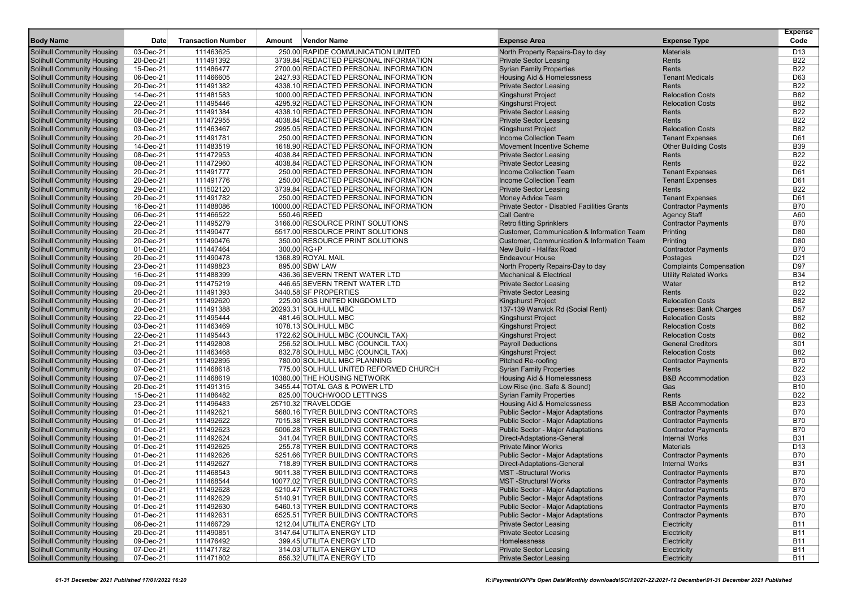| <b>Body Name</b>                                         | Date                   | <b>Transaction Number</b> | Amount | <b>Vendor Name</b>                                                             | <b>Expense Area</b>                                                            |                                        | <b>Expense</b><br>Code   |
|----------------------------------------------------------|------------------------|---------------------------|--------|--------------------------------------------------------------------------------|--------------------------------------------------------------------------------|----------------------------------------|--------------------------|
|                                                          |                        |                           |        |                                                                                |                                                                                | <b>Expense Type</b>                    |                          |
| <b>Solihull Community Housing</b>                        | 03-Dec-21              | 111463625                 |        | 250.00 RAPIDE COMMUNICATION LIMITED                                            | North Property Repairs-Day to day                                              | <b>Materials</b>                       | D <sub>13</sub>          |
| Solihull Community Housing                               | 20-Dec-21              | 111491392                 |        | 3739.84 REDACTED PERSONAL INFORMATION                                          | <b>Private Sector Leasing</b>                                                  | Rents                                  | <b>B22</b>               |
| Solihull Community Housing                               | 15-Dec-21              | 111486477                 |        | 2700.00 REDACTED PERSONAL INFORMATION                                          | <b>Syrian Family Properties</b>                                                | Rents                                  | <b>B22</b>               |
| Solihull Community Housing                               | 06-Dec-21              | 111466605                 |        | 2427.93 REDACTED PERSONAL INFORMATION                                          | Housing Aid & Homelessness                                                     | <b>Tenant Medicals</b>                 | D63                      |
| <b>Solihull Community Housing</b>                        | 20-Dec-21              | 111491382                 |        | 4338.10 REDACTED PERSONAL INFORMATION                                          | <b>Private Sector Leasing</b>                                                  | Rents                                  | <b>B22</b>               |
| Solihull Community Housing                               | 14-Dec-21              | 111481583                 |        | 1000.00 REDACTED PERSONAL INFORMATION                                          | <b>Kingshurst Project</b>                                                      | <b>Relocation Costs</b>                | <b>B82</b>               |
| Solihull Community Housing                               | 22-Dec-21              | 111495446                 |        | 4295.92 REDACTED PERSONAL INFORMATION                                          | <b>Kingshurst Project</b>                                                      | <b>Relocation Costs</b>                | <b>B82</b>               |
| Solihull Community Housing                               | 20-Dec-21              | 111491384                 |        | 4338.10 REDACTED PERSONAL INFORMATION                                          | <b>Private Sector Leasing</b>                                                  | Rents                                  | <b>B22</b>               |
| Solihull Community Housing                               | 08-Dec-21              | 111472955                 |        | 4038.84 REDACTED PERSONAL INFORMATION                                          | <b>Private Sector Leasing</b>                                                  | Rents                                  | <b>B22</b>               |
| Solihull Community Housing                               | 03-Dec-21              | 111463467                 |        | 2995.05 REDACTED PERSONAL INFORMATION                                          | <b>Kingshurst Project</b>                                                      | <b>Relocation Costs</b>                | <b>B82</b>               |
| Solihull Community Housing                               | 20-Dec-21              | 111491781                 |        | 250.00 REDACTED PERSONAL INFORMATION                                           | Income Collection Team                                                         | <b>Tenant Expenses</b>                 | D61                      |
| Solihull Community Housing                               | 14-Dec-21              | 111483519                 |        | 1618.90 REDACTED PERSONAL INFORMATION                                          | Movement Incentive Scheme                                                      | <b>Other Building Costs</b>            | <b>B39</b>               |
| Solihull Community Housing                               | 08-Dec-21              | 111472953                 |        | 4038.84 REDACTED PERSONAL INFORMATION<br>4038.84 REDACTED PERSONAL INFORMATION | <b>Private Sector Leasing</b>                                                  | Rents                                  | <b>B22</b><br><b>B22</b> |
| Solihull Community Housing                               | 08-Dec-21              | 111472960                 |        |                                                                                | <b>Private Sector Leasing</b>                                                  | Rents                                  |                          |
| Solihull Community Housing                               | 20-Dec-21              | 111491777                 |        | 250.00 REDACTED PERSONAL INFORMATION                                           | Income Collection Team                                                         | <b>Tenant Expenses</b>                 | D61                      |
| Solihull Community Housing                               | 20-Dec-21              | 111491776                 |        | 250.00 REDACTED PERSONAL INFORMATION                                           | <b>Income Collection Team</b>                                                  | <b>Tenant Expenses</b>                 | D61                      |
| <b>Solihull Community Housing</b>                        | 29-Dec-21              | 111502120                 |        | 3739.84 REDACTED PERSONAL INFORMATION                                          | <b>Private Sector Leasing</b>                                                  | Rents                                  | <b>B22</b><br>D61        |
| Solihull Community Housing                               | 20-Dec-21<br>16-Dec-21 | 111491782                 |        | 250.00 REDACTED PERSONAL INFORMATION<br>10000.00 REDACTED PERSONAL INFORMATION | <b>Money Advice Team</b><br><b>Private Sector - Disabled Facilities Grants</b> | <b>Tenant Expenses</b>                 | <b>B70</b>               |
| <b>Solihull Community Housing</b>                        |                        | 111488086                 |        |                                                                                |                                                                                | <b>Contractor Payments</b>             |                          |
| Solihull Community Housing<br>Solihull Community Housing | 06-Dec-21              | 111466522                 |        | 550.46 REED<br>3166.00 RESOURCE PRINT SOLUTIONS                                | <b>Call Centre</b>                                                             | <b>Agency Staff</b>                    | A60                      |
|                                                          | 22-Dec-21<br>20-Dec-21 | 111495279<br>111490477    |        | 5517.00 RESOURCE PRINT SOLUTIONS                                               | <b>Retro fitting Sprinklers</b><br>Customer, Communication & Information Team  | <b>Contractor Payments</b>             | <b>B70</b><br>D80        |
| Solihull Community Housing<br>Solihull Community Housing | 20-Dec-21              | 111490476                 |        | 350.00 RESOURCE PRINT SOLUTIONS                                                | Customer, Communication & Information Team                                     | Printing                               | D80                      |
|                                                          |                        | 111447464                 |        | 300.00 RG+P                                                                    | New Build - Halifax Road                                                       | Printing                               | <b>B70</b>               |
| Solihull Community Housing<br>Solihull Community Housing | 01-Dec-21<br>20-Dec-21 | 111490478                 |        | 1368.89 ROYAL MAIL                                                             | <b>Endeavour House</b>                                                         | <b>Contractor Payments</b><br>Postages | D <sub>21</sub>          |
| <b>Solihull Community Housing</b>                        | 23-Dec-21              | 111498823                 |        | 895.00 SBW LAW                                                                 | North Property Repairs-Day to day                                              | <b>Complaints Compensation</b>         | D97                      |
| Solihull Community Housing                               | 16-Dec-21              | 111488399                 |        | 436.36 SEVERN TRENT WATER LTD                                                  | <b>Mechanical &amp; Electrical</b>                                             | <b>Utility Related Works</b>           | <b>B34</b>               |
| Solihull Community Housing                               | 09-Dec-21              | 111475219                 |        | 446.65 SEVERN TRENT WATER LTD                                                  | <b>Private Sector Leasing</b>                                                  | Water                                  | <b>B12</b>               |
| Solihull Community Housing                               | 20-Dec-21              | 111491393                 |        | 3440.58 SF PROPERTIES                                                          | <b>Private Sector Leasing</b>                                                  | Rents                                  | <b>B22</b>               |
| Solihull Community Housing                               | 01-Dec-21              | 111492620                 |        | 225.00 SGS UNITED KINGDOM LTD                                                  | <b>Kingshurst Project</b>                                                      | <b>Relocation Costs</b>                | <b>B82</b>               |
| Solihull Community Housing                               | 20-Dec-21              | 111491388                 |        | 20293.31 SOLIHULL MBC                                                          | 137-139 Warwick Rd (Social Rent)                                               | <b>Expenses: Bank Charges</b>          | D <sub>57</sub>          |
| Solihull Community Housing                               | 22-Dec-21              | 111495444                 |        | 481.46 SOLIHULL MBC                                                            | <b>Kingshurst Project</b>                                                      | <b>Relocation Costs</b>                | <b>B82</b>               |
| Solihull Community Housing                               | 03-Dec-21              | 111463469                 |        | 1078.13 SOLIHULL MBC                                                           | <b>Kingshurst Project</b>                                                      | <b>Relocation Costs</b>                | <b>B82</b>               |
| Solihull Community Housing                               | 22-Dec-21              | 111495443                 |        | 1722.62 SOLIHULL MBC (COUNCIL TAX)                                             | <b>Kingshurst Project</b>                                                      | <b>Relocation Costs</b>                | <b>B82</b>               |
| Solihull Community Housing                               | 21-Dec-21              | 111492808                 |        | 256.52 SOLIHULL MBC (COUNCIL TAX)                                              | <b>Payroll Deductions</b>                                                      | <b>General Creditors</b>               | S01                      |
| <b>Solihull Community Housing</b>                        | 03-Dec-21              | 111463468                 |        | 832.78 SOLIHULL MBC (COUNCIL TAX)                                              | <b>Kingshurst Project</b>                                                      | <b>Relocation Costs</b>                | <b>B82</b>               |
| Solihull Community Housing                               | 01-Dec-21              | 111492895                 |        | 780.00 SOLIHULL MBC PLANNING                                                   | Pitched Re-roofing                                                             | <b>Contractor Payments</b>             | <b>B70</b>               |
| Solihull Community Housing                               | 07-Dec-21              | 111468618                 |        | 775.00 SOLIHULL UNITED REFORMED CHURCH                                         | <b>Syrian Family Properties</b>                                                | Rents                                  | <b>B22</b>               |
| Solihull Community Housing                               | 07-Dec-21              | 111468619                 |        | 10380.00 THE HOUSING NETWORK                                                   | Housing Aid & Homelessness                                                     | <b>B&amp;B Accommodation</b>           | <b>B23</b>               |
| Solihull Community Housing                               | 20-Dec-21              | 111491315                 |        | 3455.44 TOTAL GAS & POWER LTD                                                  | Low Rise (inc. Safe & Sound)                                                   | Gas                                    | <b>B10</b>               |
| Solihull Community Housing                               | 15-Dec-21              | 111486482                 |        | 825.00 TOUCHWOOD LETTINGS                                                      | <b>Syrian Family Properties</b>                                                | Rents                                  | <b>B22</b>               |
| Solihull Community Housing                               | 23-Dec-21              | 111496483                 |        | 25710.32 TRAVELODGE                                                            | Housing Aid & Homelessness                                                     | <b>B&amp;B</b> Accommodation           | <b>B23</b>               |
| <b>Solihull Community Housing</b>                        | 01-Dec-21              | 111492621                 |        | 5680.16 TYRER BUILDING CONTRACTORS                                             | Public Sector - Major Adaptations                                              | <b>Contractor Payments</b>             | <b>B70</b>               |
| Solihull Community Housing                               | 01-Dec-21              | 111492622                 |        | 7015.38 TYRER BUILDING CONTRACTORS                                             | <b>Public Sector - Major Adaptations</b>                                       | <b>Contractor Payments</b>             | <b>B70</b>               |
| Solihull Community Housing                               | 01-Dec-21              | 111492623                 |        | 5006.28 TYRER BUILDING CONTRACTORS                                             | <b>Public Sector - Major Adaptations</b>                                       | <b>Contractor Payments</b>             | <b>B70</b>               |
| Solihull Community Housing                               | 01-Dec-21              | 111492624                 |        | 341.04 TYRER BUILDING CONTRACTORS                                              | Direct-Adaptations-General                                                     | <b>Internal Works</b>                  | <b>B31</b>               |
| Solihull Community Housing                               | 01-Dec-21              | 111492625                 |        | 255.78 TYRER BUILDING CONTRACTORS                                              | <b>Private Minor Works</b>                                                     | <b>Materials</b>                       | D <sub>13</sub>          |
| Solihull Community Housing                               | 01-Dec-21              | 111492626                 |        | 5251.66 TYRER BUILDING CONTRACTORS                                             | Public Sector - Major Adaptations                                              | <b>Contractor Payments</b>             | <b>B70</b>               |
| Solihull Community Housing                               | 01-Dec-21              | 111492627                 |        | 718.89 TYRER BUILDING CONTRACTORS                                              | Direct-Adaptations-General                                                     | <b>Internal Works</b>                  | <b>B31</b>               |
| Solihull Community Housing                               | 01-Dec-21              | 111468543                 |        | 9011.38 TYRER BUILDING CONTRACTORS                                             | <b>MST</b> -Structural Works                                                   | <b>Contractor Payments</b>             | <b>B70</b>               |
| Solihull Community Housing                               | 01-Dec-21              | 111468544                 |        | 10077.02 TYRER BUILDING CONTRACTORS                                            | MST-Structural Works                                                           | <b>Contractor Payments</b>             | <b>B70</b>               |
| Solihull Community Housing                               | 01-Dec-21              | 111492628                 |        | 5210.47 TYRER BUILDING CONTRACTORS                                             | <b>Public Sector - Major Adaptations</b>                                       | <b>Contractor Payments</b>             | <b>B70</b>               |
| Solihull Community Housing                               | 01-Dec-21              | 111492629                 |        | 5140.91 TYRER BUILDING CONTRACTORS                                             | Public Sector - Major Adaptations                                              | <b>Contractor Payments</b>             | <b>B70</b>               |
| Solihull Community Housing                               | 01-Dec-21              | 111492630                 |        | 5460.13 TYRER BUILDING CONTRACTORS                                             | Public Sector - Major Adaptations                                              | <b>Contractor Payments</b>             | <b>B70</b>               |
| <b>Solihull Community Housing</b>                        | 01-Dec-21              | 111492631                 |        | 6525.51 TYRER BUILDING CONTRACTORS                                             | Public Sector - Major Adaptations                                              | <b>Contractor Payments</b>             | <b>B70</b>               |
| Solihull Community Housing                               | 06-Dec-21              | 111466729                 |        | 1212.04 UTILITA ENERGY LTD                                                     | <b>Private Sector Leasing</b>                                                  | Electricity                            | <b>B11</b>               |
| Solihull Community Housing                               | 20-Dec-21              | 111490851                 |        | 3147.64 UTILITA ENERGY LTD                                                     | <b>Private Sector Leasing</b>                                                  | Electricity                            | <b>B11</b>               |
| Solihull Community Housing                               | 09-Dec-21              | 111476492                 |        | 399.45 UTILITA ENERGY LTD                                                      | Homelessness                                                                   | Electricity                            | <b>B11</b>               |
| Solihull Community Housing                               | 07-Dec-21              | 111471782                 |        | 314.03 UTILITA ENERGY LTD                                                      | <b>Private Sector Leasing</b>                                                  | Electricity                            | <b>B11</b>               |
| <b>Solihull Community Housing</b>                        | 07-Dec-21              | 111471802                 |        | 856.32 UTILITA ENERGY LTD                                                      | <b>Private Sector Leasing</b>                                                  | Electricity                            | B11                      |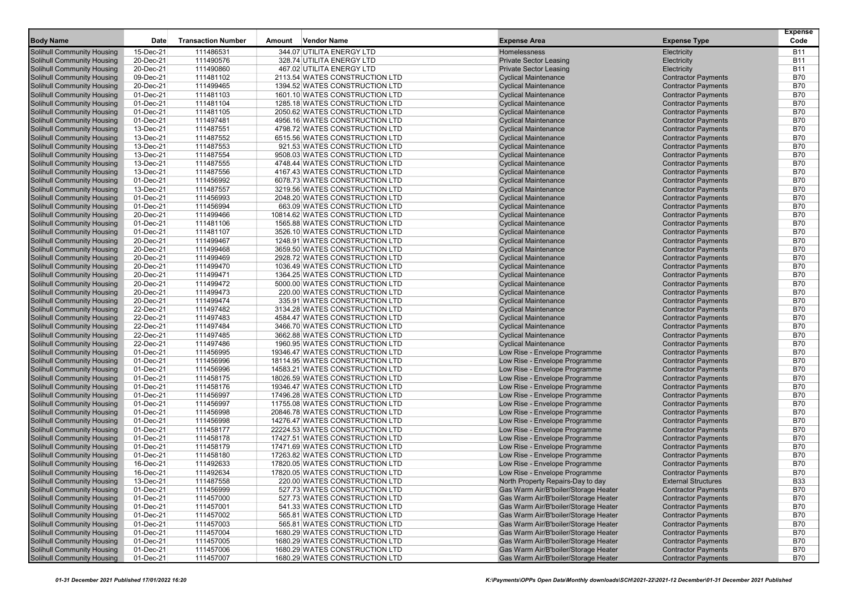|                                                          |                        |                           |                                                                    |                                                                |                                                          | <b>Expense</b>           |
|----------------------------------------------------------|------------------------|---------------------------|--------------------------------------------------------------------|----------------------------------------------------------------|----------------------------------------------------------|--------------------------|
| <b>Body Name</b>                                         | <b>Date</b>            | <b>Transaction Number</b> | Vendor Name<br>Amount                                              | <b>Expense Area</b>                                            | <b>Expense Type</b>                                      | Code                     |
| Solihull Community Housing                               | 15-Dec-21              | 111486531                 | 344.07 UTILITA ENERGY LTD                                          | Homelessness                                                   | Electricity                                              | <b>B11</b>               |
| <b>Solihull Community Housing</b>                        | 20-Dec-21              | 111490576                 | 328.74 UTILITA ENERGY LTD                                          | <b>Private Sector Leasing</b>                                  | Electricity                                              | <b>B11</b>               |
| Solihull Community Housing                               | 20-Dec-21              | 111490860                 | 467.02 UTILITA ENERGY LTD                                          | <b>Private Sector Leasing</b>                                  | Electricity                                              | <b>B11</b>               |
| Solihull Community Housing                               | 09-Dec-21              | 111481102                 | 2113.54 WATES CONSTRUCTION LTD                                     | <b>Cyclical Maintenance</b>                                    | <b>Contractor Payments</b>                               | <b>B70</b>               |
| Solihull Community Housing                               | 20-Dec-21              | 111499465                 | 1394.52 WATES CONSTRUCTION LTD                                     | <b>Cyclical Maintenance</b>                                    | <b>Contractor Payments</b>                               | <b>B70</b>               |
| Solihull Community Housing                               | 01-Dec-21              | 111481103                 | 1601.10 WATES CONSTRUCTION LTD                                     | <b>Cyclical Maintenance</b>                                    | <b>Contractor Payments</b>                               | <b>B70</b>               |
| Solihull Community Housing                               | 01-Dec-21              | 111481104                 | 1285.18 WATES CONSTRUCTION LTD                                     | <b>Cyclical Maintenance</b>                                    | <b>Contractor Payments</b>                               | <b>B70</b>               |
| <b>Solihull Community Housing</b>                        | 01-Dec-21              | 111481105                 | 2050.62 WATES CONSTRUCTION LTD                                     | <b>Cyclical Maintenance</b>                                    | <b>Contractor Payments</b>                               | <b>B70</b>               |
| Solihull Community Housing                               | 01-Dec-21              | 111497481                 | 4956.16 WATES CONSTRUCTION LTD                                     | <b>Cyclical Maintenance</b>                                    | <b>Contractor Payments</b>                               | <b>B70</b>               |
| Solihull Community Housing                               | 13-Dec-21              | 111487551                 | 4798.72 WATES CONSTRUCTION LTD                                     | <b>Cyclical Maintenance</b>                                    | <b>Contractor Payments</b>                               | <b>B70</b>               |
| Solihull Community Housing                               | 13-Dec-21              | 111487552                 | 6515.56 WATES CONSTRUCTION LTD                                     | <b>Cyclical Maintenance</b>                                    | <b>Contractor Payments</b>                               | <b>B70</b>               |
| Solihull Community Housing                               | 13-Dec-21              | 111487553                 | 921.53 WATES CONSTRUCTION LTD                                      | <b>Cyclical Maintenance</b>                                    | <b>Contractor Payments</b>                               | <b>B70</b>               |
| Solihull Community Housing                               | 13-Dec-21              | 111487554                 | 9508.03 WATES CONSTRUCTION LTD                                     | <b>Cyclical Maintenance</b>                                    | <b>Contractor Payments</b>                               | <b>B70</b>               |
| <b>Solihull Community Housing</b>                        | 13-Dec-21              | 111487555                 | 4748.44 WATES CONSTRUCTION LTD                                     | <b>Cyclical Maintenance</b>                                    | <b>Contractor Payments</b>                               | <b>B70</b>               |
| Solihull Community Housing                               | 13-Dec-21              | 111487556                 | 4167.43 WATES CONSTRUCTION LTD                                     | <b>Cyclical Maintenance</b>                                    | <b>Contractor Payments</b>                               | <b>B70</b>               |
| Solihull Community Housing                               | 01-Dec-21              | 111456992                 | 6078.73 WATES CONSTRUCTION LTD                                     | <b>Cyclical Maintenance</b>                                    | <b>Contractor Payments</b>                               | <b>B70</b>               |
| Solihull Community Housing                               | 13-Dec-21              | 111487557                 | 3219.56 WATES CONSTRUCTION LTD                                     | <b>Cyclical Maintenance</b>                                    | <b>Contractor Payments</b>                               | <b>B70</b>               |
| Solihull Community Housing                               | 01-Dec-21              | 111456993                 | 2048.20 WATES CONSTRUCTION LTD                                     | <b>Cyclical Maintenance</b>                                    | <b>Contractor Payments</b>                               | <b>B70</b>               |
| Solihull Community Housing                               | 01-Dec-21              | 111456994                 | 663.09 WATES CONSTRUCTION LTD                                      | <b>Cyclical Maintenance</b>                                    | <b>Contractor Payments</b>                               | <b>B70</b>               |
| Solihull Community Housing                               | 20-Dec-21              | 111499466                 | 10814.62 WATES CONSTRUCTION LTD                                    | <b>Cyclical Maintenance</b>                                    | <b>Contractor Payments</b>                               | <b>B70</b>               |
| <b>Solihull Community Housing</b>                        | 01-Dec-21              | 111481106                 | 1565.88 WATES CONSTRUCTION LTD                                     | <b>Cyclical Maintenance</b>                                    | <b>Contractor Payments</b>                               | <b>B70</b>               |
| Solihull Community Housing                               | 01-Dec-21              | 111481107                 | 3526.10 WATES CONSTRUCTION LTD                                     | <b>Cyclical Maintenance</b>                                    | <b>Contractor Payments</b>                               | <b>B70</b>               |
| Solihull Community Housing                               | 20-Dec-21              | 111499467                 | 1248.91 WATES CONSTRUCTION LTD                                     | <b>Cyclical Maintenance</b>                                    | <b>Contractor Payments</b>                               | <b>B70</b>               |
| Solihull Community Housing                               | 20-Dec-21              | 111499468                 | 3659.50 WATES CONSTRUCTION LTD                                     | <b>Cyclical Maintenance</b>                                    | <b>Contractor Payments</b>                               | <b>B70</b>               |
| Solihull Community Housing                               | 20-Dec-21              | 111499469                 | 2928.72 WATES CONSTRUCTION LTD                                     | <b>Cyclical Maintenance</b>                                    | <b>Contractor Payments</b>                               | <b>B70</b>               |
| Solihull Community Housing                               | 20-Dec-21              | 111499470                 | 1036.49 WATES CONSTRUCTION LTD                                     | <b>Cyclical Maintenance</b>                                    | <b>Contractor Payments</b>                               | <b>B70</b>               |
| <b>Solihull Community Housing</b>                        | 20-Dec-21              | 111499471                 | 1364.25 WATES CONSTRUCTION LTD                                     | <b>Cyclical Maintenance</b>                                    | <b>Contractor Payments</b>                               | <b>B70</b>               |
| Solihull Community Housing                               | 20-Dec-21              | 111499472                 | 5000.00 WATES CONSTRUCTION LTD                                     | <b>Cyclical Maintenance</b>                                    | <b>Contractor Payments</b>                               | <b>B70</b>               |
| Solihull Community Housing                               | 20-Dec-21              | 111499473                 | 220.00 WATES CONSTRUCTION LTD                                      | <b>Cyclical Maintenance</b>                                    | <b>Contractor Payments</b>                               | <b>B70</b>               |
| Solihull Community Housing                               | 20-Dec-21              | 111499474                 | 335.91 WATES CONSTRUCTION LTD                                      | <b>Cyclical Maintenance</b>                                    | <b>Contractor Payments</b>                               | <b>B70</b>               |
| Solihull Community Housing                               | 22-Dec-21              | 111497482                 | 3134.28 WATES CONSTRUCTION LTD                                     | <b>Cyclical Maintenance</b>                                    | <b>Contractor Payments</b>                               | <b>B70</b>               |
| Solihull Community Housing                               | 22-Dec-21              | 111497483                 | 4584.47 WATES CONSTRUCTION LTD                                     | <b>Cyclical Maintenance</b>                                    | <b>Contractor Payments</b>                               | <b>B70</b>               |
| <b>Solihull Community Housing</b>                        | 22-Dec-21              | 111497484                 | 3466.70 WATES CONSTRUCTION LTD                                     | <b>Cyclical Maintenance</b>                                    | <b>Contractor Payments</b>                               | <b>B70</b>               |
| Solihull Community Housing                               | 22-Dec-21              | 111497485                 | 3662.88 WATES CONSTRUCTION LTD                                     | <b>Cyclical Maintenance</b>                                    | <b>Contractor Payments</b>                               | <b>B70</b>               |
| Solihull Community Housing                               | 22-Dec-21              | 111497486                 | 1960.95 WATES CONSTRUCTION LTD                                     | <b>Cyclical Maintenance</b>                                    | <b>Contractor Payments</b>                               | <b>B70</b><br><b>B70</b> |
| Solihull Community Housing                               | 01-Dec-21              | 111456995<br>111456996    | 19346.47 WATES CONSTRUCTION LTD<br>18114.95 WATES CONSTRUCTION LTD | Low Rise - Envelope Programme                                  | <b>Contractor Payments</b>                               | <b>B70</b>               |
| Solihull Community Housing                               | 01-Dec-21              | 111456996                 | 14583.21 WATES CONSTRUCTION LTD                                    | Low Rise - Envelope Programme                                  | <b>Contractor Payments</b>                               | <b>B70</b>               |
| Solihull Community Housing                               | 01-Dec-21              |                           |                                                                    | Low Rise - Envelope Programme                                  | <b>Contractor Payments</b>                               |                          |
| Solihull Community Housing                               | 01-Dec-21<br>01-Dec-21 | 111458175<br>111458176    | 18026.59 WATES CONSTRUCTION LTD<br>19346.47 WATES CONSTRUCTION LTD | Low Rise - Envelope Programme                                  | <b>Contractor Payments</b>                               | <b>B70</b><br><b>B70</b> |
| Solihull Community Housing<br>Solihull Community Housing | 01-Dec-21              | 111456997                 | 17496.28 WATES CONSTRUCTION LTD                                    | Low Rise - Envelope Programme                                  | <b>Contractor Payments</b><br><b>Contractor Payments</b> | <b>B70</b>               |
| Solihull Community Housing                               | 01-Dec-21              | 111456997                 | 11755.08 WATES CONSTRUCTION LTD                                    | Low Rise - Envelope Programme<br>Low Rise - Envelope Programme | <b>Contractor Payments</b>                               | <b>B70</b>               |
| Solihull Community Housing                               | 01-Dec-21              | 111456998                 | 20846.78 WATES CONSTRUCTION LTD                                    |                                                                | <b>Contractor Payments</b>                               | <b>B70</b>               |
| Solihull Community Housing                               | 01-Dec-21              | 111456998                 | 14276.47 WATES CONSTRUCTION LTD                                    | Low Rise - Envelope Programme<br>Low Rise - Envelope Programme | <b>Contractor Payments</b>                               | <b>B70</b>               |
| Solihull Community Housing                               | 01-Dec-21              | 111458177                 | 22224.53 WATES CONSTRUCTION LTD                                    | Low Rise - Envelope Programme                                  | <b>Contractor Payments</b>                               | <b>B70</b>               |
| <b>Solihull Community Housing</b>                        | 01-Dec-21              | 111458178                 | 17427.51 WATES CONSTRUCTION LTD                                    | Low Rise - Envelope Programme                                  | <b>Contractor Payments</b>                               | <b>B70</b>               |
| Solihull Community Housing                               | 01-Dec-21              | 111458179                 | 17471.69 WATES CONSTRUCTION LTD                                    | Low Rise - Envelope Programme                                  | <b>Contractor Payments</b>                               | <b>B70</b>               |
| Solihull Community Housing                               | 01-Dec-21              | 111458180                 | 17263.82 WATES CONSTRUCTION LTD                                    | Low Rise - Envelope Programme                                  | <b>Contractor Payments</b>                               | <b>B70</b>               |
| <b>Solihull Community Housing</b>                        | 16-Dec-21              | 111492633                 | 17820.05 WATES CONSTRUCTION LTD                                    | Low Rise - Envelope Programme                                  | <b>Contractor Payments</b>                               | <b>B70</b>               |
| Solihull Community Housing                               | 16-Dec-21              | 111492634                 | 17820.05 WATES CONSTRUCTION LTD                                    | Low Rise - Envelope Programme                                  | <b>Contractor Payments</b>                               | <b>B70</b>               |
| <b>Solihull Community Housing</b>                        | 13-Dec-21              | 111487558                 | 220.00 WATES CONSTRUCTION LTD                                      | North Property Repairs-Day to day                              | <b>External Structures</b>                               | <b>B33</b>               |
| Solihull Community Housing                               | 01-Dec-21              | 111456999                 | 527.73 WATES CONSTRUCTION LTD                                      | Gas Warm Air/B'boiler/Storage Heater                           | <b>Contractor Payments</b>                               | <b>B70</b>               |
| <b>Solihull Community Housing</b>                        | 01-Dec-21              | 111457000                 | 527.73 WATES CONSTRUCTION LTD                                      | Gas Warm Air/B'boiler/Storage Heater                           | <b>Contractor Payments</b>                               | <b>B70</b>               |
| <b>Solihull Community Housing</b>                        | 01-Dec-21              | 111457001                 | 541.33 WATES CONSTRUCTION LTD                                      | Gas Warm Air/B'boiler/Storage Heater                           | <b>Contractor Payments</b>                               | <b>B70</b>               |
| <b>Solihull Community Housing</b>                        | 01-Dec-21              | 111457002                 | 565.81 WATES CONSTRUCTION LTD                                      | Gas Warm Air/B'boiler/Storage Heater                           | <b>Contractor Payments</b>                               | <b>B70</b>               |
| Solihull Community Housing                               | 01-Dec-21              | 111457003                 | 565.81 WATES CONSTRUCTION LTD                                      | Gas Warm Air/B'boiler/Storage Heater                           | <b>Contractor Payments</b>                               | <b>B70</b>               |
| Solihull Community Housing                               | 01-Dec-21              | 111457004                 | 1680.29 WATES CONSTRUCTION LTD                                     | Gas Warm Air/B'boiler/Storage Heater                           | <b>Contractor Payments</b>                               | <b>B70</b>               |
| Solihull Community Housing                               | 01-Dec-21              | 111457005                 | 1680.29 WATES CONSTRUCTION LTD                                     | Gas Warm Air/B'boiler/Storage Heater                           | <b>Contractor Payments</b>                               | <b>B70</b>               |
| Solihull Community Housing                               | 01-Dec-21              | 111457006                 | 1680.29 WATES CONSTRUCTION LTD                                     | Gas Warm Air/B'boiler/Storage Heater                           | <b>Contractor Payments</b>                               | <b>B70</b>               |
| <b>Solihull Community Housing</b>                        | 01-Dec-21              | 111457007                 | 1680.29 WATES CONSTRUCTION LTD                                     | Gas Warm Air/B'boiler/Storage Heater                           | <b>Contractor Payments</b>                               | <b>B70</b>               |